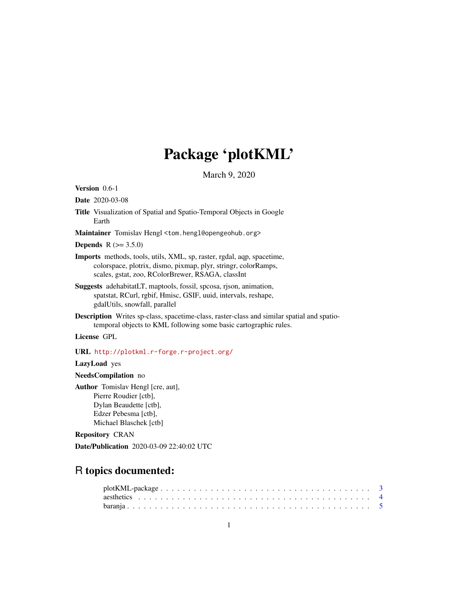# Package 'plotKML'

March 9, 2020

<span id="page-0-0"></span>Version 0.6-1

Date 2020-03-08

Title Visualization of Spatial and Spatio-Temporal Objects in Google Earth

Maintainer Tomislav Hengl <tom.hengl@opengeohub.org>

**Depends**  $R (= 3.5.0)$ 

- Imports methods, tools, utils, XML, sp, raster, rgdal, aqp, spacetime, colorspace, plotrix, dismo, pixmap, plyr, stringr, colorRamps, scales, gstat, zoo, RColorBrewer, RSAGA, classInt
- Suggests adehabitatLT, maptools, fossil, spcosa, rjson, animation, spatstat, RCurl, rgbif, Hmisc, GSIF, uuid, intervals, reshape, gdalUtils, snowfall, parallel
- Description Writes sp-class, spacetime-class, raster-class and similar spatial and spatiotemporal objects to KML following some basic cartographic rules.

License GPL

URL <http://plotkml.r-forge.r-project.org/>

LazyLoad yes

NeedsCompilation no

Author Tomislav Hengl [cre, aut], Pierre Roudier [ctb], Dylan Beaudette [ctb], Edzer Pebesma [ctb], Michael Blaschek [ctb]

Repository CRAN

Date/Publication 2020-03-09 22:40:02 UTC

# R topics documented:

| $plotKML-package$ |  |
|-------------------|--|
|                   |  |
|                   |  |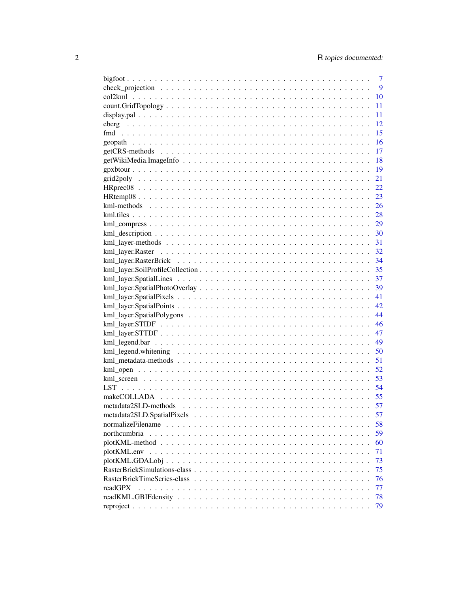|                                                                                                                    | 7  |
|--------------------------------------------------------------------------------------------------------------------|----|
|                                                                                                                    | 9  |
|                                                                                                                    | 10 |
|                                                                                                                    | 11 |
|                                                                                                                    | 11 |
|                                                                                                                    | 12 |
|                                                                                                                    | 15 |
|                                                                                                                    | 16 |
|                                                                                                                    | 17 |
|                                                                                                                    | 18 |
|                                                                                                                    | 19 |
|                                                                                                                    | 21 |
|                                                                                                                    | 22 |
|                                                                                                                    | 23 |
|                                                                                                                    |    |
|                                                                                                                    |    |
|                                                                                                                    |    |
|                                                                                                                    |    |
|                                                                                                                    |    |
|                                                                                                                    |    |
|                                                                                                                    |    |
|                                                                                                                    |    |
|                                                                                                                    |    |
|                                                                                                                    |    |
|                                                                                                                    | 41 |
|                                                                                                                    | 42 |
|                                                                                                                    | 44 |
|                                                                                                                    |    |
|                                                                                                                    |    |
|                                                                                                                    |    |
|                                                                                                                    | 50 |
|                                                                                                                    | 51 |
|                                                                                                                    | 52 |
|                                                                                                                    | 53 |
|                                                                                                                    | 54 |
|                                                                                                                    | 55 |
| metadata 2SLD-methods $\ldots \ldots \ldots \ldots \ldots \ldots \ldots \ldots \ldots \ldots \ldots \ldots \ldots$ | 57 |
|                                                                                                                    | 57 |
|                                                                                                                    | 58 |
| northcumbria                                                                                                       | 59 |
|                                                                                                                    | 60 |
|                                                                                                                    | 71 |
|                                                                                                                    | 73 |
|                                                                                                                    | 75 |
|                                                                                                                    | 76 |
| readGPX                                                                                                            | 77 |
|                                                                                                                    | 78 |
|                                                                                                                    | 79 |
|                                                                                                                    |    |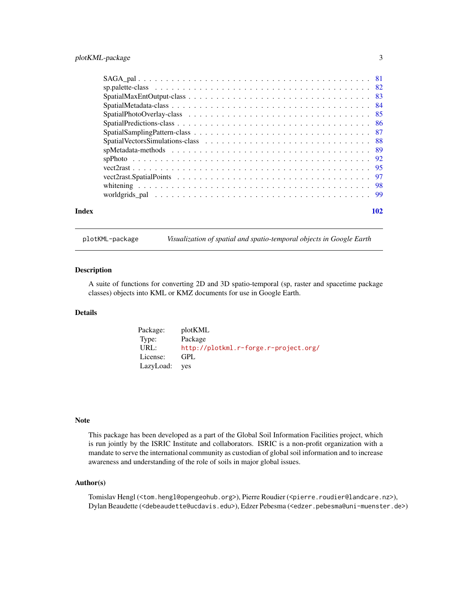<span id="page-2-0"></span>

|       | vector 95 |
|-------|-----------|
|       |           |
|       |           |
|       |           |
| Index | 102       |

plotKML-package *Visualization of spatial and spatio-temporal objects in Google Earth*

#### Description

A suite of functions for converting 2D and 3D spatio-temporal (sp, raster and spacetime package classes) objects into KML or KMZ documents for use in Google Earth.

# Details

| Package:  | plotKML                               |
|-----------|---------------------------------------|
| Type:     | Package                               |
| URL:      | http://plotkml.r-forge.r-project.org/ |
| License:  | GPL.                                  |
| LazyLoad: | <b>ves</b>                            |

#### Note

This package has been developed as a part of the Global Soil Information Facilities project, which is run jointly by the ISRIC Institute and collaborators. ISRIC is a non-profit organization with a mandate to serve the international community as custodian of global soil information and to increase awareness and understanding of the role of soils in major global issues.

## Author(s)

Tomislav Hengl (<tom.hengl@opengeohub.org>), Pierre Roudier (<pierre.roudier@landcare.nz>), Dylan Beaudette (<debeaudette@ucdavis.edu>), Edzer Pebesma (<edzer.pebesma@uni-muenster.de>)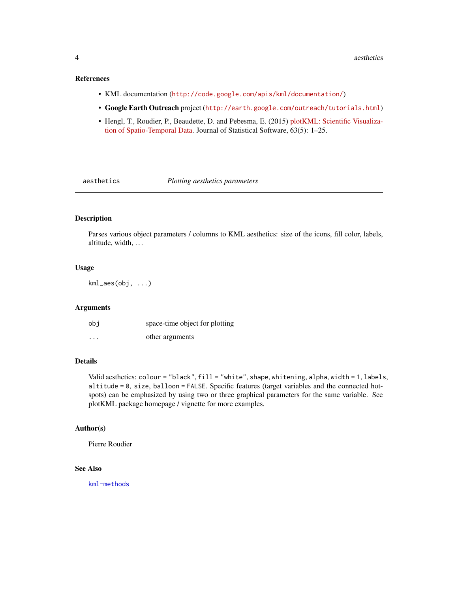# <span id="page-3-0"></span>References

- KML documentation (<http://code.google.com/apis/kml/documentation/>)
- Google Earth Outreach project (<http://earth.google.com/outreach/tutorials.html>)
- Hengl, T., Roudier, P., Beaudette, D. and Pebesma, E. (2015) [plotKML: Scientific Visualiza](http://www.jstatsoft.org/v63/i05/)[tion of Spatio-Temporal Data.](http://www.jstatsoft.org/v63/i05/) Journal of Statistical Software, 63(5): 1–25.

<span id="page-3-2"></span>

aesthetics *Plotting aesthetics parameters*

# <span id="page-3-1"></span>Description

Parses various object parameters / columns to KML aesthetics: size of the icons, fill color, labels, altitude, width, ...

#### Usage

kml\_aes(obj, ...)

## Arguments

| obi      | space-time object for plotting |
|----------|--------------------------------|
| $\cdots$ | other arguments                |

# Details

Valid aesthetics: colour = "black", fill = "white", shape, whitening, alpha, width = 1, labels, altitude =  $0$ , size, balloon = FALSE. Specific features (target variables and the connected hotspots) can be emphasized by using two or three graphical parameters for the same variable. See plotKML package homepage / vignette for more examples.

# Author(s)

Pierre Roudier

# See Also

[kml-methods](#page-25-1)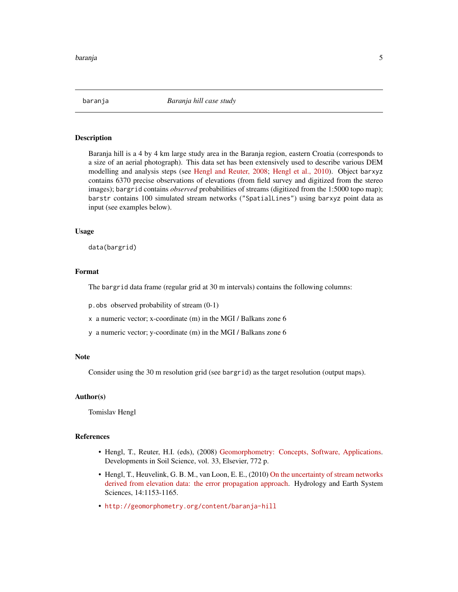<span id="page-4-0"></span>

#### Description

Baranja hill is a 4 by 4 km large study area in the Baranja region, eastern Croatia (corresponds to a size of an aerial photograph). This data set has been extensively used to describe various DEM modelling and analysis steps (see [Hengl and Reuter, 2008;](http://geomorphometry.org/book) [Hengl et al., 2010\)](http://dx.doi.org/10.5194/hess-14-1153-2010). Object barxyz contains 6370 precise observations of elevations (from field survey and digitized from the stereo images); bargrid contains *observed* probabilities of streams (digitized from the 1:5000 topo map); barstr contains 100 simulated stream networks ("SpatialLines") using barxyz point data as input (see examples below).

#### Usage

data(bargrid)

# Format

The bargrid data frame (regular grid at 30 m intervals) contains the following columns:

p.obs observed probability of stream (0-1)

x a numeric vector; x-coordinate (m) in the MGI / Balkans zone 6

y a numeric vector; y-coordinate (m) in the MGI / Balkans zone 6

#### Note

Consider using the 30 m resolution grid (see bargrid) as the target resolution (output maps).

#### Author(s)

Tomislav Hengl

#### References

- Hengl, T., Reuter, H.I. (eds), (2008) [Geomorphometry: Concepts, Software, Applications.](http://geomorphometry.org/book) Developments in Soil Science, vol. 33, Elsevier, 772 p.
- Hengl, T., Heuvelink, G. B. M., van Loon, E. E., (2010) [On the uncertainty of stream networks](http://dx.doi.org/10.5194/hess-14-1153-2010) [derived from elevation data: the error propagation approach.](http://dx.doi.org/10.5194/hess-14-1153-2010) Hydrology and Earth System Sciences, 14:1153-1165.
- <http://geomorphometry.org/content/baranja-hill>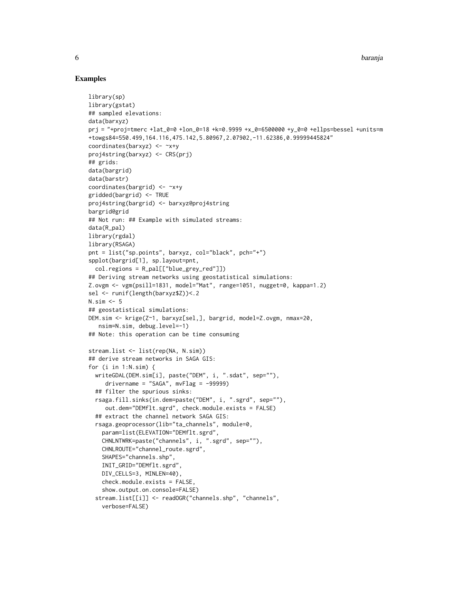#### Examples

```
library(sp)
library(gstat)
## sampled elevations:
data(barxyz)
prj = "+proj=tmerc +lat_0=0 +lon_0=18 +k=0.9999 +x_0=6500000 +y_0=0 +ellps=bessel +units=m
+towgs84=550.499,164.116,475.142,5.80967,2.07902,-11.62386,0.99999445824"
coordinates(barxyz) <- ~x+y
proj4string(barxyz) <- CRS(prj)
## grids:
data(bargrid)
data(barstr)
coordinates(bargrid) <- ~x+y
gridded(bargrid) <- TRUE
proj4string(bargrid) <- barxyz@proj4string
bargrid@grid
## Not run: ## Example with simulated streams:
data(R_pal)
library(rgdal)
library(RSAGA)
pnt = list("sp.points", barxyz, col="black", pch="+")
spplot(bargrid[1], sp.layout=pnt,
  col.regions = R_pal[["blue_grey_red"]])
## Deriving stream networks using geostatistical simulations:
Z.ovgm <- vgm(psill=1831, model="Mat", range=1051, nugget=0, kappa=1.2)
sel <- runif(length(barxyz$Z))<.2
N.sim <- 5
## geostatistical simulations:
DEM.sim <- krige(Z~1, barxyz[sel,], bargrid, model=Z.ovgm, nmax=20,
   nsim=N.sim, debug.level=-1)
## Note: this operation can be time consuming
stream.list <- list(rep(NA, N.sim))
## derive stream networks in SAGA GIS:
for (i in 1:N.sim) {
  writeGDAL(DEM.sim[i], paste("DEM", i, ".sdat", sep=""),
     drivername = "SAGA", mvFlag = -99999)## filter the spurious sinks:
  rsaga.fill.sinks(in.dem=paste("DEM", i, ".sgrd", sep=""),
     out.dem="DEMflt.sgrd", check.module.exists = FALSE)
  ## extract the channel network SAGA GIS:
  rsaga.geoprocessor(lib="ta_channels", module=0,
    param=list(ELEVATION="DEMflt.sgrd",
    CHNLNTWRK=paste("channels", i, ".sgrd", sep=""),
    CHNLROUTE="channel_route.sgrd",
    SHAPES="channels.shp",
    INIT_GRID="DEMflt.sgrd",
    DIV_CELLS=3, MINLEN=40),
    check.module.exists = FALSE,
    show.output.on.console=FALSE)
  stream.list[[i]] <- readOGR("channels.shp", "channels",
    verbose=FALSE)
```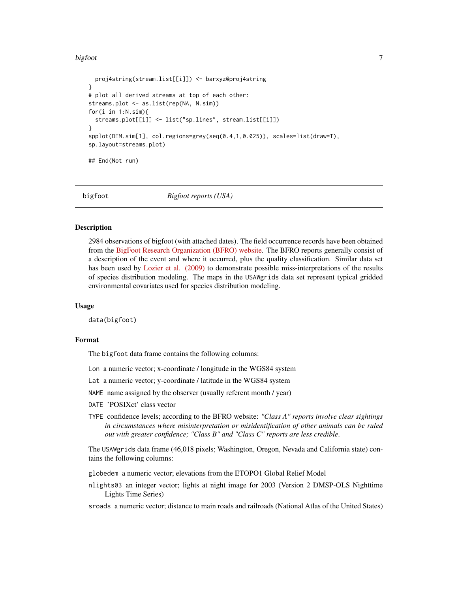#### <span id="page-6-0"></span>bigfoot 7

```
proj4string(stream.list[[i]]) <- barxyz@proj4string
}
# plot all derived streams at top of each other:
streams.plot <- as.list(rep(NA, N.sim))
for(i in 1:N.sim){
 streams.plot[[i]] <- list("sp.lines", stream.list[[i]])
}
spplot(DEM.sim[1], col.regions=grey(seq(0.4,1,0.025)), scales=list(draw=T),
sp.layout=streams.plot)
## End(Not run)
```
bigfoot *Bigfoot reports (USA)*

#### Description

2984 observations of bigfoot (with attached dates). The field occurrence records have been obtained from the [BigFoot Research Organization \(BFRO\) website.](http://www.bfro.net/news/google_earth.asp) The BFRO reports generally consist of a description of the event and where it occurred, plus the quality classification. Similar data set has been used by [Lozier et al. \(2009\)](http://dx.doi.org/10.1111/j.1365-2699.2009.02152.x) to demonstrate possible miss-interpretations of the results of species distribution modeling. The maps in the USAWgrids data set represent typical gridded environmental covariates used for species distribution modeling.

#### Usage

data(bigfoot)

#### Format

The bigfoot data frame contains the following columns:

- Lon a numeric vector; x-coordinate / longitude in the WGS84 system
- Lat a numeric vector; y-coordinate / latitude in the WGS84 system
- NAME name assigned by the observer (usually referent month / year)
- DATE 'POSIXct' class vector
- TYPE confidence levels; according to the BFRO website: *"Class A" reports involve clear sightings in circumstances where misinterpretation or misidentification of other animals can be ruled out with greater confidence; "Class B" and "Class C" reports are less credible*.

The USAWgrids data frame (46,018 pixels; Washington, Oregon, Nevada and California state) contains the following columns:

- globedem a numeric vector; elevations from the ETOPO1 Global Relief Model
- nlights03 an integer vector; lights at night image for 2003 (Version 2 DMSP-OLS Nighttime Lights Time Series)

sroads a numeric vector; distance to main roads and railroads (National Atlas of the United States)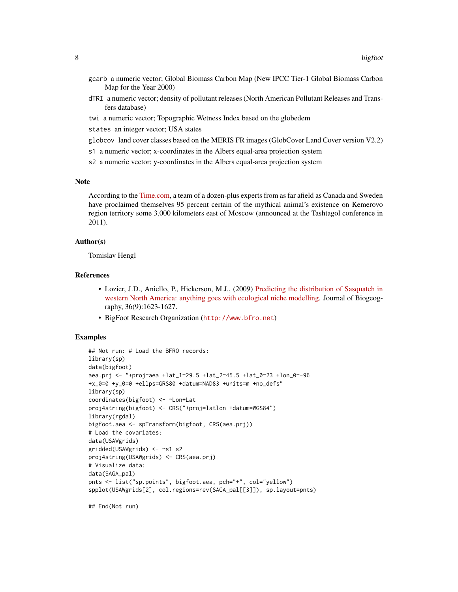- gcarb a numeric vector; Global Biomass Carbon Map (New IPCC Tier-1 Global Biomass Carbon Map for the Year 2000)
- dTRI a numeric vector; density of pollutant releases (North American Pollutant Releases and Transfers database)
- twi a numeric vector; Topographic Wetness Index based on the globedem
- states an integer vector; USA states
- globcov land cover classes based on the MERIS FR images (GlobCover Land Cover version V2.2)
- s1 a numeric vector; x-coordinates in the Albers equal-area projection system
- s2 a numeric vector; y-coordinates in the Albers equal-area projection system

#### Note

According to the [Time.com,](http://newsfeed.time.com/2011/10/11/scientists-95-sure-bigfoot-lives-in-russian-tundra) a team of a dozen-plus experts from as far afield as Canada and Sweden have proclaimed themselves 95 percent certain of the mythical animal's existence on Kemerovo region territory some 3,000 kilometers east of Moscow (announced at the Tashtagol conference in 2011).

#### Author(s)

Tomislav Hengl

# References

- Lozier, J.D., Aniello, P., Hickerson, M.J., (2009) [Predicting the distribution of Sasquatch in](http://dx.doi.org/10.1111/j.1365-2699.2009.02152.x) [western North America: anything goes with ecological niche modelling.](http://dx.doi.org/10.1111/j.1365-2699.2009.02152.x) Journal of Biogeography, 36(9):1623-1627.
- BigFoot Research Organization (<http://www.bfro.net>)

#### Examples

```
## Not run: # Load the BFRO records:
library(sp)
data(bigfoot)
aea.prj <- "+proj=aea +lat_1=29.5 +lat_2=45.5 +lat_0=23 +lon_0=-96
+x_0=0 +y_0=0 +ellps=GRS80 +datum=NAD83 +units=m +no_defs"
library(sp)
coordinates(bigfoot) <- ~Lon+Lat
proj4string(bigfoot) <- CRS("+proj=latlon +datum=WGS84")
library(rgdal)
bigfoot.aea <- spTransform(bigfoot, CRS(aea.prj))
# Load the covariates:
data(USAWgrids)
gridded(USAWgrids) <- ~s1+s2
proj4string(USAWgrids) <- CRS(aea.prj)
# Visualize data:
data(SAGA_pal)
pnts <- list("sp.points", bigfoot.aea, pch="+", col="yellow")
spplot(USAWgrids[2], col.regions=rev(SAGA_pal[[3]]), sp.layout=pnts)
```
## End(Not run)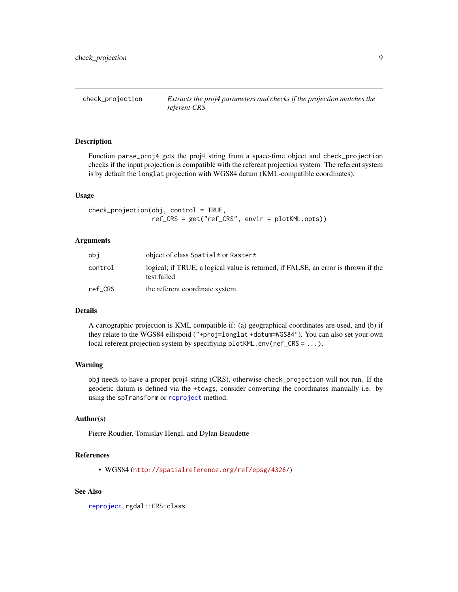<span id="page-8-1"></span><span id="page-8-0"></span>check\_projection *Extracts the proj4 parameters and checks if the projection matches the referent CRS*

#### Description

Function parse\_proj4 gets the proj4 string from a space-time object and check\_projection checks if the input projection is compatible with the referent projection system. The referent system is by default the longlat projection with WGS84 datum (KML-compatible coordinates).

#### Usage

```
check_projection(obj, control = TRUE,
                 ref_CRS = get("ref_CRS", envir = plotKML.opts))
```
#### Arguments

| obi     | object of class Spatial* or Raster*                                                               |
|---------|---------------------------------------------------------------------------------------------------|
| control | logical; if TRUE, a logical value is returned, if FALSE, an error is thrown if the<br>test failed |
| ref CRS | the referent coordinate system.                                                                   |

#### Details

A cartographic projection is KML compatible if: (a) geographical coordinates are used, and (b) if they relate to the WGS84 ellispoid ("+proj=longlat +datum=WGS84"). You can also set your own local referent projection system by specifiying plotKML.env(ref\_CRS = ...).

#### Warning

obj needs to have a proper proj4 string (CRS), otherwise check\_projection will not run. If the geodetic datum is defined via the +towgs, consider converting the coordinates manually i.e. by using the spTransform or [reproject](#page-78-1) method.

# Author(s)

Pierre Roudier, Tomislav Hengl, and Dylan Beaudette

#### References

• WGS84 (<http://spatialreference.org/ref/epsg/4326/>)

### See Also

[reproject](#page-78-1), rgdal::CRS-class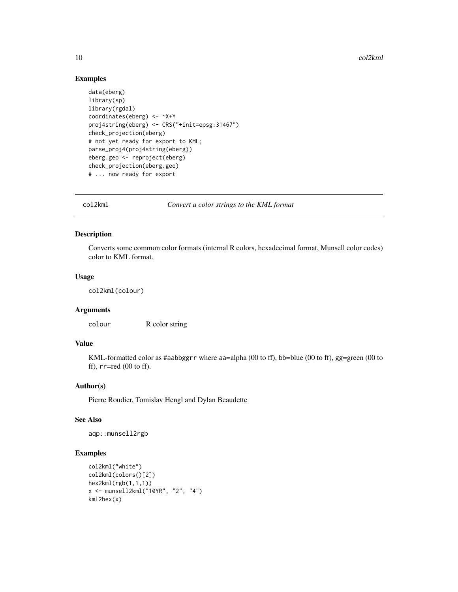# Examples

```
data(eberg)
library(sp)
library(rgdal)
coordinates(eberg) <- ~X+Y
proj4string(eberg) <- CRS("+init=epsg:31467")
check_projection(eberg)
# not yet ready for export to KML;
parse_proj4(proj4string(eberg))
eberg.geo <- reproject(eberg)
check_projection(eberg.geo)
# ... now ready for export
```
col2kml *Convert a color strings to the KML format*

# Description

Converts some common color formats (internal R colors, hexadecimal format, Munsell color codes) color to KML format.

#### Usage

col2kml(colour)

#### Arguments

colour R color string

#### Value

KML-formatted color as #aabbggrr where aa=alpha (00 to ff), bb=blue (00 to ff), gg=green (00 to ff),  $rr = red$  (00 to ff).

# Author(s)

Pierre Roudier, Tomislav Hengl and Dylan Beaudette

#### See Also

aqp::munsell2rgb

#### Examples

```
col2kml("white")
col2kml(colors()[2])
hex2kml(rgb(1,1,1))
x <- munsell2kml("10YR", "2", "4")
kml2hex(x)
```
<span id="page-9-0"></span>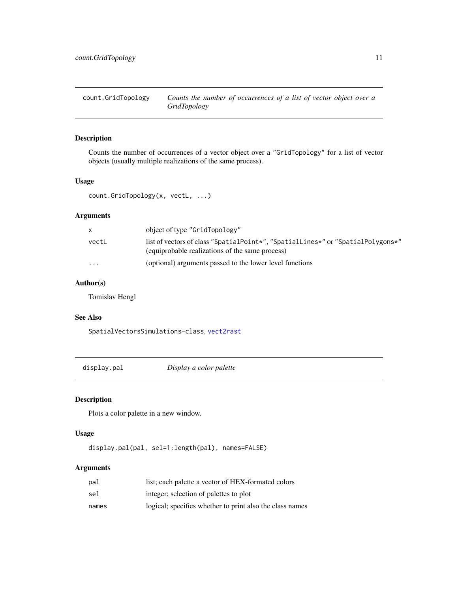<span id="page-10-0"></span>

# Description

Counts the number of occurrences of a vector object over a "GridTopology" for a list of vector objects (usually multiple realizations of the same process).

# Usage

count.GridTopology(x, vectL, ...)

# Arguments

| X.       | object of type "GridTopology"                                                                                                      |
|----------|------------------------------------------------------------------------------------------------------------------------------------|
| vectL    | list of vectors of class "SpatialPoint*", "SpatialLines*" or "SpatialPolygons*"<br>(equiprobable realizations of the same process) |
| $\cdots$ | (optional) arguments passed to the lower level functions                                                                           |

# Author(s)

Tomislav Hengl

## See Also

SpatialVectorsSimulations-class, [vect2rast](#page-94-1)

display.pal *Display a color palette*

# Description

Plots a color palette in a new window.

# Usage

display.pal(pal, sel=1:length(pal), names=FALSE)

# Arguments

| pal   | list; each palette a vector of HEX-formated colors       |
|-------|----------------------------------------------------------|
| sel   | integer; selection of palettes to plot                   |
| names | logical; specifies whether to print also the class names |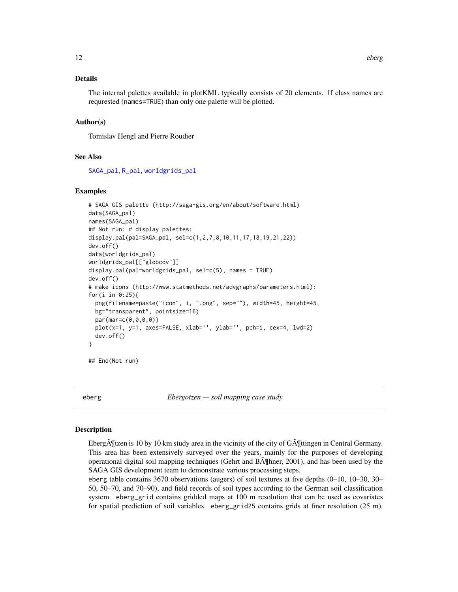#### <span id="page-11-0"></span>Details

The internal palettes available in plotKML typically consists of 20 elements. If class names are requrested (names=TRUE) than only one palette will be plotted.

## Author(s)

Tomislav Hengl and Pierre Roudier

# See Also

[SAGA\\_pal](#page-80-1), [R\\_pal](#page-80-2), [worldgrids\\_pal](#page-98-1)

#### Examples

```
# SAGA GIS palette (http://saga-gis.org/en/about/software.html)
data(SAGA_pal)
names(SAGA_pal)
## Not run: # display palettes:
display.pal(pal=SAGA_pal, sel=c(1,2,7,8,10,11,17,18,19,21,22))
dev.off()
data(worldgrids_pal)
worldgrids_pal[["globcov"]]
display.pal(pal=worldgrids_pal, sel=c(5), names = TRUE)
dev.off()
# make icons (http://www.statmethods.net/advgraphs/parameters.html):
for(i in 0:25){
 png(filename=paste("icon", i, ".png", sep=""), width=45, height=45,
 bg="transparent", pointsize=16)
 par(mar=c(0,0,0,0))
 plot(x=1, y=1, axes=FALSE, xlab='', ylab='', pch=i, cex=4, lwd=2)
 dev.off()
}
## End(Not run)
```
eberg *Ebergotzen — soil mapping case study*

#### **Description**

Eberg $\tilde{\text{A}}$  [Itzen is 10 by 10 km study area in the vicinity of the city of  $\tilde{\text{G}}\tilde{\text{A}}$ ] [Itingen in Central Germany. This area has been extensively surveyed over the years, mainly for the purposes of developing operational digital soil mapping techniques (Gehrt and Böhner, 2001), and has been used by the SAGA GIS development team to demonstrate various processing steps.

eberg table contains 3670 observations (augers) of soil textures at five depths  $(0-10, 10-30, 30-$ 50, 50–70, and 70–90), and field records of soil types according to the German soil classification system. eberg\_grid contains gridded maps at 100 m resolution that can be used as covariates for spatial prediction of soil variables. eberg\_grid25 contains grids at finer resolution (25 m).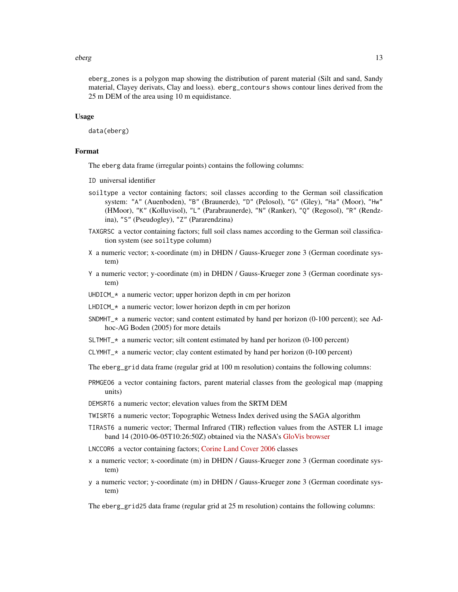#### eberg 13

eberg\_zones is a polygon map showing the distribution of parent material (Silt and sand, Sandy material, Clayey derivats, Clay and loess). eberg\_contours shows contour lines derived from the 25 m DEM of the area using 10 m equidistance.

#### Usage

data(eberg)

#### Format

The eberg data frame (irregular points) contains the following columns:

ID universal identifier

- soiltype a vector containing factors; soil classes according to the German soil classification system: "A" (Auenboden), "B" (Braunerde), "D" (Pelosol), "G" (Gley), "Ha" (Moor), "Hw" (HMoor), "K" (Kolluvisol), "L" (Parabraunerde), "N" (Ranker), "Q" (Regosol), "R" (Rendzina), "S" (Pseudogley), "Z" (Pararendzina)
- TAXGRSC a vector containing factors; full soil class names according to the German soil classification system (see soiltype column)
- X a numeric vector; x-coordinate (m) in DHDN / Gauss-Krueger zone 3 (German coordinate system)
- Y a numeric vector; y-coordinate (m) in DHDN / Gauss-Krueger zone 3 (German coordinate system)
- UHDICM\_ $*$  a numeric vector; upper horizon depth in cm per horizon
- LHDICM\_\* a numeric vector; lower horizon depth in cm per horizon
- SNDMHT\_\* a numeric vector; sand content estimated by hand per horizon (0-100 percent); see Adhoc-AG Boden (2005) for more details
- SLTMHT\_ $*$  a numeric vector; silt content estimated by hand per horizon (0-100 percent)
- $CLYMHT<sub>></sub>$  a numeric vector; clay content estimated by hand per horizon (0-100 percent)
- The eberg\_grid data frame (regular grid at 100 m resolution) contains the following columns:
- PRMGEO6 a vector containing factors, parent material classes from the geological map (mapping units)
- DEMSRT6 a numeric vector; elevation values from the SRTM DEM
- TWISRT6 a numeric vector; Topographic Wetness Index derived using the SAGA algorithm
- TIRAST6 a numeric vector; Thermal Infrared (TIR) reflection values from the ASTER L1 image band 14 (2010-06-05T10:26:50Z) obtained via the NASA's [GloVis browser](http://glovis.usgs.gov)
- LNCCOR6 a vector containing factors; [Corine Land Cover 2006](http://www.eea.europa.eu/data-and-maps/data/corine-land-cover-2006-raster-1) classes
- x a numeric vector; x-coordinate (m) in DHDN / Gauss-Krueger zone 3 (German coordinate system)
- y a numeric vector; y-coordinate (m) in DHDN / Gauss-Krueger zone 3 (German coordinate system)

The eberg\_grid25 data frame (regular grid at 25 m resolution) contains the following columns: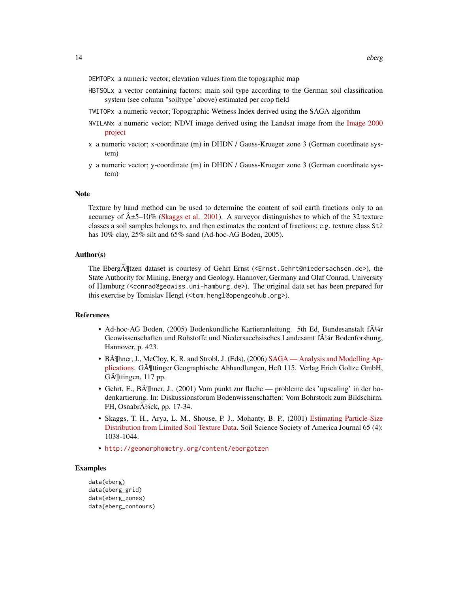DEMTOPx a numeric vector; elevation values from the topographic map

- HBTSOLx a vector containing factors; main soil type according to the German soil classification system (see column "soiltype" above) estimated per crop field
- TWITOPx a numeric vector; Topographic Wetness Index derived using the SAGA algorithm
- NVILANx a numeric vector; NDVI image derived using the Landsat image from the [Image 2000](https://ec.europa.eu/jrc/en) [project](https://ec.europa.eu/jrc/en)
- x a numeric vector; x-coordinate (m) in DHDN / Gauss-Krueger zone 3 (German coordinate system)
- y a numeric vector; y-coordinate (m) in DHDN / Gauss-Krueger zone 3 (German coordinate system)

#### **Note**

Texture by hand method can be used to determine the content of soil earth fractions only to an accuracy of  $\hat{A} \pm 5$ –10% [\(Skaggs et al. 2001\)](https://www.soils.org/publications/sssaj/articles/65/4/1038). A surveyor distinguishes to which of the 32 texture classes a soil samples belongs to, and then estimates the content of fractions; e.g. texture class St2 has 10% clay, 25% silt and 65% sand (Ad-hoc-AG Boden, 2005).

#### Author(s)

The Eberg $\tilde{A}$ ¶tzen dataset is courtesy of Gehrt Ernst (<Ernst.Gehrt@niedersachsen.de>), the State Authority for Mining, Energy and Geology, Hannover, Germany and Olaf Conrad, University of Hamburg (<conrad@geowiss.uni-hamburg.de>). The original data set has been prepared for this exercise by Tomislav Hengl (<tom.hengl@opengeohub.org>).

### References

- Ad-hoc-AG Boden, (2005) Bodenkundliche Kartieranleitung. 5th Ed, Bundesanstalt f $\tilde{A}^{1/4}$ r Geowissenschaften und Rohstoffe und Niedersaechsisches Landesamt f $\tilde{A}/4r$  Bodenforshung, Hannover, p. 423.
- BĶhner, J., McCloy, K. R. and Strobl, J. (Eds), (2006) [SAGA Analysis and Modelling Ap](http://www.saga-gis.org/)[plications.](http://www.saga-gis.org/) GĶttinger Geographische Abhandlungen, Heft 115. Verlag Erich Goltze GmbH, GĶttingen, 117 pp.
- Gehrt, E., B $\tilde{A}$ ¶hner, J., (2001) Vom punkt zur flache probleme des 'upscaling' in der bodenkartierung. In: Diskussionsforum Bodenwissenschaften: Vom Bohrstock zum Bildschirm. FH, Osnabr $\overline{A}$ <sup>1</sup>/<sub>4</sub>ck, pp. 17-34.
- Skaggs, T. H., Arya, L. M., Shouse, P. J., Mohanty, B. P., (2001) [Estimating Particle-Size](https://www.soils.org/publications/sssaj/articles/65/4/1038) [Distribution from Limited Soil Texture Data.](https://www.soils.org/publications/sssaj/articles/65/4/1038) Soil Science Society of America Journal 65 (4): 1038-1044.
- <http://geomorphometry.org/content/ebergotzen>

#### Examples

```
data(eberg)
data(eberg_grid)
data(eberg_zones)
data(eberg_contours)
```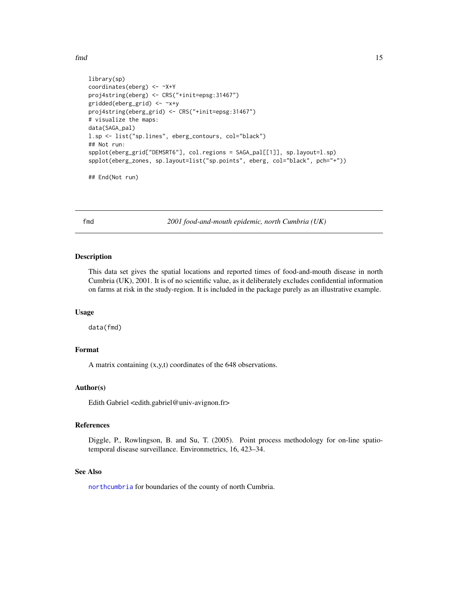<span id="page-14-0"></span>fmd 15

```
library(sp)
coordinates(eberg) <- ~X+Y
proj4string(eberg) <- CRS("+init=epsg:31467")
gridded(eberg_grid) <- ~x+y
proj4string(eberg_grid) <- CRS("+init=epsg:31467")
# visualize the maps:
data(SAGA_pal)
l.sp <- list("sp.lines", eberg_contours, col="black")
## Not run:
spplot(eberg_grid["DEMSRT6"], col.regions = SAGA_pal[[1]], sp.layout=l.sp)
spplot(eberg_zones, sp.layout=list("sp.points", eberg, col="black", pch="+"))
```
## End(Not run)

fmd *2001 food-and-mouth epidemic, north Cumbria (UK)*

#### Description

This data set gives the spatial locations and reported times of food-and-mouth disease in north Cumbria (UK), 2001. It is of no scientific value, as it deliberately excludes confidential information on farms at risk in the study-region. It is included in the package purely as an illustrative example.

#### Usage

data(fmd)

# Format

A matrix containing (x,y,t) coordinates of the 648 observations.

#### Author(s)

Edith Gabriel <edith.gabriel@univ-avignon.fr>

#### References

Diggle, P., Rowlingson, B. and Su, T. (2005). Point process methodology for on-line spatiotemporal disease surveillance. Environmetrics, 16, 423–34.

#### See Also

[northcumbria](#page-58-1) for boundaries of the county of north Cumbria.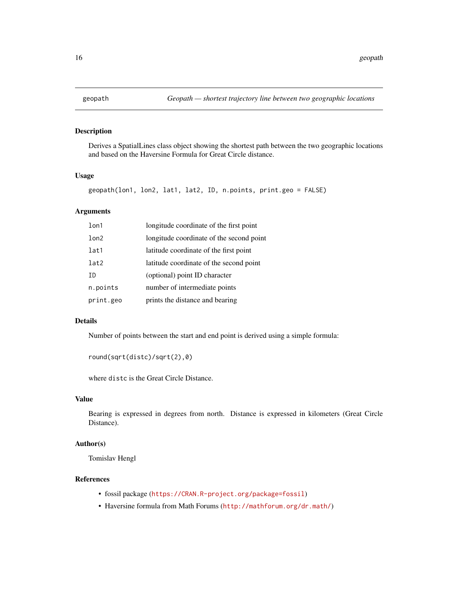<span id="page-15-0"></span>

# Description

Derives a SpatialLines class object showing the shortest path between the two geographic locations and based on the Haversine Formula for Great Circle distance.

# Usage

```
geopath(lon1, lon2, lat1, lat2, ID, n.points, print.geo = FALSE)
```
# Arguments

| 1 <sub>on1</sub> | longitude coordinate of the first point  |
|------------------|------------------------------------------|
| lon2             | longitude coordinate of the second point |
| lat1             | latitude coordinate of the first point   |
| lat2             | latitude coordinate of the second point  |
| ΙD               | (optional) point ID character            |
| n.points         | number of intermediate points            |
| print.geo        | prints the distance and bearing          |

# Details

Number of points between the start and end point is derived using a simple formula:

```
round(sqrt(distc)/sqrt(2),0)
```
where distc is the Great Circle Distance.

# Value

Bearing is expressed in degrees from north. Distance is expressed in kilometers (Great Circle Distance).

# Author(s)

Tomislav Hengl

# References

- fossil package (<https://CRAN.R-project.org/package=fossil>)
- Haversine formula from Math Forums (<http://mathforum.org/dr.math/>)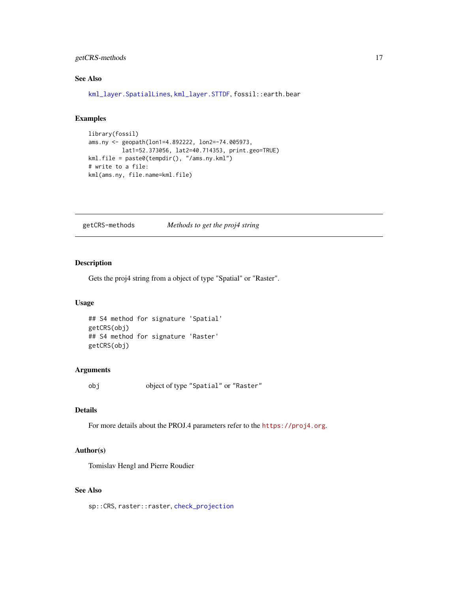# <span id="page-16-0"></span>getCRS-methods 17

# See Also

[kml\\_layer.SpatialLines](#page-36-1), [kml\\_layer.STTDF](#page-46-1), fossil::earth.bear

# Examples

```
library(fossil)
ams.ny <- geopath(lon1=4.892222, lon2=-74.005973,
         lat1=52.373056, lat2=40.714353, print.geo=TRUE)
kml.file = paste0(tempdir(), "/ams.ny.kml")
# write to a file:
kml(ams.ny, file.name=kml.file)
```
getCRS-methods *Methods to get the proj4 string*

# Description

Gets the proj4 string from a object of type "Spatial" or "Raster".

#### Usage

```
## S4 method for signature 'Spatial'
getCRS(obj)
## S4 method for signature 'Raster'
getCRS(obj)
```
# Arguments

obj object of type "Spatial" or "Raster"

#### Details

For more details about the PROJ.4 parameters refer to the <https://proj4.org>.

# Author(s)

Tomislav Hengl and Pierre Roudier

# See Also

sp::CRS, raster::raster, [check\\_projection](#page-8-1)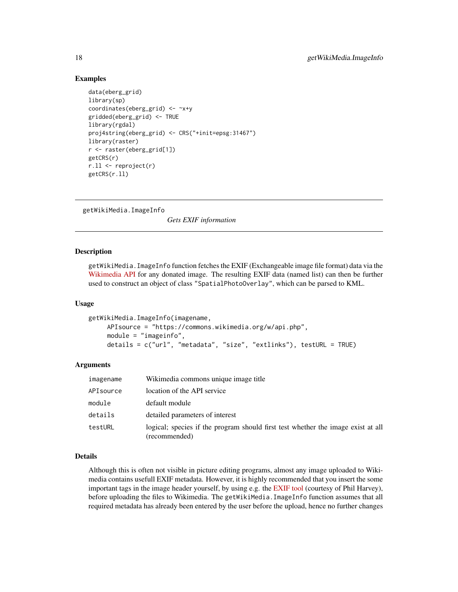# Examples

```
data(eberg_grid)
library(sp)
coordinates(eberg_grid) <- ~x+y
gridded(eberg_grid) <- TRUE
library(rgdal)
proj4string(eberg_grid) <- CRS("+init=epsg:31467")
library(raster)
r <- raster(eberg_grid[1])
getCRS(r)
r.ll <- reproject(r)
getCRS(r.ll)
```
getWikiMedia.ImageInfo

*Gets EXIF information*

## **Description**

getWikiMedia.ImageInfo function fetches the EXIF (Exchangeable image file format) data via the [Wikimedia API](http://www.mediawiki.org/wiki/API) for any donated image. The resulting EXIF data (named list) can then be further used to construct an object of class "SpatialPhotoOverlay", which can be parsed to KML.

#### Usage

```
getWikiMedia.ImageInfo(imagename,
     APIsource = "https://commons.wikimedia.org/w/api.php",
     module = "imageinfo",
     details = c("url", "metadata", "size", "extlinks"), testURL = TRUE)
```
#### Arguments

| imagename | Wikimedia commons unique image title                                                              |
|-----------|---------------------------------------------------------------------------------------------------|
| APIsource | location of the API service                                                                       |
| module    | default module                                                                                    |
| details   | detailed parameters of interest                                                                   |
| testURL   | logical; species if the program should first test whether the image exist at all<br>(recommended) |

# Details

Although this is often not visible in picture editing programs, almost any image uploaded to Wikimedia contains usefull EXIF metadata. However, it is highly recommended that you insert the some important tags in the image header yourself, by using e.g. the [EXIF tool](http://www.sno.phy.queensu.ca/~phil/exiftool/) (courtesy of Phil Harvey), before uploading the files to Wikimedia. The getWikiMedia. ImageInfo function assumes that all required metadata has already been entered by the user before the upload, hence no further changes

<span id="page-17-0"></span>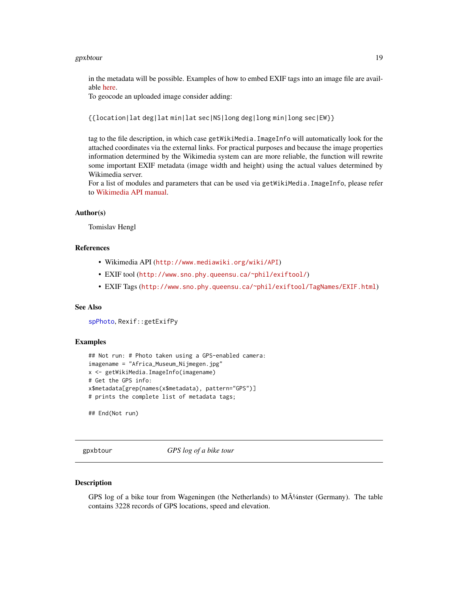#### <span id="page-18-0"></span>gpxbtour that the set of the set of the set of the set of the set of the set of the set of the set of the set of the set of the set of the set of the set of the set of the set of the set of the set of the set of the set of

in the metadata will be possible. Examples of how to embed EXIF tags into an image file are available [here.](http://commons.wikimedia.org/wiki/Commons:EXIF)

To geocode an uploaded image consider adding:

```
{{location|lat deg|lat min|lat sec|NS|long deg|long min|long sec|EW}}
```
tag to the file description, in which case getWikiMedia.ImageInfo will automatically look for the attached coordinates via the external links. For practical purposes and because the image properties information determined by the Wikimedia system can are more reliable, the function will rewrite some important EXIF metadata (image width and height) using the actual values determined by Wikimedia server.

For a list of modules and parameters that can be used via getWikiMedia. ImageInfo, please refer to [Wikimedia API manual.](http://www.mediawiki.org/wiki/API)

#### Author(s)

Tomislav Hengl

# References

- Wikimedia API (<http://www.mediawiki.org/wiki/API>)
- EXIF tool (<http://www.sno.phy.queensu.ca/~phil/exiftool/>)
- EXIF Tags (<http://www.sno.phy.queensu.ca/~phil/exiftool/TagNames/EXIF.html>)

# See Also

[spPhoto](#page-91-1), Rexif::getExifPy

#### Examples

```
## Not run: # Photo taken using a GPS-enabled camera:
imagename = "Africa_Museum_Nijmegen.jpg"
x <- getWikiMedia.ImageInfo(imagename)
# Get the GPS info:
x$metadata[grep(names(x$metadata), pattern="GPS")]
# prints the complete list of metadata tags;
```
## End(Not run)

gpxbtour *GPS log of a bike tour*

#### **Description**

GPS log of a bike tour from Wageningen (the Netherlands) to  $M\tilde{\Lambda}^{1/4}$ nster (Germany). The table contains 3228 records of GPS locations, speed and elevation.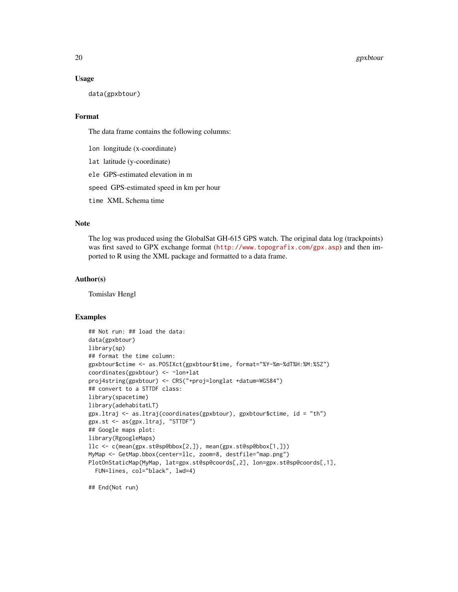#### 20 gpxbtour

#### Usage

data(gpxbtour)

#### Format

The data frame contains the following columns:

lon longitude (x-coordinate)

lat latitude (y-coordinate)

ele GPS-estimated elevation in m

speed GPS-estimated speed in km per hour

time XML Schema time

# Note

The log was produced using the GlobalSat GH-615 GPS watch. The original data log (trackpoints) was first saved to GPX exchange format (<http://www.topografix.com/gpx.asp>) and then imported to R using the XML package and formatted to a data frame.

# Author(s)

Tomislav Hengl

#### Examples

```
## Not run: ## load the data:
data(gpxbtour)
library(sp)
## format the time column:
gpxbtour$ctime <- as.POSIXct(gpxbtour$time, format="%Y-%m-%dT%H:%M:%SZ")
coordinates(gpxbtour) <- ~lon+lat
proj4string(gpxbtour) <- CRS("+proj=longlat +datum=WGS84")
## convert to a STTDF class:
library(spacetime)
library(adehabitatLT)
gpx.ltraj <- as.ltraj(coordinates(gpxbtour), gpxbtour$ctime, id = "th")
gpx.st <- as(gpx.ltraj, "STTDF")
## Google maps plot:
library(RgoogleMaps)
llc <- c(mean(gpx.st@sp@bbox[2,]), mean(gpx.st@sp@bbox[1,]))
MyMap <- GetMap.bbox(center=llc, zoom=8, destfile="map.png")
PlotOnStaticMap(MyMap, lat=gpx.st@sp@coords[,2], lon=gpx.st@sp@coords[,1],
  FUN=lines, col="black", lwd=4)
```
## End(Not run)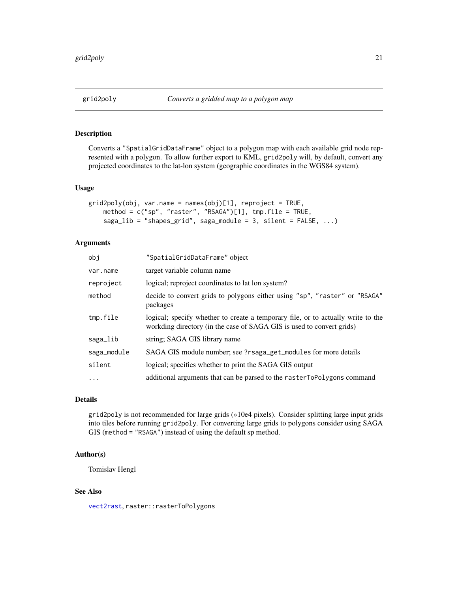<span id="page-20-0"></span>

# Description

Converts a "SpatialGridDataFrame" object to a polygon map with each available grid node represented with a polygon. To allow further export to KML, grid2poly will, by default, convert any projected coordinates to the lat-lon system (geographic coordinates in the WGS84 system).

#### Usage

```
grid2poly(obj, var.name = names(obj)[1], report = TRUE,method = c("sp", "raster", "RSAGA")[1], tmp.file = TRUE,
    saga_lib = "shapes_grid", saga_module = 3, silent = FALSE, ...)
```
# Arguments

| obj         | "SpatialGridDataFrame" object                                                                                                                             |
|-------------|-----------------------------------------------------------------------------------------------------------------------------------------------------------|
| var.name    | target variable column name                                                                                                                               |
| reproject   | logical; reproject coordinates to lat lon system?                                                                                                         |
| method      | decide to convert grids to polygons either using "sp", "raster" or "RSAGA"<br>packages                                                                    |
| tmp.file    | logical; specify whether to create a temporary file, or to actually write to the<br>workding directory (in the case of SAGA GIS is used to convert grids) |
| saga_lib    | string; SAGA GIS library name                                                                                                                             |
| saga_module | SAGA GIS module number; see ?rsaga_get_modules for more details                                                                                           |
| silent      | logical; specifies whether to print the SAGA GIS output                                                                                                   |
| $\cdots$    | additional arguments that can be parsed to the rasterToPolygons command                                                                                   |

# Details

grid2poly is not recommended for large grids (»10e4 pixels). Consider splitting large input grids into tiles before running grid2poly. For converting large grids to polygons consider using SAGA GIS (method = "RSAGA") instead of using the default sp method.

### Author(s)

Tomislav Hengl

### See Also

[vect2rast](#page-94-1), raster::rasterToPolygons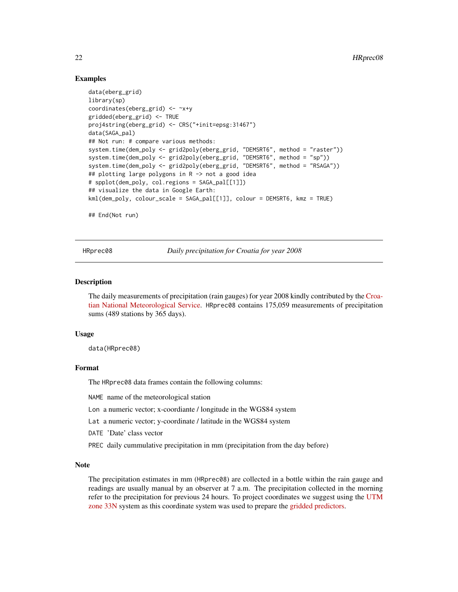## Examples

```
data(eberg_grid)
library(sp)
coordinates(eberg_grid) <- ~x+y
gridded(eberg_grid) <- TRUE
proj4string(eberg_grid) <- CRS("+init=epsg:31467")
data(SAGA_pal)
## Not run: # compare various methods:
system.time(dem_poly <- grid2poly(eberg_grid, "DEMSRT6", method = "raster"))
system.time(dem_poly <- grid2poly(eberg_grid, "DEMSRT6", method = "sp"))
system.time(dem_poly <- grid2poly(eberg_grid, "DEMSRT6", method = "RSAGA"))
## plotting large polygons in R -> not a good idea
# spplot(dem_poly, col.regions = SAGA_pal[[1]])
## visualize the data in Google Earth:
kml(dem_poly, colour_scale = SAGA_pal[[1]], colour = DEMSRT6, kmz = TRUE)
```
## End(Not run)

<span id="page-21-1"></span>HRprec08 *Daily precipitation for Croatia for year 2008*

#### Description

The daily measurements of precipitation (rain gauges) for year 2008 kindly contributed by the [Croa](http://meteo.hr)[tian National Meteorological Service.](http://meteo.hr) HRprec08 contains 175,059 measurements of precipitation sums (489 stations by 365 days).

#### Usage

data(HRprec08)

# Format

The HRprec08 data frames contain the following columns:

NAME name of the meteorological station

Lon a numeric vector; x-coordiante / longitude in the WGS84 system

Lat a numeric vector; y-coordinate / latitude in the WGS84 system

DATE 'Date' class vector

PREC daily cummulative precipitation in mm (precipitation from the day before)

#### Note

The precipitation estimates in mm (HRprec08) are collected in a bottle within the rain gauge and readings are usually manual by an observer at 7 a.m. The precipitation collected in the morning refer to the precipitation for previous 24 hours. To project coordinates we suggest using the [UTM](http://spatialreference.org/ref/epsg/32633/) [zone 33N](http://spatialreference.org/ref/epsg/32633/) system as this coordinate system was used to prepare the [gridded predictors.](http://spatial-analyst.net/book/HRclim2008)

<span id="page-21-0"></span>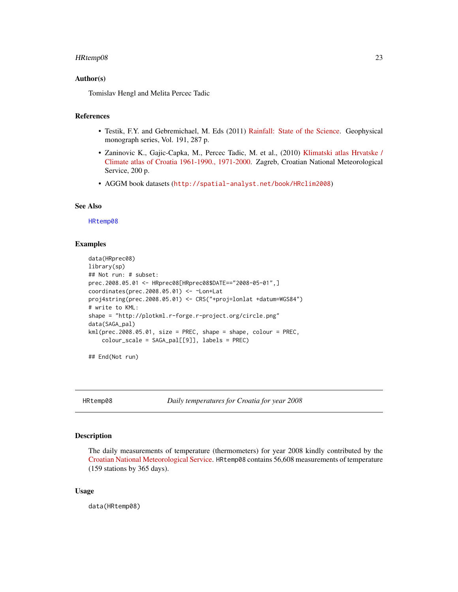#### <span id="page-22-0"></span>HRtemp08 23

#### Author(s)

Tomislav Hengl and Melita Percec Tadic

#### References

- Testik, F.Y. and Gebremichael, M. Eds (2011) [Rainfall: State of the Science.](https://dx.doi.org/10.1029/GM191) Geophysical monograph series, Vol. 191, 287 p.
- Zaninovic K., Gajic-Capka, M., Percec Tadic, M. et al., (2010) [Klimatski atlas Hrvatske /](http://klima.hr/razno.php?id=publikacije¶m=atlas) [Climate atlas of Croatia 1961-1990., 1971-2000.](http://klima.hr/razno.php?id=publikacije¶m=atlas) Zagreb, Croatian National Meteorological Service, 200 p.
- AGGM book datasets (<http://spatial-analyst.net/book/HRclim2008>)

## See Also

[HRtemp08](#page-22-1)

#### Examples

```
data(HRprec08)
library(sp)
## Not run: # subset:
prec.2008.05.01 <- HRprec08[HRprec08$DATE=="2008-05-01",]
coordinates(prec.2008.05.01) <- ~Lon+Lat
proj4string(prec.2008.05.01) <- CRS("+proj=lonlat +datum=WGS84")
# write to KML:
shape = "http://plotkml.r-forge.r-project.org/circle.png"
data(SAGA_pal)
kml(prec.2008.05.01, size = PREC, shape = shape, colour = PREC,
   colour_scale = SAGA_pal[[9]], labels = PREC)
```
## End(Not run)

<span id="page-22-1"></span>HRtemp08 *Daily temperatures for Croatia for year 2008*

#### Description

The daily measurements of temperature (thermometers) for year 2008 kindly contributed by the [Croatian National Meteorological Service.](http://meteo.hr) HRtemp08 contains 56,608 measurements of temperature (159 stations by 365 days).

#### Usage

data(HRtemp08)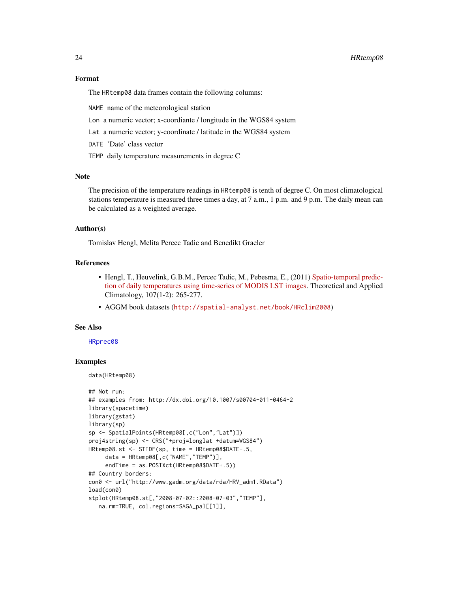#### 24 HRtemp08

#### Format

The HRtemp08 data frames contain the following columns:

NAME name of the meteorological station

- Lon a numeric vector; x-coordiante / longitude in the WGS84 system
- Lat a numeric vector; y-coordinate / latitude in the WGS84 system
- DATE 'Date' class vector
- TEMP daily temperature measurements in degree C

# **Note**

The precision of the temperature readings in HRtemp08 is tenth of degree C. On most climatological stations temperature is measured three times a day, at 7 a.m., 1 p.m. and 9 p.m. The daily mean can be calculated as a weighted average.

#### Author(s)

Tomislav Hengl, Melita Percec Tadic and Benedikt Graeler

# References

- Hengl, T., Heuvelink, G.B.M., Percec Tadic, M., Pebesma, E., (2011) [Spatio-temporal predic](http://dx.doi.org/10.1007/s00704-011-0464-2)[tion of daily temperatures using time-series of MODIS LST images.](http://dx.doi.org/10.1007/s00704-011-0464-2) Theoretical and Applied Climatology, 107(1-2): 265-277.
- AGGM book datasets (<http://spatial-analyst.net/book/HRclim2008>)

#### See Also

#### [HRprec08](#page-21-1)

# Examples

data(HRtemp08)

```
## Not run:
## examples from: http://dx.doi.org/10.1007/s00704-011-0464-2
library(spacetime)
library(gstat)
library(sp)
sp <- SpatialPoints(HRtemp08[,c("Lon","Lat")])
proj4string(sp) <- CRS("+proj=longlat +datum=WGS84")
HRtemp08.st <- STIDF(sp, time = HRtemp08$DATE-.5,
     data = HRtemp08[,c("NAME","TEMP")],
     endTime = as.POSIXct(HRtemp08$DATE+.5))
## Country borders:
con0 <- url("http://www.gadm.org/data/rda/HRV_adm1.RData")
load(con0)
stplot(HRtemp08.st[,"2008-07-02::2008-07-03","TEMP"],
   na.rm=TRUE, col.regions=SAGA_pal[[1]],
```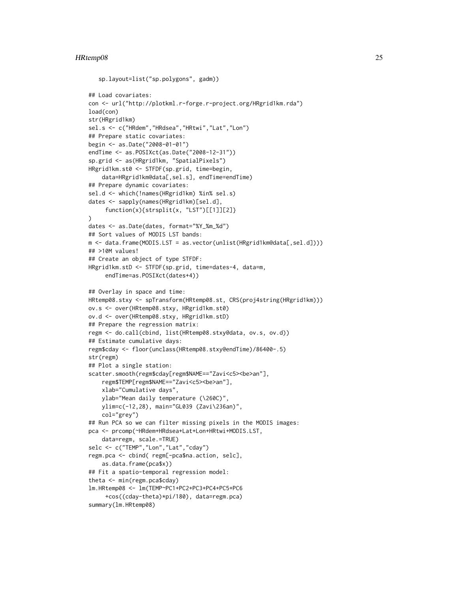#### HRtemp08 25

```
sp.layout=list("sp.polygons", gadm))
## Load covariates:
con <- url("http://plotkml.r-forge.r-project.org/HRgrid1km.rda")
load(con)
str(HRgrid1km)
sel.s <- c("HRdem","HRdsea","HRtwi","Lat","Lon")
## Prepare static covariates:
begin <- as.Date("2008-01-01")
endTime <- as.POSIXct(as.Date("2008-12-31"))
sp.grid <- as(HRgrid1km, "SpatialPixels")
HRgrid1km.st0 <- STFDF(sp.grid, time=begin,
    data=HRgrid1km@data[,sel.s], endTime=endTime)
## Prepare dynamic covariates:
sel.d <- which(!names(HRgrid1km) %in% sel.s)
dates <- sapply(names(HRgrid1km)[sel.d],
     function(x){strsplit(x, "LST")[[1]][2]}
)
dates <- as.Date(dates, format="%Y_%m_%d")
## Sort values of MODIS LST bands:
m <- data.frame(MODIS.LST = as.vector(unlist(HRgrid1km@data[,sel.d])))
## >10M values!
## Create an object of type STFDF:
HRgrid1km.stD <- STFDF(sp.grid, time=dates-4, data=m,
     endTime=as.POSIXct(dates+4))
## Overlay in space and time:
HRtemp08.stxy <- spTransform(HRtemp08.st, CRS(proj4string(HRgrid1km)))
ov.s <- over(HRtemp08.stxy, HRgrid1km.st0)
ov.d <- over(HRtemp08.stxy, HRgrid1km.stD)
## Prepare the regression matrix:
regm <- do.call(cbind, list(HRtemp08.stxy@data, ov.s, ov.d))
## Estimate cumulative days:
regm$cday <- floor(unclass(HRtemp08.stxy@endTime)/86400-.5)
str(regm)
## Plot a single station:
scatter.smooth(regm$cday[regm$NAME=="Zavi<c5><be>an"],
    regm$TEMP[regm$NAME=="Zavi<c5><be>an"],
    xlab="Cumulative days",
   ylab="Mean daily temperature (\260C)",
   ylim=c(-12,28), main="GL039 (Zavi\236an)",
    col="grey")
## Run PCA so we can filter missing pixels in the MODIS images:
pca <- prcomp(~HRdem+HRdsea+Lat+Lon+HRtwi+MODIS.LST,
    data=regm, scale.=TRUE)
selc <- c("TEMP","Lon","Lat","cday")
regm.pca <- cbind( regm[-pca$na.action, selc],
   as.data.frame(pca$x))
## Fit a spatio-temporal regression model:
theta <- min(regm.pca$cday)
lm.HRtemp08 <- lm(TEMP~PC1+PC2+PC3+PC4+PC5+PC6
     +cos((cday-theta)*pi/180), data=regm.pca)
summary(lm.HRtemp08)
```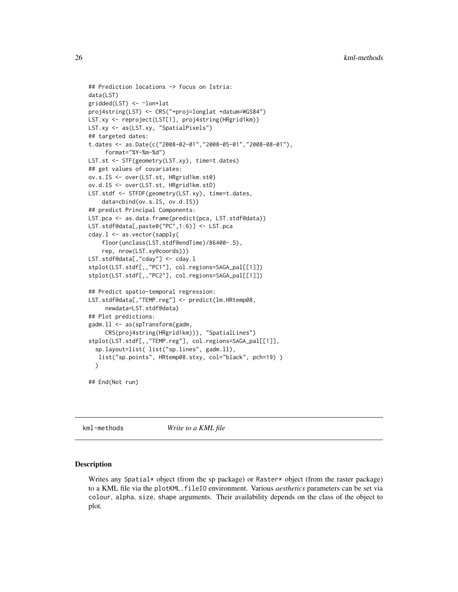```
## Prediction locations -> focus on Istria:
data(LST)
gridded(LST) <- ~lon+lat
proj4string(LST) <- CRS("+proj=longlat +datum=WGS84")
LST.xy <- reproject(LST[1], proj4string(HRgrid1km))
LST.xy <- as(LST.xy, "SpatialPixels")
## targeted dates:
t.dates <- as.Date(c("2008-02-01","2008-05-01","2008-08-01"),
     format="%Y-%m-%d")
LST.st <- STF(geometry(LST.xy), time=t.dates)
## get values of covariates:
ov.s.IS <- over(LST.st, HRgrid1km.st0)
ov.d.IS <- over(LST.st, HRgrid1km.stD)
LST.stdf <- STFDF(geometry(LST.xy), time=t.dates,
    data=cbind(ov.s.IS, ov.d.IS))
## predict Principal Components:
LST.pca <- as.data.frame(predict(pca, LST.stdf@data))
LST.stdf@data[,paste0("PC",1:6)] <- LST.pca
cday.l <- as.vector(sapply(
    floor(unclass(LST.stdf@endTime)/86400-.5),
    rep, nrow(LST.xy@coords)))
LST.stdf@data[,"cday"] <- cday.l
stplot(LST.stdf[,,"PC1"], col.regions=SAGA_pal[[1]])
stplot(LST.stdf[,,"PC2"], col.regions=SAGA_pal[[1]])
## Predict spatio-temporal regression:
LST.stdf@data[,"TEMP.reg"] <- predict(lm.HRtemp08,
     newdata=LST.stdf@data)
## Plot predictions:
gadm.ll <- as(spTransform(gadm,
     CRS(proj4string(HRgrid1km))), "SpatialLines")
stplot(LST.stdf[,,"TEMP.reg"], col.regions=SAGA_pal[[1]],
  sp.layout=list( list("sp.lines", gadm.ll),
   list("sp.points", HRtemp08.stxy, col="black", pch=19) )
  \lambda
```

```
## End(Not run)
```
<span id="page-25-1"></span>kml-methods *Write to a KML file*

### Description

Writes any Spatial\* object (from the sp package) or Raster\* object (from the raster package) to a KML file via the plotKML.fileIO environment. Various *aesthetics* parameters can be set via colour, alpha, size, shape arguments. Their availability depends on the class of the object to plot.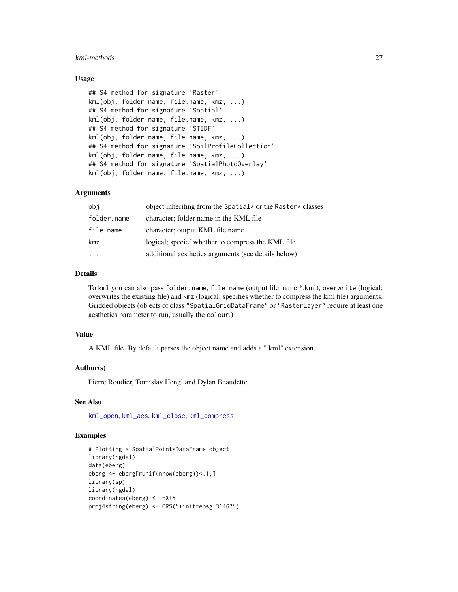#### kml-methods 27

#### Usage

```
## S4 method for signature 'Raster'
kml(obj, folder.name, file.name, kmz, ...)
## S4 method for signature 'Spatial'
kml(obj, folder.name, file.name, kmz, ...)
## S4 method for signature 'STIDF'
kml(obj, folder.name, file.name, kmz, ...)
## S4 method for signature 'SoilProfileCollection'
kml(obj, folder.name, file.name, kmz, ...)
## S4 method for signature 'SpatialPhotoOverlay'
kml(obj, folder.name, file.name, kmz, ...)
```
# Arguments

| obi         | object inheriting from the Spatial* or the Raster* classes |
|-------------|------------------------------------------------------------|
| folder.name | character; folder name in the KML file                     |
| file.name   | character; output KML file name                            |
| kmz         | logical; specief whether to compress the KML file          |
|             | additional aesthetics arguments (see details below)        |

# Details

To kml you can also pass folder.name, file.name (output file name \*.kml), overwrite (logical; overwrites the existing file) and kmz (logical; specifies whether to compress the kml file) arguments. Gridded objects (objects of class "SpatialGridDataFrame" or "RasterLayer" require at least one aesthetics parameter to run, usually the colour.)

# Value

A KML file. By default parses the object name and adds a ".kml" extension.

#### Author(s)

Pierre Roudier, Tomislav Hengl and Dylan Beaudette

#### See Also

[kml\\_open](#page-51-1), [kml\\_aes](#page-3-1), [kml\\_close](#page-51-2), [kml\\_compress](#page-28-1)

### Examples

```
# Plotting a SpatialPointsDataFrame object
library(rgdal)
data(eberg)
eberg <- eberg[runif(nrow(eberg))<.1,]
library(sp)
library(rgdal)
coordinates(eberg) <- ~X+Y
proj4string(eberg) <- CRS("+init=epsg:31467")
```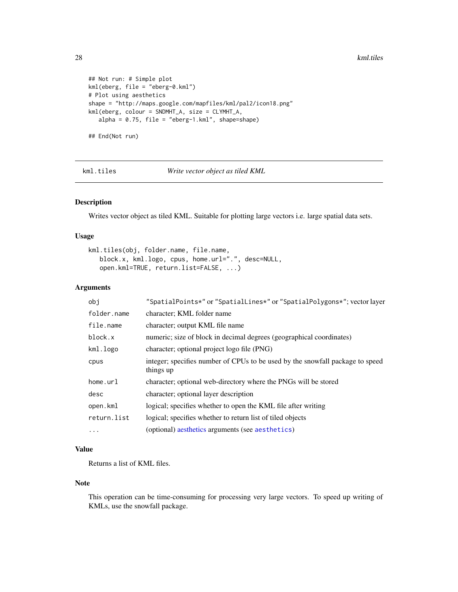#### 28 kml.tiles

```
## Not run: # Simple plot
kml(eberg, file = "eberg-0.kml")
# Plot using aesthetics
shape = "http://maps.google.com/mapfiles/kml/pal2/icon18.png"
kml(eberg, colour = SNDMHT_A, size = CLYMHT_A,
   alpha = 0.75, file = "eberg-1.kml", shape=shape)
## End(Not run)
```
kml.tiles *Write vector object as tiled KML*

# Description

Writes vector object as tiled KML. Suitable for plotting large vectors i.e. large spatial data sets.

#### Usage

```
kml.tiles(obj, folder.name, file.name,
  block.x, kml.logo, cpus, home.url=".", desc=NULL,
   open.kml=TRUE, return.list=FALSE, ...)
```
# Arguments

| obj         | "SpatialPoints*" or "SpatialLines*" or "SpatialPolygons*"; vector layer                    |
|-------------|--------------------------------------------------------------------------------------------|
| folder.name | character; KML folder name                                                                 |
| file.name   | character; output KML file name                                                            |
| block.x     | numeric; size of block in decimal degrees (geographical coordinates)                       |
| kml.logo    | character; optional project logo file (PNG)                                                |
| cpus        | integer; specifies number of CPUs to be used by the snowfall package to speed<br>things up |
| home.url    | character; optional web-directory where the PNGs will be stored                            |
| desc        | character; optional layer description                                                      |
| open.kml    | logical; specifies whether to open the KML file after writing                              |
| return.list | logical; specifies whether to return list of tiled objects                                 |
| $\ddots$    | (optional) aesthetics arguments (see aesthetics)                                           |

# Value

Returns a list of KML files.

#### Note

This operation can be time-consuming for processing very large vectors. To speed up writing of KMLs, use the snowfall package.

<span id="page-27-0"></span>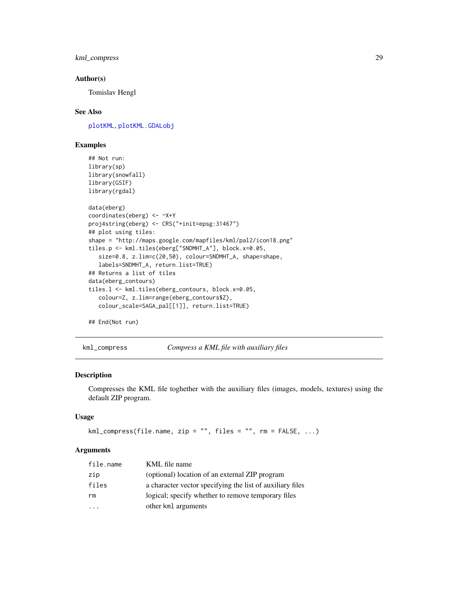<span id="page-28-0"></span>kml\_compress 29

#### Author(s)

Tomislav Hengl

# See Also

[plotKML](#page-59-1), [plotKML.GDALobj](#page-72-1)

# Examples

```
## Not run:
library(sp)
library(snowfall)
library(GSIF)
library(rgdal)
data(eberg)
coordinates(eberg) <- ~X+Y
proj4string(eberg) <- CRS("+init=epsg:31467")
## plot using tiles:
shape = "http://maps.google.com/mapfiles/kml/pal2/icon18.png"
tiles.p <- kml.tiles(eberg["SNDMHT_A"], block.x=0.05,
   size=0.8, z.lim=c(20,50), colour=SNDMHT_A, shape=shape,
   labels=SNDMHT_A, return.list=TRUE)
## Returns a list of tiles
data(eberg_contours)
tiles.l <- kml.tiles(eberg_contours, block.x=0.05,
   colour=Z, z.lim=range(eberg_contours$Z),
   colour_scale=SAGA_pal[[1]], return.list=TRUE)
```
## End(Not run)

<span id="page-28-1"></span>kml\_compress *Compress a KML file with auxiliary files*

# Description

Compresses the KML file toghether with the auxiliary files (images, models, textures) using the default ZIP program.

# Usage

```
km1_compress(file.name, zip = "", files = "", rm = FALSE, ...)
```
#### **Arguments**

| file.name | KML file name                                             |
|-----------|-----------------------------------------------------------|
| zip       | (optional) location of an external ZIP program            |
| files     | a character vector specifying the list of auxiliary files |
| rm        | logical; specify whether to remove temporary files        |
|           | other kml arguments                                       |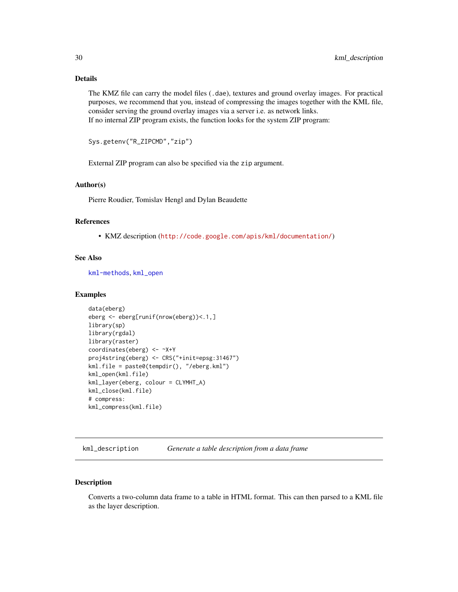# <span id="page-29-0"></span>Details

The KMZ file can carry the model files (.dae), textures and ground overlay images. For practical purposes, we recommend that you, instead of compressing the images together with the KML file, consider serving the ground overlay images via a server i.e. as network links. If no internal ZIP program exists, the function looks for the system ZIP program:

Sys.getenv("R\_ZIPCMD","zip")

External ZIP program can also be specified via the zip argument.

#### Author(s)

Pierre Roudier, Tomislav Hengl and Dylan Beaudette

# References

• KMZ description (<http://code.google.com/apis/kml/documentation/>)

# See Also

[kml-methods](#page-25-1), [kml\\_open](#page-51-1)

#### Examples

```
data(eberg)
eberg <- eberg[runif(nrow(eberg))<.1,]
library(sp)
library(rgdal)
library(raster)
coordinates(eberg) <- ~X+Y
proj4string(eberg) <- CRS("+init=epsg:31467")
kml.file = paste0(tempdir(), "/eberg.kml")
kml_open(kml.file)
kml_layer(eberg, colour = CLYMHT_A)
kml_close(kml.file)
# compress:
kml_compress(kml.file)
```
kml\_description *Generate a table description from a data frame*

### Description

Converts a two-column data frame to a table in HTML format. This can then parsed to a KML file as the layer description.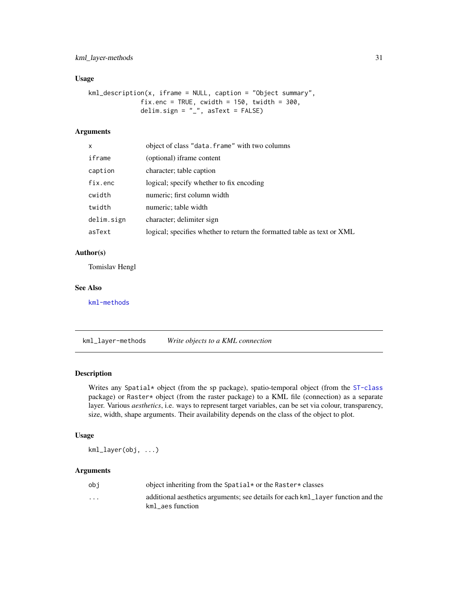# <span id="page-30-0"></span>kml\_layer-methods 31

# Usage

```
kml_description(x, iframe = NULL, caption = "Object summary",
              fix.enc = TRUE, cwidth = 150, twidth = 300,
              delim.sign = "_", asText = FALSE)
```
# Arguments

| X          | object of class "data. frame" with two columns                          |
|------------|-------------------------------------------------------------------------|
| iframe     | (optional) iframe content                                               |
| caption    | character; table caption                                                |
| fix.enc    | logical; specify whether to fix encoding                                |
| cwidth     | numeric; first column width                                             |
| twidth     | numeric; table width                                                    |
| delim.sign | character; delimiter sign                                               |
| asText     | logical; specifies whether to return the formatted table as text or XML |

#### Author(s)

Tomislav Hengl

# See Also

[kml-methods](#page-25-1)

kml\_layer-methods *Write objects to a KML connection*

#### Description

Writes any Spatial\* object (from the sp package), spatio-temporal object (from the [ST-class](#page-0-0) package) or Raster\* object (from the raster package) to a KML file (connection) as a separate layer. Various *aesthetics*, i.e. ways to represent target variables, can be set via colour, transparency, size, width, shape arguments. Their availability depends on the class of the object to plot.

# Usage

kml\_layer(obj, ...)

#### Arguments

| obi      | object inheriting from the Spatial $\star$ or the Raster $\star$ classes                             |
|----------|------------------------------------------------------------------------------------------------------|
| $\cdots$ | additional aesthetics arguments; see details for each kml_layer function and the<br>kml aes function |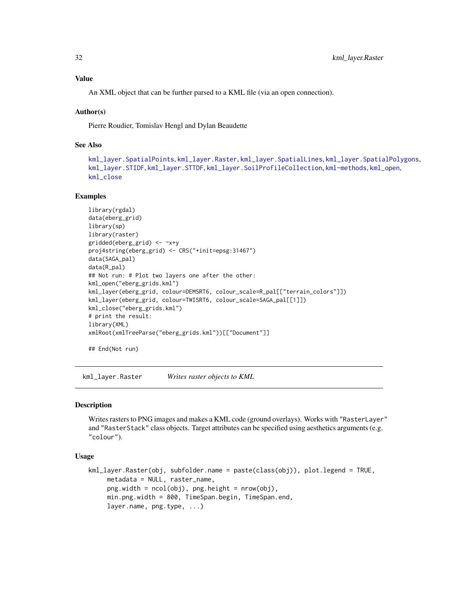# <span id="page-31-0"></span>Value

An XML object that can be further parsed to a KML file (via an open connection).

#### Author(s)

Pierre Roudier, Tomislav Hengl and Dylan Beaudette

# See Also

```
kml_layer.SpatialPoints, kml_layer.Raster, kml_layer.SpatialLines, kml_layer.SpatialPolygons,
kml_layer.STIDF, kml_layer.STTDF, kml_layer.SoilProfileCollection, kml-methods, kml_open,
kml_close
```
#### Examples

```
library(rgdal)
data(eberg_grid)
library(sp)
library(raster)
gridded(eberg_grid) <- ~x+y
proj4string(eberg_grid) <- CRS("+init=epsg:31467")
data(SAGA_pal)
data(R_pal)
## Not run: # Plot two layers one after the other:
kml_open("eberg_grids.kml")
kml_layer(eberg_grid, colour=DEMSRT6, colour_scale=R_pal[["terrain_colors"]])
kml_layer(eberg_grid, colour=TWISRT6, colour_scale=SAGA_pal[[1]])
kml_close("eberg_grids.kml")
# print the result:
library(XML)
xmlRoot(xmlTreeParse("eberg_grids.kml"))[["Document"]]
```
## End(Not run)

<span id="page-31-1"></span>kml\_layer.Raster *Writes raster objects to KML*

#### Description

Writes rasters to PNG images and makes a KML code (ground overlays). Works with "RasterLayer" and "RasterStack" class objects. Target attributes can be specified using aesthetics arguments (e.g. "colour").

#### Usage

```
kml_layer.Raster(obj, subfolder.name = paste(class(obj)), plot.legend = TRUE,
    metadata = NULL, raster_name,
    png.width = ncol(obj), pngheight = nrow(obj),min.png.width = 800, TimeSpan.begin, TimeSpan.end,
    layer.name, png.type, ...)
```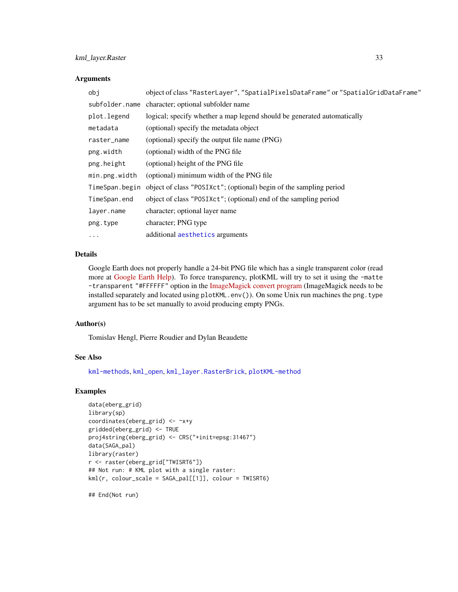# kml\_layer.Raster 33

#### **Arguments**

| obj            | object of class "RasterLayer", "SpatialPixelsDataFrame" or "SpatialGridDataFrame" |
|----------------|-----------------------------------------------------------------------------------|
|                | subfolder.name character; optional subfolder name                                 |
| plot.legend    | logical; specify whether a map legend should be generated automatically           |
| metadata       | (optional) specify the metadata object                                            |
| raster_name    | (optional) specify the output file name (PNG)                                     |
| png.width      | (optional) width of the PNG file                                                  |
| png.height     | (optional) height of the PNG file                                                 |
| min.png.width  | (optional) minimum width of the PNG file                                          |
| TimeSpan.begin | object of class "POSIXct"; (optional) begin of the sampling period                |
| TimeSpan.end   | object of class "POSIXct"; (optional) end of the sampling period                  |
| layer.name     | character; optional layer name                                                    |
| png.type       | character; PNG type                                                               |
| $\cdots$       | additional aesthetics arguments                                                   |

# Details

Google Earth does not properly handle a 24-bit PNG file which has a single transparent color (read more at [Google Earth Help\)](http://groups.google.com/group/earth-help/). To force transparency, plotKML will try to set it using the -matte -transparent "#FFFFFF" option in the [ImageMagick convert program](http://www.imagemagick.org/Usage/masking/) (ImageMagick needs to be installed separately and located using plotKML.env()). On some Unix run machines the png.type argument has to be set manually to avoid producing empty PNGs.

#### Author(s)

Tomislav Hengl, Pierre Roudier and Dylan Beaudette

#### See Also

[kml-methods](#page-25-1), [kml\\_open](#page-51-1), [kml\\_layer.RasterBrick](#page-33-1), [plotKML-method](#page-59-2)

# Examples

```
data(eberg_grid)
library(sp)
coordinates(eberg_grid) <- ~x+y
gridded(eberg_grid) <- TRUE
proj4string(eberg_grid) <- CRS("+init=epsg:31467")
data(SAGA_pal)
library(raster)
r <- raster(eberg_grid["TWISRT6"])
## Not run: # KML plot with a single raster:
kml(r, colour_scale = SAGA_pal[[1]], colour = TWISRT6)
```
## End(Not run)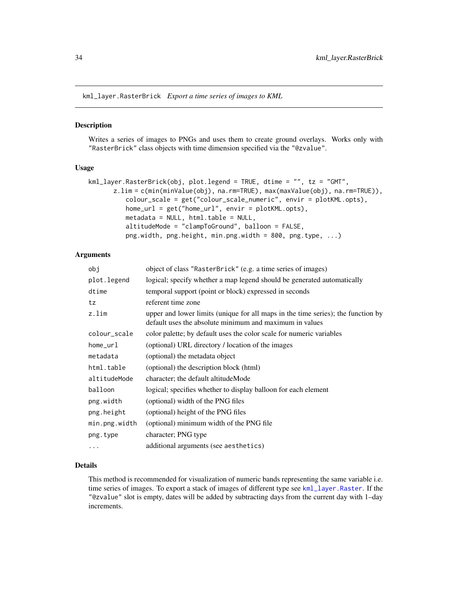<span id="page-33-1"></span><span id="page-33-0"></span>kml\_layer.RasterBrick *Export a time series of images to KML*

#### Description

Writes a series of images to PNGs and uses them to create ground overlays. Works only with "RasterBrick" class objects with time dimension specified via the "@zvalue".

### Usage

```
kml_layer.RasterBrick(obj, plot.legend = TRUE, dtime = "", tz = "GMT",
      z.lim = c(min(minValue(obj), na.rm=TRUE), max(maxValue(obj), na.rm=TRUE)),
          colour_scale = get("colour_scale_numeric", envir = plotKML.opts),
          home_url = get("home_url", envir = plotKML.opts),
          metadata = NULL, html.table = NULL,
          altitudeMode = "clampToGround", balloon = FALSE,
          png.width, png.height, min.png.width = 800, png.type, ...)
```
# Arguments

| obj           | object of class "RasterBrick" (e.g. a time series of images)                                                                                |
|---------------|---------------------------------------------------------------------------------------------------------------------------------------------|
| plot.legend   | logical; specify whether a map legend should be generated automatically                                                                     |
| dtime         | temporal support (point or block) expressed in seconds                                                                                      |
| tz            | referent time zone                                                                                                                          |
| z.lim         | upper and lower limits (unique for all maps in the time series); the function by<br>default uses the absolute minimum and maximum in values |
| colour_scale  | color palette; by default uses the color scale for numeric variables                                                                        |
| $home\_url$   | (optional) URL directory / location of the images                                                                                           |
| metadata      | (optional) the metadata object                                                                                                              |
| html.table    | (optional) the description block (html)                                                                                                     |
| altitudeMode  | character; the default altitude Mode                                                                                                        |
| balloon       | logical; specifies whether to display balloon for each element                                                                              |
| png.width     | (optional) width of the PNG files                                                                                                           |
| png.height    | (optional) height of the PNG files                                                                                                          |
| min.png.width | (optional) minimum width of the PNG file                                                                                                    |
| png.type      | character; PNG type                                                                                                                         |
| $\ddotsc$     | additional arguments (see aesthetics)                                                                                                       |

#### Details

This method is recommended for visualization of numeric bands representing the same variable i.e. time series of images. To export a stack of images of different type see [kml\\_layer.Raster](#page-31-1). If the "@zvalue" slot is empty, dates will be added by subtracting days from the current day with 1–day increments.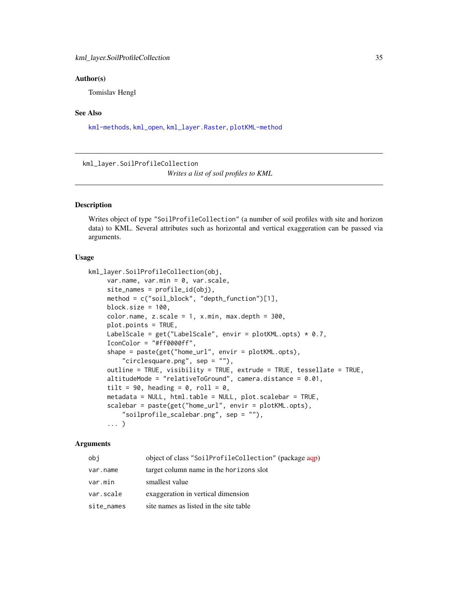#### <span id="page-34-0"></span>Author(s)

Tomislav Hengl

#### See Also

[kml-methods](#page-25-1), [kml\\_open](#page-51-1), [kml\\_layer.Raster](#page-31-1), [plotKML-method](#page-59-2)

<span id="page-34-1"></span>kml\_layer.SoilProfileCollection *Writes a list of soil profiles to KML*

#### Description

Writes object of type "SoilProfileCollection" (a number of soil profiles with site and horizon data) to KML. Several attributes such as horizontal and vertical exaggeration can be passed via arguments.

#### Usage

```
kml_layer.SoilProfileCollection(obj,
     var.name, var.min = 0, var.scale,
     site\_names = profile\_id(obj),method = c("soil_block", "depth_function")[1],
     block.size = 100,
     color.name, z.scale = 1, x.min, max.depth = 300,plot.points = TRUE,
     LabelScale = get("LabelScale", envir = plotKML.opts) * 0.7,IconColor = "#ff0000ff",
     shape = paste(get("home_url", envir = plotKML.opts),
         "circlesquare.png", sep = ""),
     outline = TRUE, visibility = TRUE, extrude = TRUE, tessellate = TRUE,
     altitudeMode = "relativeToGround", camera.distance = 0.01,
     tilt = 90, heading = 0, roll = 0,
     metadata = NULL, html.table = NULL, plot.scalebar = TRUE,
     scalebar = paste(get("home_url", envir = plotKML.opts),
         "soilprofile_scalebar.png", sep = ""),
     ... )
```
#### Arguments

| obi        | object of class "SoilProfileCollection" (package aqp) |
|------------|-------------------------------------------------------|
| var.name   | target column name in the horizons slot               |
| var.min    | smallest value                                        |
| var.scale  | exaggeration in vertical dimension                    |
| site names | site names as listed in the site table                |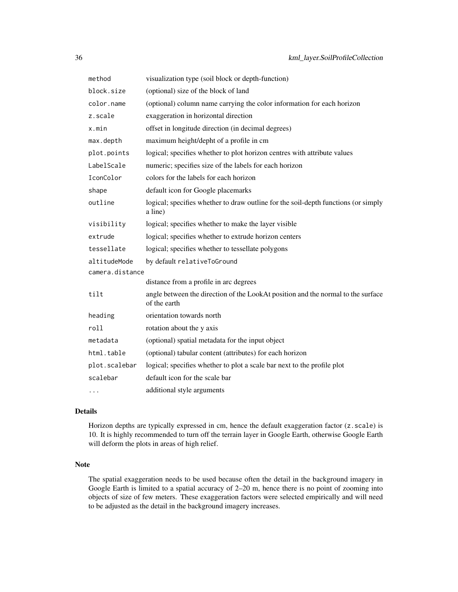| method          | visualization type (soil block or depth-function)                                                |
|-----------------|--------------------------------------------------------------------------------------------------|
| block.size      | (optional) size of the block of land                                                             |
| color.name      | (optional) column name carrying the color information for each horizon                           |
| z.scale         | exaggeration in horizontal direction                                                             |
| x.min           | offset in longitude direction (in decimal degrees)                                               |
| max.depth       | maximum height/depht of a profile in cm                                                          |
| plot.points     | logical; specifies whether to plot horizon centres with attribute values                         |
| LabelScale      | numeric; specifies size of the labels for each horizon                                           |
| IconColor       | colors for the labels for each horizon                                                           |
| shape           | default icon for Google placemarks                                                               |
| outline         | logical; specifies whether to draw outline for the soil-depth functions (or simply<br>a line)    |
| visibility      | logical; specifies whether to make the layer visible                                             |
| extrude         | logical; specifies whether to extrude horizon centers                                            |
| tessellate      | logical; specifies whether to tessellate polygons                                                |
| altitudeMode    | by default relativeToGround                                                                      |
| camera.distance |                                                                                                  |
|                 | distance from a profile in arc degrees                                                           |
| tilt            | angle between the direction of the LookAt position and the normal to the surface<br>of the earth |
| heading         | orientation towards north                                                                        |
| roll            | rotation about the y axis                                                                        |
| metadata        | (optional) spatial metadata for the input object                                                 |
| html.table      | (optional) tabular content (attributes) for each horizon                                         |
| plot.scalebar   | logical; specifies whether to plot a scale bar next to the profile plot                          |
| scalebar        | default icon for the scale bar                                                                   |
| $\cdots$        | additional style arguments                                                                       |

# Details

Horizon depths are typically expressed in cm, hence the default exaggeration factor (z.scale) is 10. It is highly recommended to turn off the terrain layer in Google Earth, otherwise Google Earth will deform the plots in areas of high relief.

## Note

The spatial exaggeration needs to be used because often the detail in the background imagery in Google Earth is limited to a spatial accuracy of 2–20 m, hence there is no point of zooming into objects of size of few meters. These exaggeration factors were selected empirically and will need to be adjusted as the detail in the background imagery increases.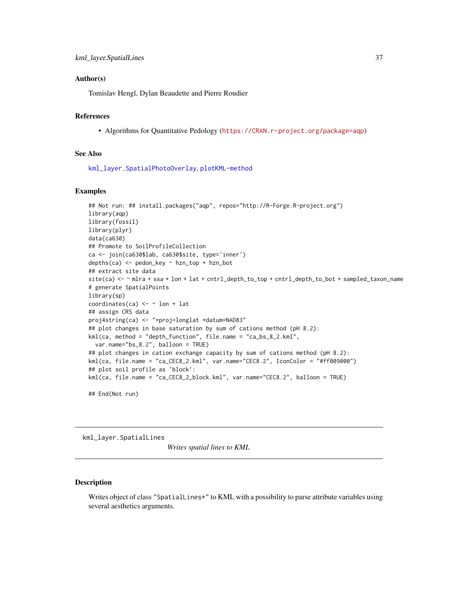### Author(s)

Tomislav Hengl, Dylan Beaudette and Pierre Roudier

## References

• Algorithms for Quantitative Pedology (<https://CRAN.r-project.org/package=aqp>)

### See Also

[kml\\_layer.SpatialPhotoOverlay](#page-38-0), [plotKML-method](#page-59-0)

#### Examples

```
## Not run: ## install.packages("aqp", repos="http://R-Forge.R-project.org")
library(aqp)
library(fossil)
library(plyr)
data(ca630)
## Promote to SoilProfileCollection
ca <- join(ca630$lab, ca630$site, type='inner')
depths(ca) <- pedon_key ~ hzn_top + hzn_bot
## extract site data
site(ca) <- ~ mlra + ssa + lon + lat + cntrl_depth_to_top + cntrl_depth_to_bot + sampled_taxon_name
# generate SpatialPoints
library(sp)
coordinates(ca) \leq \sim lon + lat
## assign CRS data
proj4string(ca) <- "+proj=longlat +datum=NAD83"
## plot changes in base saturation by sum of cations method (pH 8.2):
kml(ca, method = "depth_function", file.name = "ca_bs_8_2.kml",
  var.name="bs_8.2", balloon = TRUE)
## plot changes in cation exchange capacity by sum of cations method (pH 8.2):
kml(ca, file.name = "ca_CEC8_2.kml", var.name="CEC8.2", IconColor = "#ff009000")
## plot soil profile as 'block':
kml(ca, file.name = "ca_CEC8_2_block.kml", var.name="CEC8.2", balloon = TRUE)
## End(Not run)
```
<span id="page-36-0"></span>kml\_layer.SpatialLines

*Writes spatial lines to KML*

### Description

Writes object of class "SpatialLines\*" to KML with a possibility to parse attribute variables using several aesthetics arguments.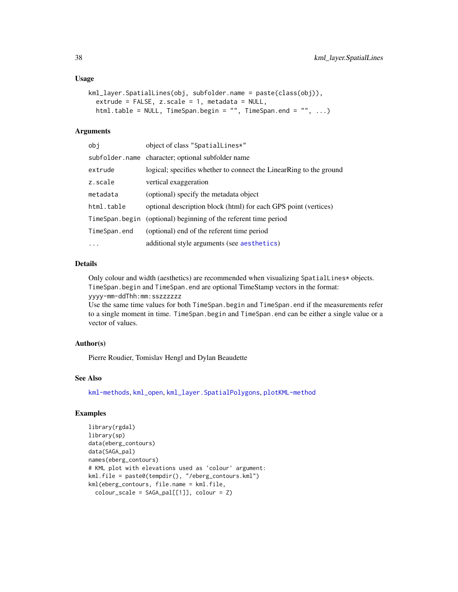### Usage

```
kml_layer.SpatialLines(obj, subfolder.name = paste(class(obj)),
  extrude = FALSE, z.scale = 1, metadata = NULL,html.table = NULL, TimeSpan.begin = "", TimeSpan.end = "", ...)
```
### Arguments

| obj          | object of class "SpatialLines*"                                    |
|--------------|--------------------------------------------------------------------|
|              | subfolder.name character; optional subfolder name                  |
| extrude      | logical; specifies whether to connect the LinearRing to the ground |
| z.scale      | vertical exaggeration                                              |
| metadata     | (optional) specify the metadata object                             |
| html.table   | optional description block (html) for each GPS point (vertices)    |
|              | TimeSpan.begin (optional) beginning of the referent time period    |
| TimeSpan.end | (optional) end of the referent time period                         |
| $\ddots$     | additional style arguments (see aesthetics)                        |

### Details

Only colour and width (aesthetics) are recommended when visualizing SpatialLines\* objects. TimeSpan.begin and TimeSpan.end are optional TimeStamp vectors in the format:

yyyy-mm-ddThh:mm:sszzzzzz

Use the same time values for both TimeSpan.begin and TimeSpan.end if the measurements refer to a single moment in time. TimeSpan.begin and TimeSpan.end can be either a single value or a vector of values.

### Author(s)

Pierre Roudier, Tomislav Hengl and Dylan Beaudette

# See Also

[kml-methods](#page-25-0), [kml\\_open](#page-51-0), [kml\\_layer.SpatialPolygons](#page-43-0), [plotKML-method](#page-59-0)

## Examples

```
library(rgdal)
library(sp)
data(eberg_contours)
data(SAGA_pal)
names(eberg_contours)
# KML plot with elevations used as 'colour' argument:
kml.file = paste0(tempdir(), "/eberg_contours.kml")
kml(eberg_contours, file.name = kml.file,
  colour_scale = SAGA_pal[[1]], colour = Z)
```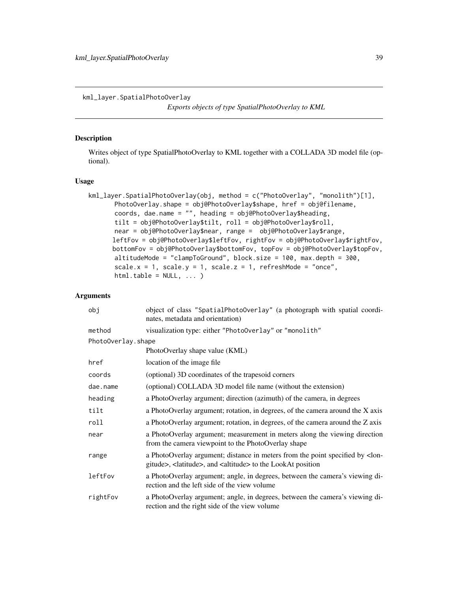<span id="page-38-0"></span>kml\_layer.SpatialPhotoOverlay

*Exports objects of type SpatialPhotoOverlay to KML*

### Description

Writes object of type SpatialPhotoOverlay to KML together with a COLLADA 3D model file (optional).

## Usage

```
kml_layer.SpatialPhotoOverlay(obj, method = c("PhotoOverlay", "monolith")[1],
      PhotoOverlay.shape = obj@PhotoOverlay$shape, href = obj@filename,
      coords, dae.name = "", heading = obj@PhotoOverlay$heading,
      tilt = obj@PhotoOverlay$tilt, roll = obj@PhotoOverlay$roll,
      near = obj@PhotoOverlay$near, range = obj@PhotoOverlay$range,
      leftFov = obj@PhotoOverlay$leftFov, rightFov = obj@PhotoOverlay$rightFov,
      bottomFov = obj@PhotoOverlay$bottomFov, topFov = obj@PhotoOverlay$topFov,
      altitudeMode = "clampToGround", block.size = 100, max.depth = 300,
      scale.x = 1, scale.y = 1, scale.z = 1, refreshMode = "once",
      html.table = NULL, ... )
```

| obj                | object of class "SpatialPhotoOverlay" (a photograph with spatial coordi-<br>nates, metadata and orientation)                                                       |
|--------------------|--------------------------------------------------------------------------------------------------------------------------------------------------------------------|
| method             | visualization type: either "PhotoOverlay" or "monolith"                                                                                                            |
| PhotoOverlay.shape |                                                                                                                                                                    |
|                    | PhotoOverlay shape value (KML)                                                                                                                                     |
| href               | location of the image file.                                                                                                                                        |
| coords             | (optional) 3D coordinates of the trapesoid corners                                                                                                                 |
| dae.name           | (optional) COLLADA 3D model file name (without the extension)                                                                                                      |
| heading            | a PhotoOverlay argument; direction (azimuth) of the camera, in degrees                                                                                             |
| tilt               | a PhotoOverlay argument; rotation, in degrees, of the camera around the X axis                                                                                     |
| roll               | a PhotoOverlay argument; rotation, in degrees, of the camera around the Z axis                                                                                     |
| near               | a PhotoOverlay argument; measurement in meters along the viewing direction<br>from the camera viewpoint to the PhotoOverlay shape                                  |
| range              | a PhotoOverlay argument; distance in meters from the point specified by < lon-<br>gitude>, <latitude>, and <altitude> to the LookAt position</altitude></latitude> |
| leftFov            | a PhotoOverlay argument; angle, in degrees, between the camera's viewing di-<br>rection and the left side of the view volume                                       |
| rightFov           | a PhotoOverlay argument; angle, in degrees, between the camera's viewing di-<br>rection and the right side of the view volume                                      |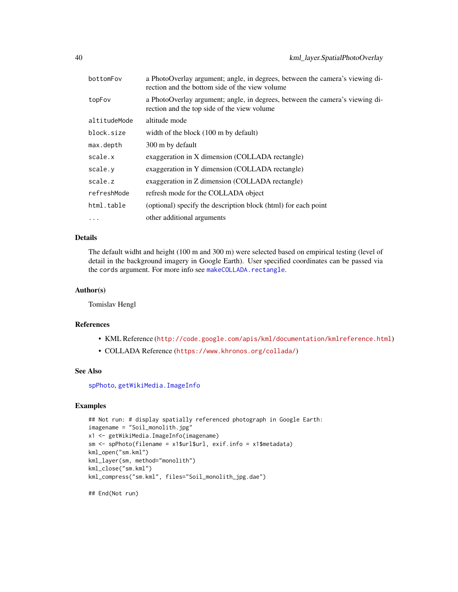| bottomFov    | a PhotoOverlay argument; angle, in degrees, between the camera's viewing di-<br>rection and the bottom side of the view volume |  |
|--------------|--------------------------------------------------------------------------------------------------------------------------------|--|
| topFov       | a PhotoOverlay argument; angle, in degrees, between the camera's viewing di-<br>rection and the top side of the view volume    |  |
| altitudeMode | altitude mode                                                                                                                  |  |
| block.size   | width of the block (100 m by default)                                                                                          |  |
| max.depth    | 300 m by default                                                                                                               |  |
| scale.x      | exaggeration in X dimension (COLLADA rectangle)                                                                                |  |
| scale.y      | exaggeration in Y dimension (COLLADA rectangle)                                                                                |  |
| scale.z      | exaggeration in Z dimension (COLLADA rectangle)                                                                                |  |
| refreshMode  | refresh mode for the COLLADA object                                                                                            |  |
| html.table   | (optional) specify the description block (html) for each point                                                                 |  |
| $\cdots$     | other additional arguments                                                                                                     |  |

# Details

The default widht and height (100 m and 300 m) were selected based on empirical testing (level of detail in the background imagery in Google Earth). User specified coordinates can be passed via the cords argument. For more info see [makeCOLLADA.rectangle](#page-54-0).

### Author(s)

Tomislav Hengl

## References

- KML Reference (<http://code.google.com/apis/kml/documentation/kmlreference.html>)
- COLLADA Reference (<https://www.khronos.org/collada/>)

### See Also

[spPhoto](#page-91-0), [getWikiMedia.ImageInfo](#page-17-0)

### Examples

```
## Not run: # display spatially referenced photograph in Google Earth:
imagename = "Soil_monolith.jpg"
x1 <- getWikiMedia.ImageInfo(imagename)
sm <- spPhoto(filename = x1$url$url, exif.info = x1$metadata)
kml_open("sm.kml")
kml_layer(sm, method="monolith")
kml_close("sm.kml")
kml_compress("sm.kml", files="Soil_monolith_jpg.dae")
```
## End(Not run)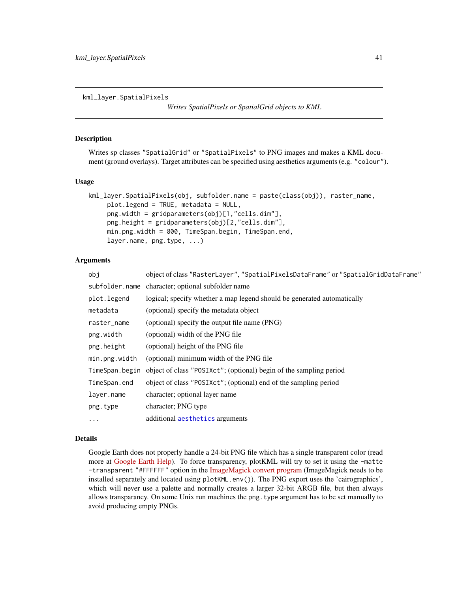kml\_layer.SpatialPixels

*Writes SpatialPixels or SpatialGrid objects to KML*

### Description

Writes sp classes "SpatialGrid" or "SpatialPixels" to PNG images and makes a KML document (ground overlays). Target attributes can be specified using aesthetics arguments (e.g. "colour").

### Usage

```
kml_layer.SpatialPixels(obj, subfolder.name = paste(class(obj)), raster_name,
     plot.legend = TRUE, metadata = NULL,
     png.width = gridparameters(obj)[1,"cells.dim"],
     png.height = gridparameters(obj)[2,"cells.dim"],
     min.png.width = 800, TimeSpan.begin, TimeSpan.end,
     layer.name, png.type, ...)
```
### Arguments

| obi            | object of class "RasterLayer", "SpatialPixelsDataFrame" or "SpatialGridDataFrame" |  |
|----------------|-----------------------------------------------------------------------------------|--|
|                | subfolder.name character; optional subfolder name                                 |  |
| plot.legend    | logical; specify whether a map legend should be generated automatically           |  |
| metadata       | (optional) specify the metadata object                                            |  |
| raster_name    | (optional) specify the output file name (PNG)                                     |  |
| png.width      | (optional) width of the PNG file                                                  |  |
| png.height     | (optional) height of the PNG file                                                 |  |
| min.png.width  | (optional) minimum width of the PNG file                                          |  |
| TimeSpan.begin | object of class "POSIXct"; (optional) begin of the sampling period                |  |
| TimeSpan.end   | object of class "POSIXct"; (optional) end of the sampling period                  |  |
| layer.name     | character; optional layer name                                                    |  |
| png.type       | character; PNG type                                                               |  |
| $\cdots$       | additional aesthetics arguments                                                   |  |

### Details

Google Earth does not properly handle a 24-bit PNG file which has a single transparent color (read more at [Google Earth Help\)](http://groups.google.com/group/earth-help/). To force transparency, plotKML will try to set it using the -matte -transparent "#FFFFFF" option in the [ImageMagick convert program](http://www.imagemagick.org/Usage/masking/) (ImageMagick needs to be installed separately and located using plotKML.env()). The PNG export uses the 'cairographics', which will never use a palette and normally creates a larger 32-bit ARGB file, but then always allows transparancy. On some Unix run machines the png.type argument has to be set manually to avoid producing empty PNGs.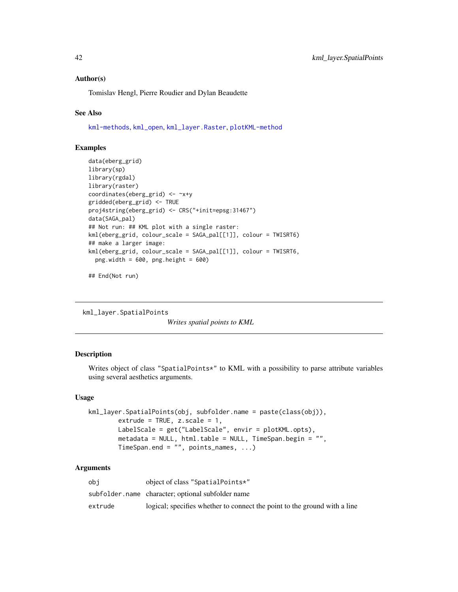### Author(s)

Tomislav Hengl, Pierre Roudier and Dylan Beaudette

## See Also

[kml-methods](#page-25-0), [kml\\_open](#page-51-0), [kml\\_layer.Raster](#page-31-0), [plotKML-method](#page-59-0)

# Examples

```
data(eberg_grid)
library(sp)
library(rgdal)
library(raster)
coordinates(eberg_grid) <- ~x+y
gridded(eberg_grid) <- TRUE
proj4string(eberg_grid) <- CRS("+init=epsg:31467")
data(SAGA_pal)
## Not run: ## KML plot with a single raster:
kml(eberg_grid, colour_scale = SAGA_pal[[1]], colour = TWISRT6)
## make a larger image:
kml(eberg_grid, colour_scale = SAGA_pal[[1]], colour = TWISRT6,
  png.width = 600, png.height = 600)
```
## End(Not run)

kml\_layer.SpatialPoints

*Writes spatial points to KML*

# Description

Writes object of class "SpatialPoints\*" to KML with a possibility to parse attribute variables using several aesthetics arguments.

### Usage

```
kml_layer.SpatialPoints(obj, subfolder.name = paste(class(obj)),
       extrude = TRUE, z.scale = 1,LabelScale = get("LabelScale", envir = plotKML.opts),
       metadata = NULL, html.table = NULL, TimeSpan.begin = "",
       TimeSpan.end = "", points_names, ...)
```

| obi     | object of class "SpatialPoints*"                                          |
|---------|---------------------------------------------------------------------------|
|         | subfolder.name character; optional subfolder name                         |
| extrude | logical; specifies whether to connect the point to the ground with a line |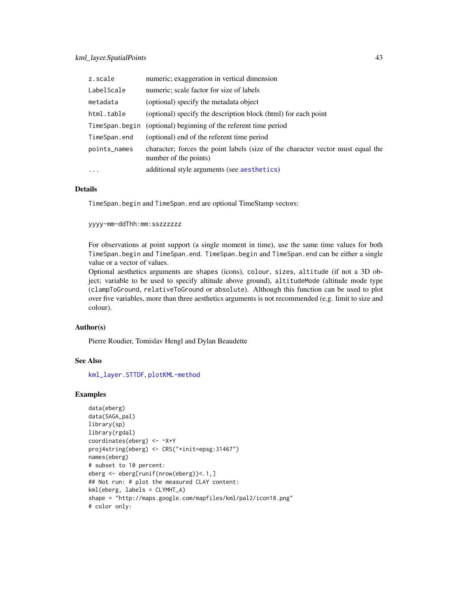| z.scale        | numeric; exaggeration in vertical dimension                                                              |
|----------------|----------------------------------------------------------------------------------------------------------|
| LabelScale     | numeric; scale factor for size of labels                                                                 |
| metadata       | (optional) specify the metadata object                                                                   |
| html.table     | (optional) specify the description block (html) for each point                                           |
| TimeSpan.begin | (optional) beginning of the referent time period                                                         |
| TimeSpan.end   | (optional) end of the referent time period                                                               |
| points_names   | character; forces the point labels (size of the character vector must equal the<br>number of the points) |
| $\cdots$       | additional style arguments (see aesthetics)                                                              |

### Details

TimeSpan.begin and TimeSpan.end are optional TimeStamp vectors:

yyyy-mm-ddThh:mm:sszzzzzz

For observations at point support (a single moment in time), use the same time values for both TimeSpan.begin and TimeSpan.end. TimeSpan.begin and TimeSpan.end can be either a single value or a vector of values.

Optional aesthetics arguments are shapes (icons), colour, sizes, altitude (if not a 3D object; variable to be used to specify altitude above ground), altitudeMode (altitude mode type (clampToGround, relativeToGround or absolute). Although this function can be used to plot over five variables, more than three aesthetics arguments is not recommended (e.g. limit to size and colour).

#### Author(s)

Pierre Roudier, Tomislav Hengl and Dylan Beaudette

### See Also

[kml\\_layer.STTDF](#page-46-0), [plotKML-method](#page-59-0)

### Examples

```
data(eberg)
data(SAGA_pal)
library(sp)
library(rgdal)
coordinates(eberg) <- ~X+Y
proj4string(eberg) <- CRS("+init=epsg:31467")
names(eberg)
# subset to 10 percent:
eberg <- eberg[runif(nrow(eberg))<.1,]
## Not run: # plot the measured CLAY content:
kml(eberg, labels = CLYMHT_A)
shape = "http://maps.google.com/mapfiles/kml/pal2/icon18.png"
# color only:
```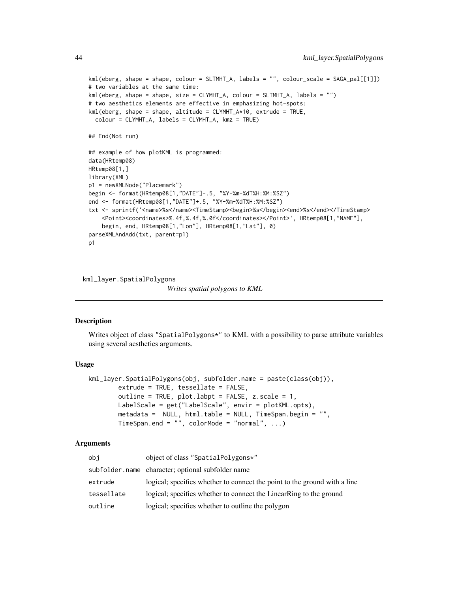```
kml(eberg, shape = shape, colour = SLTMHT_A, labels = "", colour_scale = SAGA_pal[[1]])
# two variables at the same time:
kml(eberg, shape = shape, size = CLYMHT_A, colour = SLTMHT_A, labels = "")
# two aesthetics elements are effective in emphasizing hot-spots:
kml(eberg, shape = shape, altitude = CLYMHT_A*10, extrude = TRUE,
  colour = CLYMHT_A, labels = CLYMHT_A, kmz = TRUE)
## End(Not run)
## example of how plotKML is programmed:
data(HRtemp08)
HRtemp08[1,]
library(XML)
p1 = newXMLNode("Placemark")
begin <- format(HRtemp08[1,"DATE"]-.5, "%Y-%m-%dT%H:%M:%SZ")
end <- format(HRtemp08[1,"DATE"]+.5, "%Y-%m-%dT%H:%M:%SZ")
txt <- sprintf('<name>%s</name><TimeStamp><br/>begin>%s</begin><end>%s</end></TimeStamp>
    <Point><coordinates>%.4f,%.4f,%.0f</coordinates></Point>', HRtemp08[1,"NAME"],
    begin, end, HRtemp08[1,"Lon"], HRtemp08[1,"Lat"], 0)
parseXMLAndAdd(txt, parent=p1)
p1
```
<span id="page-43-0"></span>kml\_layer.SpatialPolygons

*Writes spatial polygons to KML*

# **Description**

Writes object of class "SpatialPolygons\*" to KML with a possibility to parse attribute variables using several aesthetics arguments.

#### Usage

```
kml_layer.SpatialPolygons(obj, subfolder.name = paste(class(obj)),
        extrude = TRUE, tessellate = FALSE,
        outline = TRUE, plot.labpt = FALSE, z.\text{scale} = 1,
        LabelScale = get("LabelScale", envir = plotKML.opts),
        metadata = NULL, html.table = NULL, TimeSpan.begin = "",
        TimeSpan.end = "", colorMode = "normal", ...)
```

| obj        | object of class "SpatialPolygons*"                                        |
|------------|---------------------------------------------------------------------------|
|            | subfolder.name character; optional subfolder name                         |
| extrude    | logical; specifies whether to connect the point to the ground with a line |
| tessellate | logical; specifies whether to connect the LinearRing to the ground        |
| outline    | logical; specifies whether to outline the polygon                         |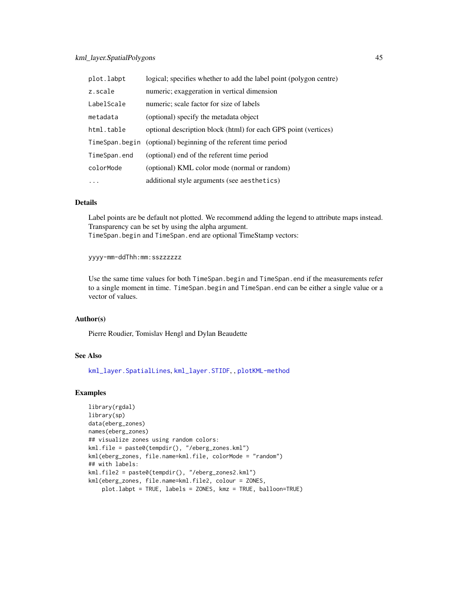| plot.labpt     | logical; specifies whether to add the label point (polygon centre) |
|----------------|--------------------------------------------------------------------|
| z.scale        | numeric; exaggeration in vertical dimension                        |
| LabelScale     | numeric; scale factor for size of labels                           |
| metadata       | (optional) specify the metadata object                             |
| html.table     | optional description block (html) for each GPS point (vertices)    |
| TimeSpan.begin | (optional) beginning of the referent time period                   |
| TimeSpan.end   | (optional) end of the referent time period                         |
| colorMode      | (optional) KML color mode (normal or random)                       |
| $\cdots$       | additional style arguments (see aesthetics)                        |

### Details

Label points are be default not plotted. We recommend adding the legend to attribute maps instead. Transparency can be set by using the alpha argument. TimeSpan.begin and TimeSpan.end are optional TimeStamp vectors:

### yyyy-mm-ddThh:mm:sszzzzzz

Use the same time values for both TimeSpan.begin and TimeSpan.end if the measurements refer to a single moment in time. TimeSpan.begin and TimeSpan.end can be either a single value or a vector of values.

### Author(s)

Pierre Roudier, Tomislav Hengl and Dylan Beaudette

# See Also

[kml\\_layer.SpatialLines](#page-36-0), [kml\\_layer.STIDF](#page-45-0), , [plotKML-method](#page-59-0)

#### Examples

```
library(rgdal)
library(sp)
data(eberg_zones)
names(eberg_zones)
## visualize zones using random colors:
kml.file = paste0(tempdir(), "/eberg_zones.kml")
kml(eberg_zones, file.name=kml.file, colorMode = "random")
## with labels:
kml.file2 = paste0(tempdir(), "/eberg_zones2.kml")
kml(eberg_zones, file.name=kml.file2, colour = ZONES,
    plot.labpt = TRUE, labels = ZONES, kmz = TRUE, balloon=TRUE)
```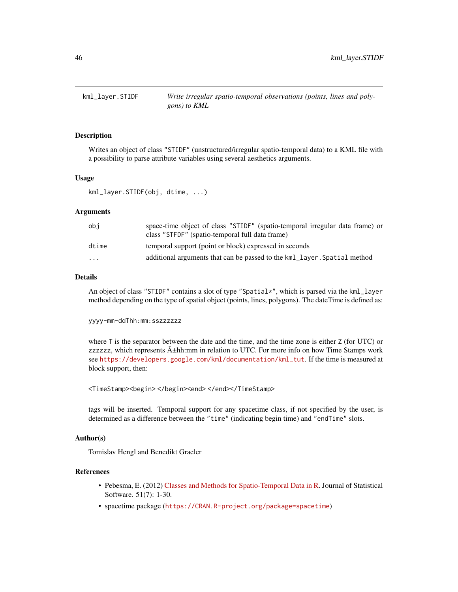<span id="page-45-0"></span>

## Description

Writes an object of class "STIDF" (unstructured/irregular spatio-temporal data) to a KML file with a possibility to parse attribute variables using several aesthetics arguments.

#### Usage

```
kml_layer.STIDF(obj, dtime, ...)
```
### Arguments

| obi                     | space-time object of class "STIDF" (spatio-temporal irregular data frame) or<br>class "STFDF" (spatio-temporal full data frame) |
|-------------------------|---------------------------------------------------------------------------------------------------------------------------------|
| dtime                   | temporal support (point or block) expressed in seconds                                                                          |
| $\cdot$ $\cdot$ $\cdot$ | additional arguments that can be passed to the kml_layer. Spatial method                                                        |
|                         |                                                                                                                                 |

### Details

An object of class "STIDF" contains a slot of type "Spatial\*", which is parsed via the kml\_layer method depending on the type of spatial object (points, lines, polygons). The dateTime is defined as:

yyyy-mm-ddThh:mm:sszzzzzz

where T is the separator between the date and the time, and the time zone is either Z (for UTC) or zzzzzzz, which represents  $\hat{A}$ ±hh:mm in relation to UTC. For more info on how Time Stamps work see [https://developers.google.com/kml/documentation/kml\\_tut](https://developers.google.com/kml/documentation/kml_tut). If the time is measured at block support, then:

<TimeStamp><begin></begin><end></end></TimeStamp>

tags will be inserted. Temporal support for any spacetime class, if not specified by the user, is determined as a difference between the "time" (indicating begin time) and "endTime" slots.

### Author(s)

Tomislav Hengl and Benedikt Graeler

#### References

- Pebesma, E. (2012) [Classes and Methods for Spatio-Temporal Data in R.](http://www.jstatsoft.org/v51/i07) Journal of Statistical Software. 51(7): 1-30.
- spacetime package (<https://CRAN.R-project.org/package=spacetime>)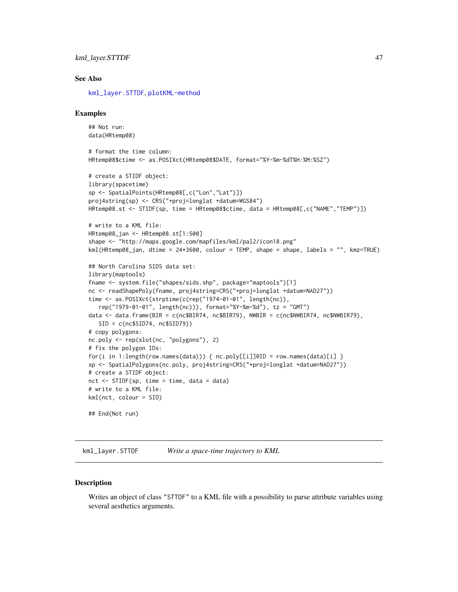### See Also

[kml\\_layer.STTDF](#page-46-0), [plotKML-method](#page-59-0)

#### Examples

```
## Not run:
data(HRtemp08)
# format the time column:
HRtemp08$ctime <- as.POSIXct(HRtemp08$DATE, format="%Y-%m-%dT%H:%M:%SZ")
# create a STIDF object:
library(spacetime)
sp <- SpatialPoints(HRtemp08[,c("Lon","Lat")])
proj4string(sp) <- CRS("+proj=longlat +datum=WGS84")
HRtemp08.st <- STIDF(sp, time = HRtemp08$ctime, data = HRtemp08[,c("NAME","TEMP")])
# write to a KML file:
HRtemp08_jan <- HRtemp08.st[1:500]
shape <- "http://maps.google.com/mapfiles/kml/pal2/icon18.png"
kml(HRtemp08_jan, dtime = 24*3600, colour = TEMP, shape = shape, labels = "", kmz=TRUE)
## North Carolina SIDS data set:
library(maptools)
fname <- system.file("shapes/sids.shp", package="maptools")[1]
nc <- readShapePoly(fname, proj4string=CRS("+proj=longlat +datum=NAD27"))
time <- as.POSIXct(strptime(c(rep("1974-01-01", length(nc)),
   rep("1979-01-01", length(nc))), format="%Y-%m-%d"), tz = "GMT")
data <- data.frame(BIR = c(nc$BIR74, nc$BIR79), NWBIR = c(nc$NWBIR74, nc$NWBIR79),
   SID = c(nc$SID74, nc$SID79))# copy polygons:
nc.poly <- rep(slot(nc, "polygons"), 2)
# fix the polygon IDs:
for(i in 1:length(row.names(data))) { nc.poly[[i]]@ID = row.names(data)[i] }
sp <- SpatialPolygons(nc.poly, proj4string=CRS("+proj=longlat +datum=NAD27"))
# create a STIDF object:
nct \leq STIDF(sp, time = time, data = data)
# write to a KML file:
kml(nct, colour = SID)
## End(Not run)
```
<span id="page-46-0"></span>kml\_layer.STTDF *Write a space-time trajectory to KML*

#### **Description**

Writes an object of class "STTDF" to a KML file with a possibility to parse attribute variables using several aesthetics arguments.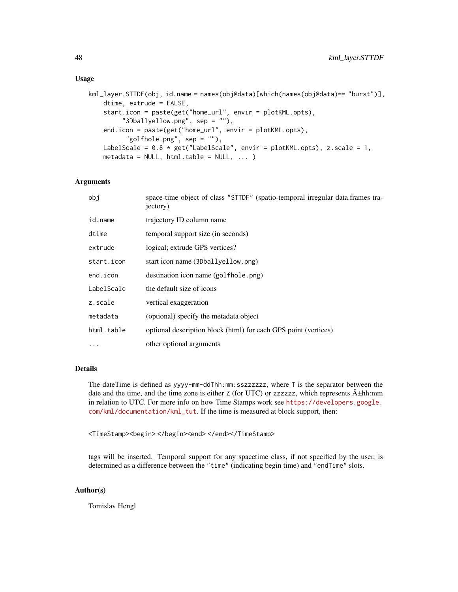### Usage

```
kml_layer.STTDF(obj, id.name = names(obj@data)[which(names(obj@data)== "burst")],
   dtime, extrude = FALSE,
    start.icon = paste(get("home_url", envir = plotKML.opts),
         "3Dballyellow.png", sep = ""),
    end.icon = paste(get("home_url", envir = plotKML.opts),
          "golfhole.png", sep = ""),
   LabelScale = 0.8 * get("LabelScale", envir = plotKML.opts), z.scale = 1,metadata = NULL, html.table = NULL, ...)
```
### **Arguments**

| space-time object of class "STTDF" (spatio-temporal irregular data.frames tra-<br>jectory) |
|--------------------------------------------------------------------------------------------|
| trajectory ID column name                                                                  |
| temporal support size (in seconds)                                                         |
| logical; extrude GPS vertices?                                                             |
| start icon name (3Dballyellow.png)                                                         |
| destination icon name (golfhole.png)                                                       |
| the default size of icons                                                                  |
| vertical exaggeration                                                                      |
| (optional) specify the metadata object                                                     |
| optional description block (html) for each GPS point (vertices)                            |
| other optional arguments                                                                   |
|                                                                                            |

# Details

The dateTime is defined as yyyy-mm-ddThh:mm:sszzzzzz, where T is the separator between the date and the time, and the time zone is either Z (for UTC) or zzzzzz, which represents  $\hat{A}$ ±hh:mm in relation to UTC. For more info on how Time Stamps work see [https://developers.google.](https://developers.google.com/kml/documentation/kml_tut) [com/kml/documentation/kml\\_tut](https://developers.google.com/kml/documentation/kml_tut). If the time is measured at block support, then:

<TimeStamp><begin></begin><end></end></TimeStamp>

tags will be inserted. Temporal support for any spacetime class, if not specified by the user, is determined as a difference between the "time" (indicating begin time) and "endTime" slots.

# Author(s)

Tomislav Hengl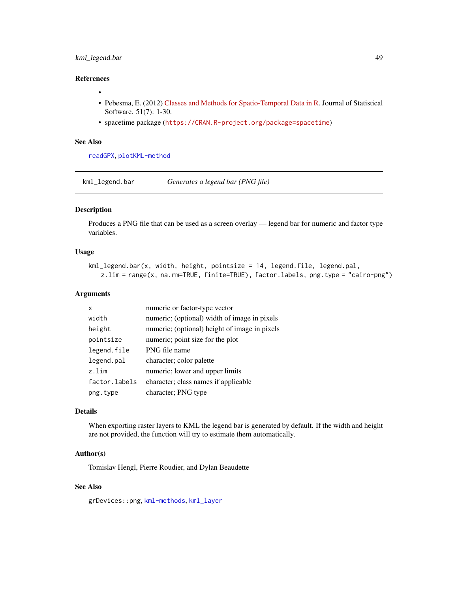# kml\_legend.bar 49

# References

- •
- Pebesma, E. (2012) [Classes and Methods for Spatio-Temporal Data in R.](http://www.jstatsoft.org/v51/i07) Journal of Statistical Software. 51(7): 1-30.
- spacetime package (<https://CRAN.R-project.org/package=spacetime>)

### See Also

[readGPX](#page-76-0), [plotKML-method](#page-59-0)

kml\_legend.bar *Generates a legend bar (PNG file)*

# Description

Produces a PNG file that can be used as a screen overlay — legend bar for numeric and factor type variables.

# Usage

```
kml_legend.bar(x, width, height, pointsize = 14, legend.file, legend.pal,
   z.lim = range(x, na.rm=TRUE, finite=TRUE), factor.labels, png.type = "cairo-png")
```
### Arguments

| x             | numeric or factor-type vector                 |
|---------------|-----------------------------------------------|
| width         | numeric; (optional) width of image in pixels  |
| height        | numeric; (optional) height of image in pixels |
| pointsize     | numeric; point size for the plot              |
| legend.file   | PNG file name                                 |
| legend.pal    | character; color palette                      |
| z.lim         | numeric; lower and upper limits               |
| factor.labels | character; class names if applicable          |
| png.type      | character; PNG type                           |

# Details

When exporting raster layers to KML the legend bar is generated by default. If the width and height are not provided, the function will try to estimate them automatically.

#### Author(s)

Tomislav Hengl, Pierre Roudier, and Dylan Beaudette

#### See Also

grDevices::png, [kml-methods](#page-25-0), [kml\\_layer](#page-30-0)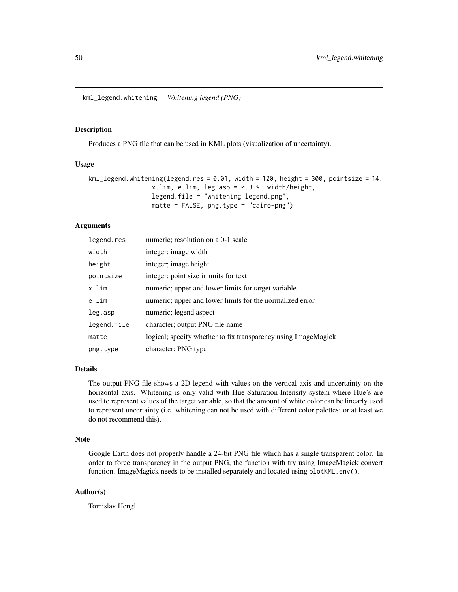kml\_legend.whitening *Whitening legend (PNG)*

### Description

Produces a PNG file that can be used in KML plots (visualization of uncertainty).

# Usage

```
kml legend.whitening(legend.res = 0.01, width = 120, height = 300, pointsize = 14,
                 x.lim, e.lim, leg.asp = 0.3 \times width/height,
                 legend.file = "whitening_legend.png",
                 matte = FALSE, png.type = "cairo-png")
```
# Arguments

| legend.res  | numeric; resolution on a 0-1 scale                             |
|-------------|----------------------------------------------------------------|
| width       | integer; image width                                           |
| height      | integer; image height                                          |
| pointsize   | integer; point size in units for text                          |
| x.lim       | numeric; upper and lower limits for target variable            |
| e.lim       | numeric; upper and lower limits for the normalized error       |
| leg.asp     | numeric; legend aspect                                         |
| legend.file | character; output PNG file name                                |
| matte       | logical; specify whether to fix transparency using ImageMagick |
| png.type    | character; PNG type                                            |

## Details

The output PNG file shows a 2D legend with values on the vertical axis and uncertainty on the horizontal axis. Whitening is only valid with Hue-Saturation-Intensity system where Hue's are used to represent values of the target variable, so that the amount of white color can be linearly used to represent uncertainty (i.e. whitening can not be used with different color palettes; or at least we do not recommend this).

### Note

Google Earth does not properly handle a 24-bit PNG file which has a single transparent color. In order to force transparency in the output PNG, the function with try using ImageMagick convert function. ImageMagick needs to be installed separately and located using plotKML.env().

### Author(s)

Tomislav Hengl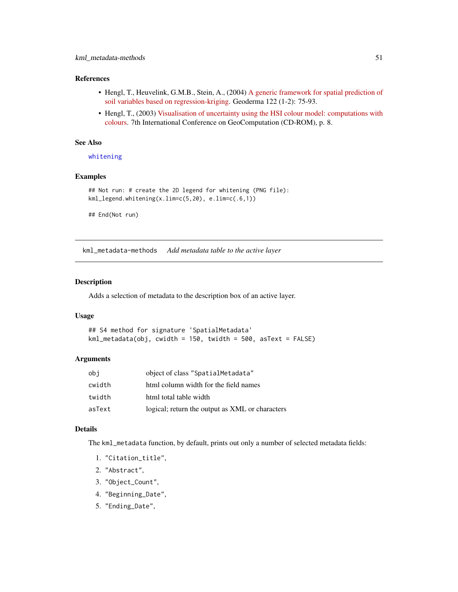## References

- Hengl, T., Heuvelink, G.M.B., Stein, A., (2004) [A generic framework for spatial prediction of](http://dx.doi.org/10.1016/j.geoderma.2003.08.018) [soil variables based on regression-kriging.](http://dx.doi.org/10.1016/j.geoderma.2003.08.018) Geoderma 122 (1-2): 75-93.
- Hengl, T., (2003) [Visualisation of uncertainty using the HSI colour model: computations with](http://www.geocomputation.org/2003/Papers/Hengl_Paper.pdf) [colours.](http://www.geocomputation.org/2003/Papers/Hengl_Paper.pdf) 7th International Conference on GeoComputation (CD-ROM), p. 8.

### See Also

[whitening](#page-97-0)

# Examples

```
## Not run: # create the 2D legend for whitening (PNG file):
kml_legend.whitening(x.lim=c(5,20), e.lim=c(.6,1))
```
## End(Not run)

kml\_metadata-methods *Add metadata table to the active layer*

### Description

Adds a selection of metadata to the description box of an active layer.

### Usage

```
## S4 method for signature 'SpatialMetadata'
kml_metadata(obj, cwidth = 150, twidth = 500, asText = FALSE)
```
### Arguments

| obj    | object of class "SpatialMetadata"               |
|--------|-------------------------------------------------|
| cwidth | html column width for the field names           |
| twidth | html total table width                          |
| asText | logical; return the output as XML or characters |

### Details

The kml\_metadata function, by default, prints out only a number of selected metadata fields:

- 1. "Citation\_title",
- 2. "Abstract",
- 3. "Object\_Count",
- 4. "Beginning\_Date",
- 5. "Ending\_Date",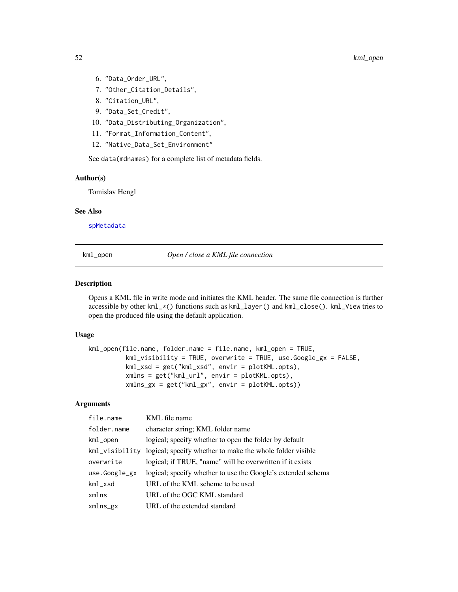- 6. "Data\_Order\_URL",
- 7. "Other\_Citation\_Details",
- 8. "Citation\_URL",
- 9. "Data\_Set\_Credit",
- 10. "Data\_Distributing\_Organization",
- 11. "Format\_Information\_Content",
- 12. "Native\_Data\_Set\_Environment"

See data(mdnames) for a complete list of metadata fields.

## Author(s)

Tomislav Hengl

### See Also

[spMetadata](#page-88-0)

<span id="page-51-0"></span>kml\_open *Open / close a KML file connection*

# <span id="page-51-1"></span>Description

Opens a KML file in write mode and initiates the KML header. The same file connection is further accessible by other kml\_\*() functions such as kml\_layer() and kml\_close(). kml\_View tries to open the produced file using the default application.

### Usage

```
kml_open(file.name, folder.name = file.name, kml_open = TRUE,
          kml_visibility = TRUE, overwrite = TRUE, use.Google_gx = FALSE,
          kml_xsd = get("kml_xsd", envir = plotKML.opts),
          xmlns = get("kml_url", envir = plotKML.opts),
          xmlns_gx = get("kml_gx", envir = plotKML.opts))
```

| file.name         | KML file name                                                |
|-------------------|--------------------------------------------------------------|
| folder.name       | character string; KML folder name                            |
| kml_open          | logical; specify whether to open the folder by default       |
| kml_visibility    | logical; specify whether to make the whole folder visible    |
| overwrite         | logical; if TRUE, "name" will be overwritten if it exists    |
| use.Google_gx     | logical; specify whether to use the Google's extended schema |
| $km1$ $\times$ sd | URL of the KML scheme to be used                             |
| xmlns             | URL of the OGC KML standard                                  |
| xmlns_gx          | URL of the extended standard                                 |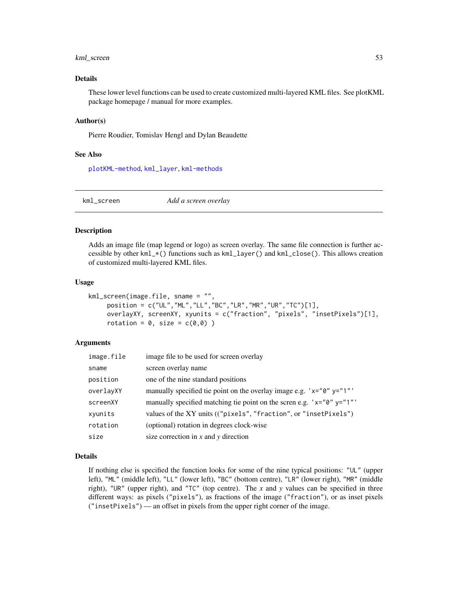## kml\_screen 53

## Details

These lower level functions can be used to create customized multi-layered KML files. See plotKML package homepage / manual for more examples.

### Author(s)

Pierre Roudier, Tomislav Hengl and Dylan Beaudette

#### See Also

[plotKML-method](#page-59-0), [kml\\_layer](#page-30-0), [kml-methods](#page-25-0)

<span id="page-52-0"></span>kml\_screen *Add a screen overlay*

#### Description

Adds an image file (map legend or logo) as screen overlay. The same file connection is further accessible by other kml\_\*() functions such as kml\_layer() and kml\_close(). This allows creation of customized multi-layered KML files.

### Usage

```
kml_screen(image.file, sname = "",
     position = c("UL","ML","LL","BC","LR","MR","UR","TC")[1],
     overlayXY, screenXY, xyunits = c("fraction", "pixels", "insetPixels")[1],
     rotation = 0, size = c(0,0))
```
### **Arguments**

| image.file | image file to be used for screen overlay                                     |
|------------|------------------------------------------------------------------------------|
| sname      | screen overlay name                                                          |
| position   | one of the nine standard positions                                           |
| overlayXY  | manually specified tie point on the overlay image e.g. ' $x = 0$ " $y = 1$ " |
| screenXY   | manually specified matching tie point on the scren e.g. $x = 0$ " y="1"      |
| xyunits    | values of the XY units (("pixels", "fraction", or "insetPixels")             |
| rotation   | (optional) rotation in degrees clock-wise                                    |
| size       | size correction in $x$ and $y$ direction                                     |

## Details

If nothing else is specified the function looks for some of the nine typical positions: "UL" (upper left), "ML" (middle left), "LL" (lower left), "BC" (bottom centre), "LR" (lower right), "MR" (middle right), "UR" (upper right), and "TC" (top centre). The *x* and *y* values can be specified in three different ways: as pixels ("pixels"), as fractions of the image ("fraction"), or as inset pixels ("insetPixels") — an offset in pixels from the upper right corner of the image.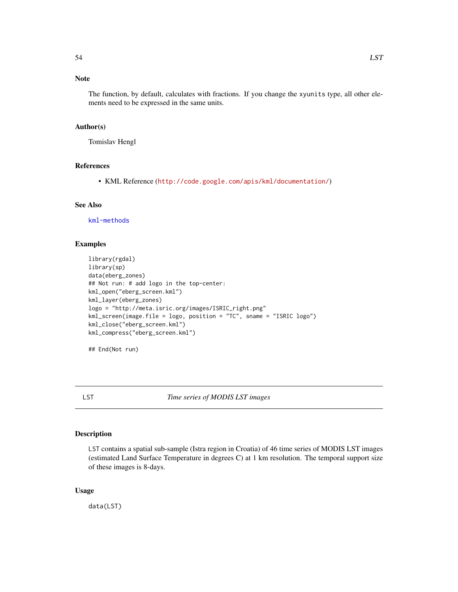# Note

The function, by default, calculates with fractions. If you change the xyunits type, all other elements need to be expressed in the same units.

### Author(s)

Tomislav Hengl

# References

• KML Reference (<http://code.google.com/apis/kml/documentation/>)

### See Also

[kml-methods](#page-25-0)

### Examples

```
library(rgdal)
library(sp)
data(eberg_zones)
## Not run: # add logo in the top-center:
kml_open("eberg_screen.kml")
kml_layer(eberg_zones)
logo = "http://meta.isric.org/images/ISRIC_right.png"
kml_screen(image.file = logo, position = "TC", sname = "ISRIC logo")
kml_close("eberg_screen.kml")
kml_compress("eberg_screen.kml")
```
## End(Not run)

LST *Time series of MODIS LST images*

### Description

LST contains a spatial sub-sample (Istra region in Croatia) of 46 time series of MODIS LST images (estimated Land Surface Temperature in degrees C) at 1 km resolution. The temporal support size of these images is 8-days.

### Usage

data(LST)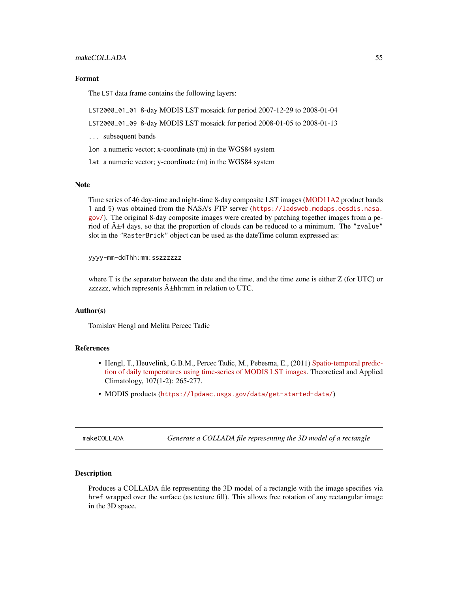#### Format

The LST data frame contains the following layers:

LST2008\_01\_01 8-day MODIS LST mosaick for period 2007-12-29 to 2008-01-04

LST2008\_01\_09 8-day MODIS LST mosaick for period 2008-01-05 to 2008-01-13

... subsequent bands

lon a numeric vector; x-coordinate (m) in the WGS84 system

lat a numeric vector; y-coordinate (m) in the WGS84 system

### Note

Time series of 46 day-time and night-time 8-day composite LST images [\(MOD11A2](https://lpdaac.usgs.gov/data/get-started-data/) product bands 1 and 5) was obtained from the NASA's FTP server ([https://ladsweb.modaps.eosdis.nasa.](https://ladsweb.modaps.eosdis.nasa.gov/) [gov/](https://ladsweb.modaps.eosdis.nasa.gov/)). The original 8-day composite images were created by patching together images from a period of  $\hat{A} \pm 4$  days, so that the proportion of clouds can be reduced to a minimum. The "zvalue" slot in the "RasterBrick" object can be used as the dateTime column expressed as:

yyyy-mm-ddThh:mm:sszzzzzz

where T is the separator between the date and the time, and the time zone is either Z (for UTC) or zzzzzzz, which represents  $\hat{A}$  thh:mm in relation to UTC.

#### Author(s)

Tomislav Hengl and Melita Percec Tadic

#### References

- Hengl, T., Heuvelink, G.B.M., Percec Tadic, M., Pebesma, E., (2011) [Spatio-temporal predic](http://dx.doi.org/10.1007/s00704-011-0464-2)[tion of daily temperatures using time-series of MODIS LST images.](http://dx.doi.org/10.1007/s00704-011-0464-2) Theoretical and Applied Climatology, 107(1-2): 265-277.
- MODIS products (<https://lpdaac.usgs.gov/data/get-started-data/>)

makeCOLLADA *Generate a COLLADA file representing the 3D model of a rectangle*

#### <span id="page-54-0"></span>Description

Produces a COLLADA file representing the 3D model of a rectangle with the image specifies via href wrapped over the surface (as texture fill). This allows free rotation of any rectangular image in the 3D space.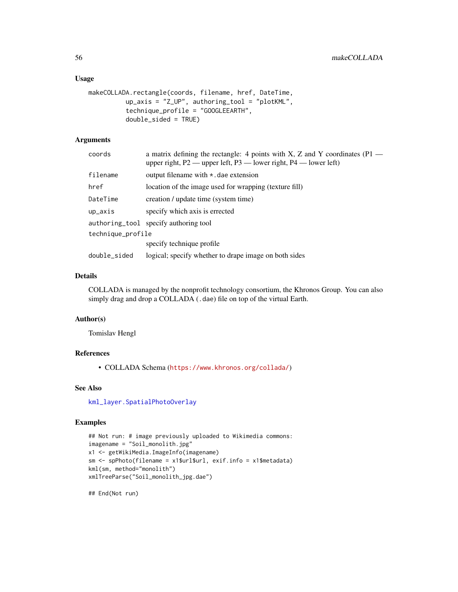### Usage

```
makeCOLLADA.rectangle(coords, filename, href, DateTime,
          up_axis = "Z_UP", authoring_tool = "plotKML",
          technique_profile = "GOOGLEEARTH",
          double_sided = TRUE)
```
# Arguments

| coords            | a matrix defining the rectangle: 4 points with X, Z and Y coordinates $(P1$ —<br>upper right, $P2$ — upper left, $P3$ — lower right, $P4$ — lower left) |  |
|-------------------|---------------------------------------------------------------------------------------------------------------------------------------------------------|--|
| filename          | output filename with $\star$ dae extension                                                                                                              |  |
| href              | location of the image used for wrapping (texture fill)                                                                                                  |  |
| DateTime          | creation / update time (system time)                                                                                                                    |  |
| up_axis           | specify which axis is errected                                                                                                                          |  |
|                   | authoring_tool specify authoring tool                                                                                                                   |  |
| technique_profile |                                                                                                                                                         |  |
|                   | specify technique profile                                                                                                                               |  |
| double_sided      | logical; specify whether to drape image on both sides                                                                                                   |  |

# Details

COLLADA is managed by the nonprofit technology consortium, the Khronos Group. You can also simply drag and drop a COLLADA (.dae) file on top of the virtual Earth.

### Author(s)

Tomislav Hengl

## References

• COLLADA Schema (<https://www.khronos.org/collada/>)

### See Also

[kml\\_layer.SpatialPhotoOverlay](#page-38-0)

#### Examples

```
## Not run: # image previously uploaded to Wikimedia commons:
imagename = "Soil_monolith.jpg"
x1 <- getWikiMedia.ImageInfo(imagename)
sm <- spPhoto(filename = x1$url$url, exif.info = x1$metadata)
kml(sm, method="monolith")
xmlTreeParse("Soil_monolith_jpg.dae")
```
## End(Not run)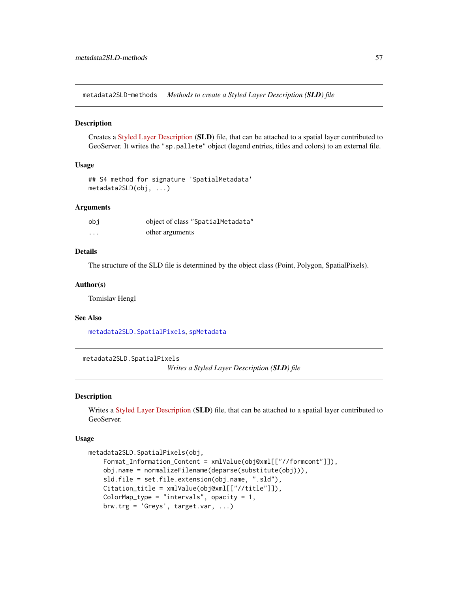metadata2SLD-methods *Methods to create a Styled Layer Description (SLD) file*

## Description

Creates a [Styled Layer Description](http://docs.geoserver.org/stable/en/user/styling/) (SLD) file, that can be attached to a spatial layer contributed to GeoServer. It writes the "sp.pallete" object (legend entries, titles and colors) to an external file.

### Usage

```
## S4 method for signature 'SpatialMetadata'
metadata2SLD(obj, ...)
```
### Arguments

| obi               | object of class "SpatialMetadata" |
|-------------------|-----------------------------------|
| $\cdot\cdot\cdot$ | other arguments                   |

# Details

The structure of the SLD file is determined by the object class (Point, Polygon, SpatialPixels).

### Author(s)

Tomislav Hengl

#### See Also

[metadata2SLD.SpatialPixels](#page-56-0), [spMetadata](#page-88-0)

<span id="page-56-0"></span>metadata2SLD.SpatialPixels

*Writes a Styled Layer Description (SLD) file*

### Description

Writes a [Styled Layer Description](http://docs.geoserver.org/stable/en/user/styling/) (SLD) file, that can be attached to a spatial layer contributed to GeoServer.

### Usage

```
metadata2SLD.SpatialPixels(obj,
   Format_Information_Content = xmlValue(obj@xml[["//formcont"]]),
   obj.name = normalizeFilename(deparse(substitute(obj))),
   sld.file = set.file.extension(obj.name, ".sld"),
   Citation_title = xmlValue(obj@xml[["//title"]]),
   ColorMap_type = "intervals", opacity = 1,
   brw.trg = 'Greys', target.var, ...)
```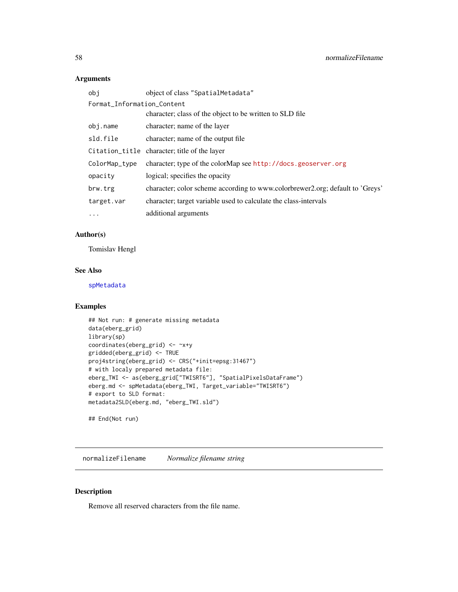## Arguments

| obi                        | object of class "SpatialMetadata"                                             |
|----------------------------|-------------------------------------------------------------------------------|
| Format_Information_Content |                                                                               |
|                            | character; class of the object to be written to SLD file                      |
| obj.name                   | character; name of the layer                                                  |
| sld.file                   | character; name of the output file                                            |
|                            | Citation_title character; title of the layer                                  |
| ColorMap_type              | character; type of the colorMap see http://docs.geoserver.org                 |
| opacity                    | logical; specifies the opacity                                                |
| brw.trg                    | character; color scheme according to www.colorbrewer2.org; default to 'Greys' |
| target.var                 | character; target variable used to calculate the class-intervals              |
| $\ddots$ .                 | additional arguments                                                          |

## Author(s)

Tomislav Hengl

## See Also

[spMetadata](#page-88-0)

## Examples

```
## Not run: # generate missing metadata
data(eberg_grid)
library(sp)
coordinates(eberg_grid) <- ~x+y
gridded(eberg_grid) <- TRUE
proj4string(eberg_grid) <- CRS("+init=epsg:31467")
# with localy prepared metadata file:
eberg_TWI <- as(eberg_grid["TWISRT6"], "SpatialPixelsDataFrame")
eberg.md <- spMetadata(eberg_TWI, Target_variable="TWISRT6")
# export to SLD format:
metadata2SLD(eberg.md, "eberg_TWI.sld")
## End(Not run)
```
normalizeFilename *Normalize filename string*

## Description

Remove all reserved characters from the file name.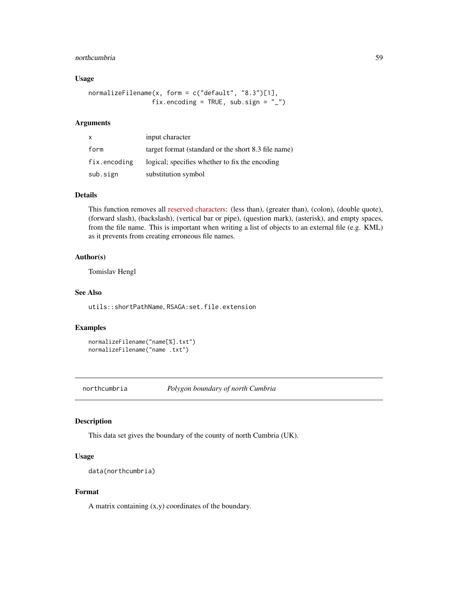#### northcumbria 59

## Usage

```
normalizeFilename(x, form = c("default", "8.3")[1],
                 fix.encoding = TRUE, sub.sign = "_")
```
## Arguments

| X            | input character                                     |
|--------------|-----------------------------------------------------|
| form         | target format (standard or the short 8.3 file name) |
| fix.encoding | logical; specifies whether to fix the encoding      |
| sub.sign     | substitution symbol                                 |

# Details

This function removes all [reserved characters:](http://msdn.microsoft.com/en-us/library/windows/desktop/aa365247(v=vs.85).aspx) (less than), (greater than), (colon), (double quote), (forward slash), (backslash), (vertical bar or pipe), (question mark), (asterisk), and empty spaces, from the file name. This is important when writing a list of objects to an external file (e.g. KML) as it prevents from creating erroneous file names.

## Author(s)

Tomislav Hengl

## See Also

utils::shortPathName, RSAGA:set.file.extension

#### Examples

```
normalizeFilename("name[%].txt")
normalizeFilename("name .txt")
```
northcumbria *Polygon boundary of north Cumbria*

#### Description

This data set gives the boundary of the county of north Cumbria (UK).

## Usage

```
data(northcumbria)
```
### Format

A matrix containing  $(x,y)$  coordinates of the boundary.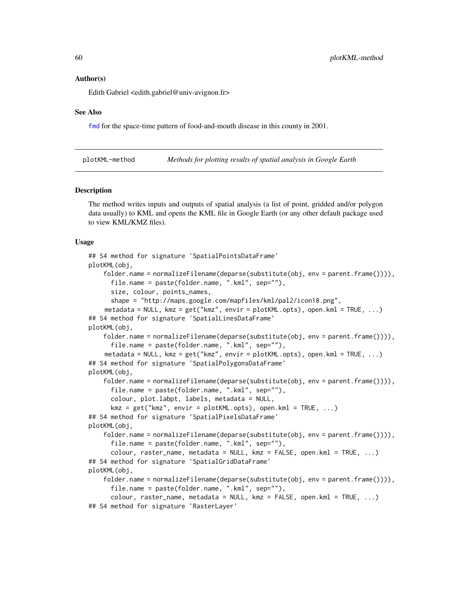#### Author(s)

Edith Gabriel <edith.gabriel@univ-avignon.fr>

#### See Also

[fmd](#page-14-0) for the space-time pattern of food-and-mouth disease in this county in 2001.

<span id="page-59-0"></span>plotKML-method *Methods for plotting results of spatial analysis in Google Earth*

#### Description

The method writes inputs and outputs of spatial analysis (a list of point, gridded and/or polygon data usually) to KML and opens the KML file in Google Earth (or any other default package used to view KML/KMZ files).

#### Usage

```
## S4 method for signature 'SpatialPointsDataFrame'
plotKML(obj,
    folder.name = normalizeFilename(deparse(substitute(obj, env = parent.frame()))),
      file.name = paste(folder.name, ".kml", sep=""),
      size, colour, points_names,
      shape = "http://maps.google.com/mapfiles/kml/pal2/icon18.png",
    metadata = NULL, kmz = get('kmz'', envir = plotKML.opts), open.kml = TRUE, ...)
## S4 method for signature 'SpatialLinesDataFrame'
plotKML(obj,
    folder.name = normalizeFilename(deparse(substitute(obj, env = parent.frame()))),
      file.name = paste(folder.name, ".kml", sep=""),
    metadata = NULL, kmz = get("kmz", envir = plotKML.opts), open.kml = TRUE, ...)
## S4 method for signature 'SpatialPolygonsDataFrame'
plotKML(obj,
    folder.name = normalizeFilename(deparse(substitute(obj, env = parent.frame()))),
      file.name = paste(folder.name, ".kml", sep=""),
      colour, plot.labpt, labels, metadata = NULL,
      kmz = get('kmz", envir = plotKML.opts), open.kml = TRUE, ...)## S4 method for signature 'SpatialPixelsDataFrame'
plotKML(obj,
    folder.name = normalizeFilename(deparse(substitute(obj, env = parent.frame()))),
      file.name = paste(folder.name, ".kml", sep=""),
      colour, raster_name, metadata = NULL, kmz = FALSE, open.kml = TRUE, ...)
## S4 method for signature 'SpatialGridDataFrame'
plotKML(obj,
    folder.name = normalizeFilename(deparse(substitute(obj, env = parent.frame()))),
      file.name = paste(folder.name, ".kml", sep=""),
      colour, raster_name, metadata = NULL, kmz = FALSE, open.kml = TRUE, ...)
## S4 method for signature 'RasterLayer'
```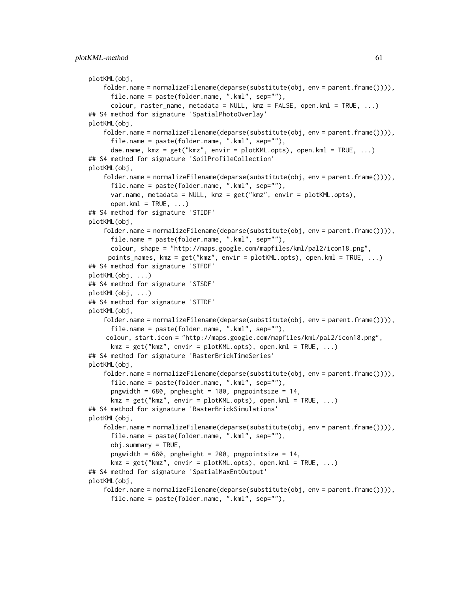```
plotKML(obj,
    folder.name = normalizeFilename(deparse(substitute(obj, env = parent.frame()))),
     file.name = paste(folder.name, ".kml", sep=""),
     colour, raster_name, metadata = NULL, kmz = FALSE, open.kml = TRUE, ...)
## S4 method for signature 'SpatialPhotoOverlay'
plotKML(obj,
    folder.name = normalizeFilename(deparse(substitute(obj, env = parent.frame()))),
      file.name = paste(folder.name, ".kml", sep=""),
     dae.name, kmz = get("kmz", envir = plotKML.opts), open.kml = TRUE, ...)
## S4 method for signature 'SoilProfileCollection'
plotKML(obj,
    folder.name = normalizeFilename(deparse(substitute(obj, env = parent.frame()))),
      file.name = paste(folder.name, ".kml", sep=""),
     var.name, metadata = NULL, kmz = get("kmz", envir = plotKML.opts),
     open.km1 = TRUE, ...## S4 method for signature 'STIDF'
plotKML(obj,
    folder.name = normalizeFilename(deparse(substitute(obj, env = parent.frame()))),
     file.name = paste(folder.name, ".kml", sep=""),
     colour, shape = "http://maps.google.com/mapfiles/kml/pal2/icon18.png",
     points_names, kmz = get("kmz", envir = plotKML.opts), open.kml = TRUE, ...)
## S4 method for signature 'STFDF'
plotKML(obj, ...)
## S4 method for signature 'STSDF'
plotKML(obj, ...)
## S4 method for signature 'STTDF'
plotKML(obj,
    folder.name = normalizeFilename(deparse(substitute(obj, env = parent.frame()))),
      file.name = paste(folder.name, ".kml", sep=""),
    colour, start.icon = "http://maps.google.com/mapfiles/kml/pal2/icon18.png",
     kmz = get("kmz", envir = plotKML.opts), open.kml = TRUE, ...)## S4 method for signature 'RasterBrickTimeSeries'
plotKML(obj,
    folder.name = normalizeFilename(deparse(substitute(obj, env = parent.frame()))),
      file.name = paste(folder.name, ".kml", sep=""),
     pngwidth = 680, pngheight = 180, pngpointsize = 14,
     kmz = get('kmz", envir = plotKML.opts), open.kml = TRUE, ...)## S4 method for signature 'RasterBrickSimulations'
plotKML(obj,
    folder.name = normalizeFilename(deparse(substitute(obj, env = parent.frame()))),
     file.name = paste(folder.name, ".kml", sep=""),
     obj.summary = TRUE,pngwidth = 680, pngheight = 200, pngpointsize = 14,
     kmz = get("kmz", envir = plotKML.opts), open.kml = TRUE, ...)## S4 method for signature 'SpatialMaxEntOutput'
plotKML(obj,
    folder.name = normalizeFilename(deparse(substitute(obj, env = parent.frame()))),
      file.name = paste(folder.name, ".kml", sep=""),
```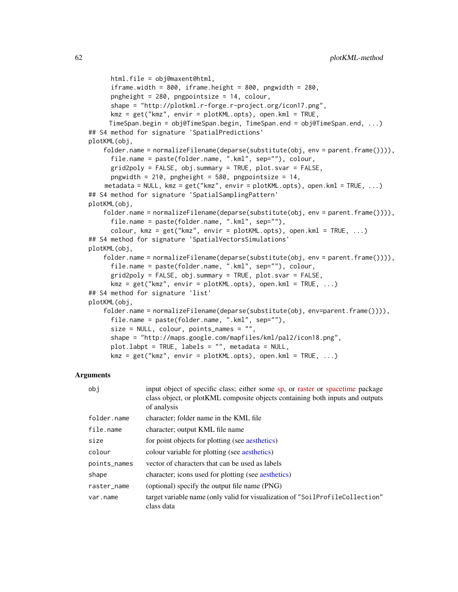```
html.file = obj@maxent@html,
     iframe.width = 800, iframe.height = 800, pngwidth = 280,
     pngheight = 280, pngpointsize = 14, colour,
     shape = "http://plotkml.r-forge.r-project.org/icon17.png",
     kmz = get("kmz", envir = plotKML.opts), open.kml = TRUE,
     TimeSpan.begin = obj@TimeSpan.begin, TimeSpan.end = obj@TimeSpan.end, ...)
## S4 method for signature 'SpatialPredictions'
plotKML(obj,
   folder.name = normalizeFilename(deparse(substitute(obj, env = parent.frame()))),
     file.name = paste(folder.name, ".kml", sep=""), colour,
     grid2poly = FALSE, obj.summary = TRUE, plot.svar = FALSE,
     pngwidth = 210, pngheight = 580, pngpointsize = 14,
    metadata = NULL, kmz = get("kmz", envir = plotKML.opts), open.kml = TRUE, ...)
## S4 method for signature 'SpatialSamplingPattern'
plotKML(obj,
   folder.name = normalizeFilename(deparse(substitute(obj, env = parent.frame()))),
     file.name = paste(folder.name, ".kml", sep=""),
     colour, kmz = get("kmz", envir = plotKML.opts), open.kml = TRUE, ...)## S4 method for signature 'SpatialVectorsSimulations'
plotKML(obj,
    folder.name = normalizeFilename(deparse(substitute(obj, env = parent.frame()))),
      file.name = paste(folder.name, ".kml", sep=""), colour,
     grid2poly = FALSE, obj.summary = TRUE, plot.svar = FALSE,
     kmz = get("kmz", envir = plotKML.opts), open.kml = TRUE, ...)## S4 method for signature 'list'
plotKML(obj,
    folder.name = normalizeFilename(deparse(substitute(obj, env=parent.frame()))),
     file.name = paste(folder.name, ".kml", sep=""),
     size = NULL, colour, points_names = "",
     shape = "http://maps.google.com/mapfiles/kml/pal2/icon18.png",
     plot.labpt = TRUE, labels = "", metadata = NULL,
     kmz = get("kmz", envir = plotKML.opts), open.kml = TRUE, ...)
```

| obj          | input object of specific class; either some sp, or raster or spacetime package<br>class object, or plotKML composite objects containing both inputs and outputs<br>of analysis |
|--------------|--------------------------------------------------------------------------------------------------------------------------------------------------------------------------------|
| folder.name  | character; folder name in the KML file                                                                                                                                         |
| file.name    | character; output KML file name                                                                                                                                                |
| size         | for point objects for plotting (see aesthetics)                                                                                                                                |
| colour       | colour variable for plotting (see aesthetics)                                                                                                                                  |
| points_names | vector of characters that can be used as labels                                                                                                                                |
| shape        | character; icons used for plotting (see aesthetics)                                                                                                                            |
| raster_name  | (optional) specify the output file name (PNG)                                                                                                                                  |
| var.name     | target variable name (only valid for visualization of "SoilProfileCollection"<br>class data                                                                                    |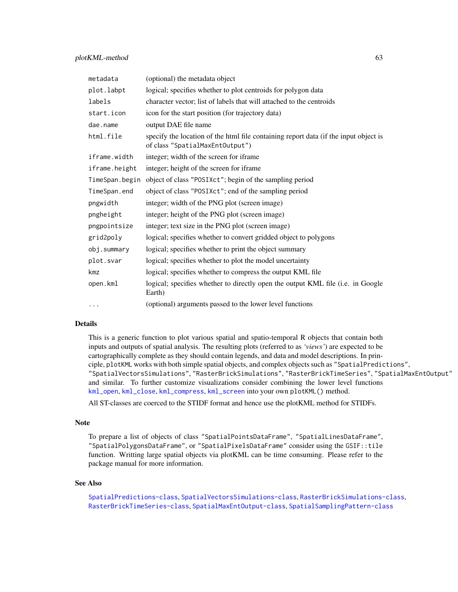| metadata       | (optional) the metadata object                                                                                          |
|----------------|-------------------------------------------------------------------------------------------------------------------------|
| plot.labpt     | logical; specifies whether to plot centroids for polygon data                                                           |
| labels         | character vector; list of labels that will attached to the centroids                                                    |
| start.icon     | icon for the start position (for trajectory data)                                                                       |
| dae.name       | output DAE file name                                                                                                    |
| html.file      | specify the location of the html file containing report data (if the input object is<br>of class "SpatialMaxEntOutput") |
| iframe.width   | integer; width of the screen for iframe                                                                                 |
| iframe.height  | integer; height of the screen for iframe                                                                                |
| TimeSpan.begin | object of class "POSIXct"; begin of the sampling period                                                                 |
| TimeSpan.end   | object of class "POSIXct"; end of the sampling period                                                                   |
| pngwidth       | integer; width of the PNG plot (screen image)                                                                           |
| pngheight      | integer; height of the PNG plot (screen image)                                                                          |
| pngpointsize   | integer; text size in the PNG plot (screen image)                                                                       |
| grid2poly      | logical; specifies whether to convert gridded object to polygons                                                        |
| obj.summary    | logical; specifies whether to print the object summary                                                                  |
| plot.svar      | logical; specifies whether to plot the model uncertainty                                                                |
| kmz            | logical; specifies whether to compress the output KML file                                                              |
| open.kml       | logical; specifies whether to directly open the output KML file (i.e. in Google<br>Earth)                               |
| $\cdots$       | (optional) arguments passed to the lower level functions                                                                |

## Details

This is a generic function to plot various spatial and spatio-temporal R objects that contain both inputs and outputs of spatial analysis. The resulting plots (referred to as *'views'*) are expected to be cartographically complete as they should contain legends, and data and model descriptions. In principle, plotKML works with both simple spatial objects, and complex objects such as "SpatialPredictions", "SpatialVectorsSimulations", "RasterBrickSimulations", "RasterBrickTimeSeries", "SpatialMaxEntOutput" and similar. To further customize visualizations consider combining the lower level functions [kml\\_open](#page-51-0), [kml\\_close](#page-51-1), [kml\\_compress](#page-28-0), [kml\\_screen](#page-52-0) into your own plotKML() method.

All ST-classes are coerced to the STIDF format and hence use the plotKML method for STIDFs.

#### Note

To prepare a list of objects of class "SpatialPointsDataFrame", "SpatialLinesDataFrame", "SpatialPolygonsDataFrame", or "SpatialPixelsDataFrame" consider using the GSIF::tile function. Writting large spatial objects via plotKML can be time consuming. Please refer to the package manual for more information.

#### See Also

```
SpatialPredictions-class, SpatialVectorsSimulations-class, RasterBrickSimulations-class,
RasterBrickTimeSeries-class, SpatialMaxEntOutput-class, SpatialSamplingPattern-class
```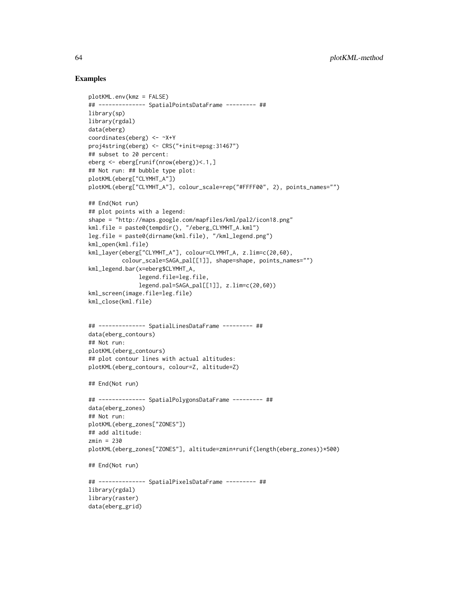## Examples

```
plotKML.env(kmz = FALSE)
## -------------- SpatialPointsDataFrame --------- ##
library(sp)
library(rgdal)
data(eberg)
coordinates(eberg) <- ~X+Y
proj4string(eberg) <- CRS("+init=epsg:31467")
## subset to 20 percent:
eberg <- eberg[runif(nrow(eberg))<.1,]
## Not run: ## bubble type plot:
plotKML(eberg["CLYMHT_A"])
plotKML(eberg["CLYMHT_A"], colour_scale=rep("#FFFF00", 2), points_names="")
## End(Not run)
## plot points with a legend:
shape = "http://maps.google.com/mapfiles/kml/pal2/icon18.png"
kml.file = paste0(tempdir(), "/eberg_CLYMHT_A.kml")
leg.file = paste0(dirname(kml.file), "/kml_legend.png")
kml_open(kml.file)
kml_layer(eberg["CLYMHT_A"], colour=CLYMHT_A, z.lim=c(20,60),
          colour_scale=SAGA_pal[[1]], shape=shape, points_names="")
kml_legend.bar(x=eberg$CLYMHT_A,
              legend.file=leg.file,
               legend.pal=SAGA_pal[[1]], z.lim=c(20,60))
kml_screen(image.file=leg.file)
kml_close(kml.file)
## -------------- SpatialLinesDataFrame --------- ##
data(eberg_contours)
## Not run:
plotKML(eberg_contours)
## plot contour lines with actual altitudes:
plotKML(eberg_contours, colour=Z, altitude=Z)
## End(Not run)
## -------------- SpatialPolygonsDataFrame --------- ##
data(eberg_zones)
## Not run:
plotKML(eberg_zones["ZONES"])
## add altitude:
zmin = 230
plotKML(eberg_zones["ZONES"], altitude=zmin+runif(length(eberg_zones))*500)
## End(Not run)
## -------------- SpatialPixelsDataFrame --------- ##
library(rgdal)
library(raster)
data(eberg_grid)
```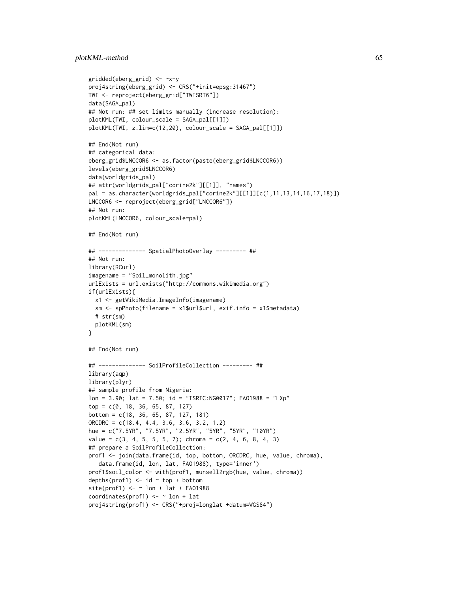```
gridded(eberg_grid) <- ~x+y
proj4string(eberg_grid) <- CRS("+init=epsg:31467")
TWI <- reproject(eberg_grid["TWISRT6"])
data(SAGA_pal)
## Not run: ## set limits manually (increase resolution):
plotKML(TWI, colour_scale = SAGA_pal[[1]])
plotKML(TWI, z.lim=c(12,20), colour_scale = SAGA_pal[[1]])
## End(Not run)
## categorical data:
eberg_grid$LNCCOR6 <- as.factor(paste(eberg_grid$LNCCOR6))
levels(eberg_grid$LNCCOR6)
data(worldgrids_pal)
## attr(worldgrids_pal["corine2k"][[1]], "names")
pal = as.character(worldgrids_pal["corine2k"][[1]][c(1,11,13,14,16,17,18)])
LNCCOR6 <- reproject(eberg_grid["LNCCOR6"])
## Not run:
plotKML(LNCCOR6, colour_scale=pal)
## End(Not run)
## -------------- SpatialPhotoOverlay --------- ##
## Not run:
library(RCurl)
imagename = "Soil_monolith.jpg"
urlExists = url.exists("http://commons.wikimedia.org")
if(urlExists){
  x1 <- getWikiMedia.ImageInfo(imagename)
  sm <- spPhoto(filename = x1$url$url, exif.info = x1$metadata)
  # str(sm)
  plotKML(sm)
}
## End(Not run)
## -------------- SoilProfileCollection --------- ##
library(aqp)
library(plyr)
## sample profile from Nigeria:
lon = 3.90; lat = 7.50; id = "ISRIC:NG0017"; FAO1988 = "LXp"
top = c(0, 18, 36, 65, 87, 127)
bottom = c(18, 36, 65, 87, 127, 181)
ORCDRC = c(18.4, 4.4, 3.6, 3.6, 3.2, 1.2)
hue = c("7.5YR", "7.5YR", "2.5YR", "5YR", "5YR", "10YR")
value = c(3, 4, 5, 5, 5, 7); chroma = c(2, 4, 6, 8, 4, 3)## prepare a SoilProfileCollection:
prof1 <- join(data.frame(id, top, bottom, ORCDRC, hue, value, chroma),
   data.frame(id, lon, lat, FAO1988), type='inner')
prof1$soil_color <- with(prof1, munsell2rgb(hue, value, chroma))
depths(prof1) \le id \sim top + bottom
site(prof1) \leq - \sim lon + lat + FA01988
coordinates(prof1) <- ~ lon + lat
proj4string(prof1) <- CRS("+proj=longlat +datum=WGS84")
```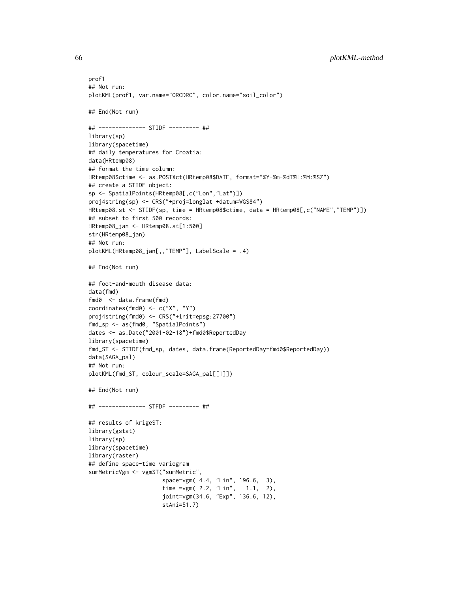```
prof1
## Not run:
plotKML(prof1, var.name="ORCDRC", color.name="soil_color")
## End(Not run)
## -------------- STIDF --------- ##
library(sp)
library(spacetime)
## daily temperatures for Croatia:
data(HRtemp08)
## format the time column:
HRtemp08$ctime <- as.POSIXct(HRtemp08$DATE, format="%Y-%m-%dT%H:%M:%SZ")
## create a STIDF object:
sp <- SpatialPoints(HRtemp08[,c("Lon","Lat")])
proj4string(sp) <- CRS("+proj=longlat +datum=WGS84")
HRtemp08.st <- STIDF(sp, time = HRtemp08$ctime, data = HRtemp08[,c("NAME","TEMP")])
## subset to first 500 records:
HRtemp08_jan <- HRtemp08.st[1:500]
str(HRtemp08_jan)
## Not run:
plotKML(HRtemp08_jan[,,"TEMP"], LabelScale = .4)
## End(Not run)
## foot-and-mouth disease data:
data(fmd)
fmd0 <- data.frame(fmd)
coordinates(fmd0) <- c("X", "Y")
proj4string(fmd0) <- CRS("+init=epsg:27700")
fmd_sp <- as(fmd0, "SpatialPoints")
dates <- as.Date("2001-02-18")+fmd0$ReportedDay
library(spacetime)
fmd_ST <- STIDF(fmd_sp, dates, data.frame(ReportedDay=fmd0$ReportedDay))
data(SAGA_pal)
## Not run:
plotKML(fmd_ST, colour_scale=SAGA_pal[[1]])
## End(Not run)
## -------------- STFDF --------- ##
## results of krigeST:
library(gstat)
library(sp)
library(spacetime)
library(raster)
## define space-time variogram
sumMetricVgm <- vgmST("sumMetric",
                      space=vgm( 4.4, "Lin", 196.6, 3),
                      time =vgm( 2.2, "Lin", 1.1, 2),
                      joint=vgm(34.6, "Exp", 136.6, 12),
                      stAni=51.7)
```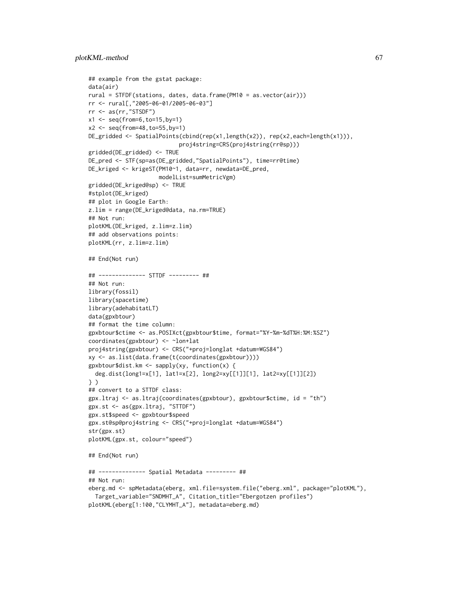```
## example from the gstat package:
data(air)
rural = STFDF(stations, dates, data.frame(PM10 = as.vector(air)))
rr <- rural[,"2005-06-01/2005-06-03"]
rr <- as(rr,"STSDF")
x1 \leftarrow \text{seq}(\text{from=6}, \text{to=15}, \text{by=1})x2 <- seq(from=48,to=55,by=1)
DE_gridded <- SpatialPoints(cbind(rep(x1,length(x2)), rep(x2,each=length(x1))),
                           proj4string=CRS(proj4string(rr@sp)))
gridded(DE_gridded) <- TRUE
DE_pred <- STF(sp=as(DE_gridded,"SpatialPoints"), time=rr@time)
DE_kriged <- krigeST(PM10~1, data=rr, newdata=DE_pred,
                     modelList=sumMetricVgm)
gridded(DE_kriged@sp) <- TRUE
#stplot(DE_kriged)
## plot in Google Earth:
z.lim = range(DE_kriged@data, na.rm=TRUE)
## Not run:
plotKML(DE_kriged, z.lim=z.lim)
## add observations points:
plotKML(rr, z.lim=z.lim)
## End(Not run)
## -------------- STTDF --------- ##
## Not run:
library(fossil)
library(spacetime)
library(adehabitatLT)
data(gpxbtour)
## format the time column:
gpxbtour$ctime <- as.POSIXct(gpxbtour$time, format="%Y-%m-%dT%H:%M:%SZ")
coordinates(gpxbtour) <- ~lon+lat
proj4string(gpxbtour) <- CRS("+proj=longlat +datum=WGS84")
xy <- as.list(data.frame(t(coordinates(gpxbtour))))
gpxbtour$dist.km <- sapply(xy, function(x) {
  deg.dist(long1=x[1], lat1=x[2], long2=xy[[1]][1], lat2=xy[[1]][2])
} )
## convert to a STTDF class:
gpx.ltraj <- as.ltraj(coordinates(gpxbtour), gpxbtour$ctime, id = "th")
gpx.st <- as(gpx.ltraj, "STTDF")
gpx.st$speed <- gpxbtour$speed
gpx.st@sp@proj4string <- CRS("+proj=longlat +datum=WGS84")
str(gpx.st)
plotKML(gpx.st, colour="speed")
## End(Not run)
## -------------- Spatial Metadata --------- ##
## Not run:
eberg.md <- spMetadata(eberg, xml.file=system.file("eberg.xml", package="plotKML"),
  Target_variable="SNDMHT_A", Citation_title="Ebergotzen profiles")
```

```
plotKML(eberg[1:100,"CLYMHT_A"], metadata=eberg.md)
```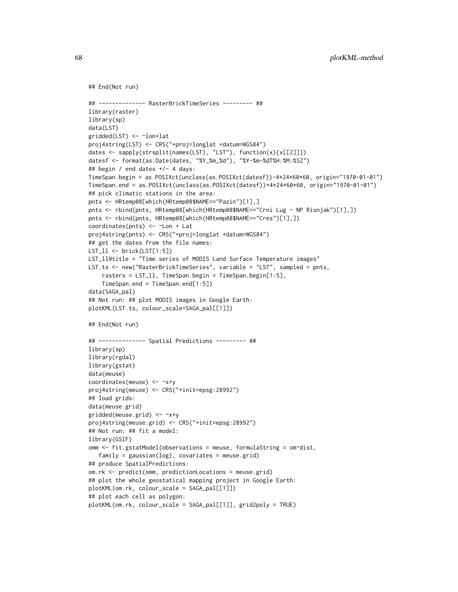```
## End(Not run)
## -------------- RasterBrickTimeSeries --------- ##
library(raster)
library(sp)
data(LST)
gridded(LST) <- ~lon+lat
proj4string(LST) <- CRS("+proj=longlat +datum=WGS84")
dates <- sapply(strsplit(names(LST), "LST"), function(x){x[[2]]})
datesf <- format(as.Date(dates, "%Y_%m_%d"), "%Y-%m-%dT%H:%M:%SZ")
## begin / end dates +/- 4 days:
TimeSpan.begin = as.POSIXct(unclass(as.POSIXct(datesf))-4*24*60*60, origin="1970-01-01")
TimeSpan.end = as.POSIXct(unclass(as.POSIXct(datesf))+4*24*60*60, origin="1970-01-01")
## pick climatic stations in the area:
pnts <- HRtemp08[which(HRtemp08$NAME=="Pazin")[1],]
pnts <- rbind(pnts, HRtemp08[which(HRtemp08$NAME=="Crni Lug - NP Risnjak")[1],])
pnts <- rbind(pnts, HRtemp08[which(HRtemp08$NAME=="Cres")[1],])
coordinates(pnts) <- ~Lon + Lat
proj4string(pnts) <- CRS("+proj=longlat +datum=WGS84")
## get the dates from the file names:
LST_ll <- brick(LST[1:5])
LST_ll@title = "Time series of MODIS Land Surface Temperature images"
LST.ts <- new("RasterBrickTimeSeries", variable = "LST", sampled = pnts,
    rasters = LST_ll, TimeSpan.begin = TimeSpan.begin[1:5],
    TimeSpan.end = TimeSpan.end[1:5])
data(SAGA_pal)
## Not run: ## plot MODIS images in Google Earth:
plotKML(LST.ts, colour_scale=SAGA_pal[[1]])
## End(Not run)
## -------------- Spatial Predictions --------- ##
library(sp)
library(rgdal)
library(gstat)
data(meuse)
coordinates(meuse) <- ~x+y
proj4string(meuse) <- CRS("+init=epsg:28992")
## load grids:
data(meuse.grid)
gridded(meuse.grid) <- ~x+y
proj4string(meuse.grid) <- CRS("+init=epsg:28992")
## Not run: ## fit a model:
library(GSIF)
omm <- fit.gstatModel(observations = meuse, formulaString = om~dist,
   family = gaussian(log), covariates = meuse.grid)
## produce SpatialPredictions:
om.rk <- predict(omm, predictionLocations = meuse.grid)
## plot the whole geostatical mapping project in Google Earth:
plotKML(om.rk, colour_scale = SAGA_pal[[1]])
## plot each cell as polygon:
plotKML(om.rk, colour_scale = SAGA_pal[[1]], grid2poly = TRUE)
```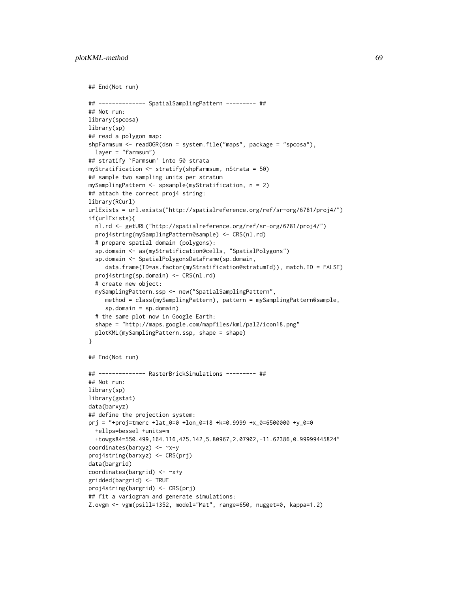```
## End(Not run)
## -------------- SpatialSamplingPattern --------- ##
## Not run:
library(spcosa)
library(sp)
## read a polygon map:
shpFarmsum <- readOGR(dsn = system.file("maps", package = "spcosa"),
  layer = "farmsum")
## stratify `Farmsum' into 50 strata
myStratification <- stratify(shpFarmsum, nStrata = 50)
## sample two sampling units per stratum
mySamplingPattern <- spsample(myStratification, n = 2)
## attach the correct proj4 string:
library(RCurl)
urlExists = url.exists("http://spatialreference.org/ref/sr-org/6781/proj4/")
if(urlExists){
  nl.rd <- getURL("http://spatialreference.org/ref/sr-org/6781/proj4/")
  proj4string(mySamplingPattern@sample) <- CRS(nl.rd)
  # prepare spatial domain (polygons):
  sp.domain <- as(myStratification@cells, "SpatialPolygons")
  sp.domain <- SpatialPolygonsDataFrame(sp.domain,
     data.frame(ID=as.factor(myStratification@stratumId)), match.ID = FALSE)
  proj4string(sp.domain) <- CRS(nl.rd)
  # create new object:
  mySamplingPattern.ssp <- new("SpatialSamplingPattern",
     method = class(mySamplingPattern), pattern = mySamplingPattern@sample,
     sp.domain = sp.domain)
  # the same plot now in Google Earth:
  shape = "http://maps.google.com/mapfiles/kml/pal2/icon18.png"
  plotKML(mySamplingPattern.ssp, shape = shape)
}
## End(Not run)
## -------------- RasterBrickSimulations --------- ##
## Not run:
library(sp)
library(gstat)
data(barxyz)
## define the projection system:
prj = "+proj=tmerc +lat_0=0 +lon_0=18 +k=0.9999 +x_0=6500000 +y_0=0
  +ellps=bessel +units=m
  +towgs84=550.499,164.116,475.142,5.80967,2.07902,-11.62386,0.99999445824"
coordinates(barxyz) <- ~x+y
proj4string(barxyz) <- CRS(prj)
data(bargrid)
coordinates(bargrid) <- ~x+y
gridded(bargrid) <- TRUE
proj4string(bargrid) <- CRS(prj)
## fit a variogram and generate simulations:
Z.ovgm <- vgm(psill=1352, model="Mat", range=650, nugget=0, kappa=1.2)
```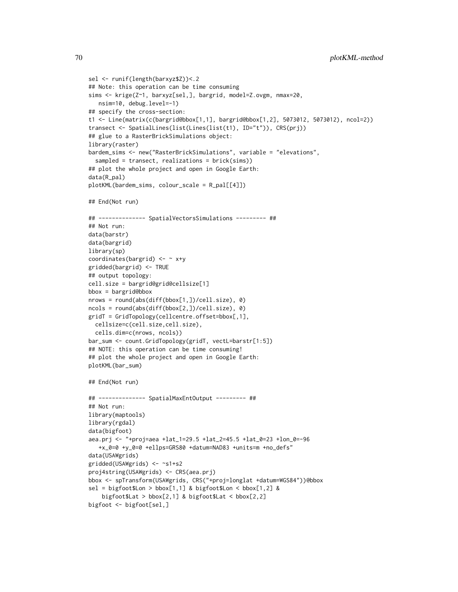```
sel <- runif(length(barxyz$Z))<.2
## Note: this operation can be time consuming
sims <- krige(Z~1, barxyz[sel,], bargrid, model=Z.ovgm, nmax=20,
  nsim=10, debug.level=-1)
## specify the cross-section:
t1 <- Line(matrix(c(bargrid@bbox[1,1], bargrid@bbox[1,2], 5073012, 5073012), ncol=2))
transect <- SpatialLines(list(Lines(list(t1), ID="t")), CRS(prj))
## glue to a RasterBrickSimulations object:
library(raster)
bardem_sims <- new("RasterBrickSimulations", variable = "elevations",
 sampled = transect, realizations = brick(sims))
## plot the whole project and open in Google Earth:
data(R_pal)
plotKML(bardem_sims, colour_scale = R_pal[[4]])
## End(Not run)
## -------------- SpatialVectorsSimulations --------- ##
## Not run:
data(barstr)
data(bargrid)
library(sp)
coordinates(bargrid) <- ~ x+y
gridded(bargrid) <- TRUE
## output topology:
cell.size = bargrid@grid@cellsize[1]
bbox = bargrid@bbox
nrows = round(abs(diff(bbox[1,])/cell.size), 0)
ncols = round(abs(diff(bbox[2,])/cell.size), 0)
gridT = GridTopology(cellcentre.offset=bbox[,1],
 cellsize=c(cell.size,cell.size),
 cells.dim=c(nrows, ncols))
bar_sum <- count.GridTopology(gridT, vectL=barstr[1:5])
## NOTE: this operation can be time consuming!
## plot the whole project and open in Google Earth:
plotKML(bar_sum)
## End(Not run)
## -------------- SpatialMaxEntOutput --------- ##
## Not run:
library(maptools)
library(rgdal)
data(bigfoot)
aea.prj <- "+proj=aea +lat_1=29.5 +lat_2=45.5 +lat_0=23 +lon_0=-96
   +x_0=0 +y_0=0 +ellps=GRS80 +datum=NAD83 +units=m +no_defs"
data(USAWgrids)
gridded(USAWgrids) <- ~s1+s2
proj4string(USAWgrids) <- CRS(aea.prj)
bbox <- spTransform(USAWgrids, CRS("+proj=longlat +datum=WGS84"))@bbox
sel = bigfoot$Lon > bbox[1,1] & bigfoot$Lon < bbox[1,2] &
    bigfoot$Lat > bbox[2,1] & bigfoot$Lat < bbox[2,2]
bigfoot <- bigfoot[sel,]
```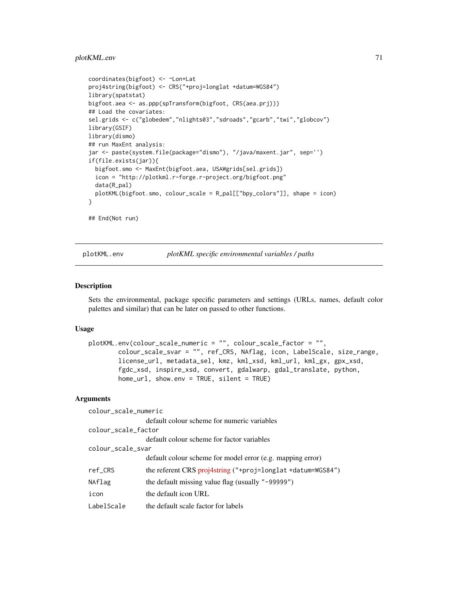## plotKML.env 71

```
coordinates(bigfoot) <- ~Lon+Lat
proj4string(bigfoot) <- CRS("+proj=longlat +datum=WGS84")
library(spatstat)
bigfoot.aea <- as.ppp(spTransform(bigfoot, CRS(aea.prj)))
## Load the covariates:
sel.grids <- c("globedem","nlights03","sdroads","gcarb","twi","globcov")
library(GSIF)
library(dismo)
## run MaxEnt analysis:
jar <- paste(system.file(package="dismo"), "/java/maxent.jar", sep='')
if(file.exists(jar)){
  bigfoot.smo <- MaxEnt(bigfoot.aea, USAWgrids[sel.grids])
  icon = "http://plotkml.r-forge.r-project.org/bigfoot.png"
  data(R_pal)
  plotKML(bigfoot.smo, colour_scale = R_pal[["bpy_colors"]], shape = icon)
}
## End(Not run)
```
plotKML.env *plotKML specific environmental variables / paths*

#### Description

Sets the environmental, package specific parameters and settings (URLs, names, default color palettes and similar) that can be later on passed to other functions.

#### Usage

```
plotKML.env(colour_scale_numeric = "", colour_scale_factor = "",
       colour_scale_svar = "", ref_CRS, NAflag, icon, LabelScale, size_range,
       license_url, metadata_sel, kmz, kml_xsd, kml_url, kml_gx, gpx_xsd,
       fgdc_xsd, inspire_xsd, convert, gdalwarp, gdal_translate, python,
       home_url, show.env = TRUE, silent = TRUE)
```

| colour_scale_numeric |                                                               |  |
|----------------------|---------------------------------------------------------------|--|
|                      | default colour scheme for numeric variables                   |  |
| colour_scale_factor  |                                                               |  |
|                      | default colour scheme for factor variables                    |  |
| colour_scale_svar    |                                                               |  |
|                      | default colour scheme for model error (e.g. mapping error)    |  |
| ref_CRS              | the referent CRS $proj4string$ ("+proj=longlat +datum=WGS84") |  |
| NAflag               | the default missing value flag (usually "-99999")             |  |
| icon                 | the default icon URL                                          |  |
| LabelScale           | the default scale factor for labels                           |  |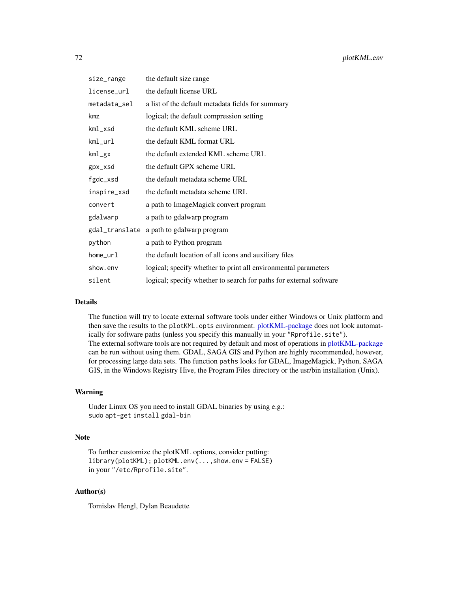| size_range     | the default size range                                             |
|----------------|--------------------------------------------------------------------|
| license url    | the default license URL                                            |
| metadata_sel   | a list of the default metadata fields for summary                  |
| kmz            | logical; the default compression setting                           |
| kml_xsd        | the default KML scheme URL                                         |
| kml_url        | the default KML format URL                                         |
| kml_gx         | the default extended KML scheme URL                                |
| gpx_xsd        | the default GPX scheme URL                                         |
| fgdc_xsd       | the default metadata scheme URL                                    |
| inspire_xsd    | the default metadata scheme URL                                    |
| convert        | a path to ImageMagick convert program                              |
| gdalwarp       | a path to gdalwarp program                                         |
| gdal_translate | a path to gdalwarp program                                         |
| python         | a path to Python program                                           |
| home_url       | the default location of all icons and auxiliary files              |
| show.env       | logical; specify whether to print all environmental parameters     |
| silent         | logical; specify whether to search for paths for external software |

#### Details

The function will try to locate external software tools under either Windows or Unix platform and then save the results to the plotKML.opts environment. [plotKML-package](#page-2-0) does not look automatically for software paths (unless you specify this manually in your "Rprofile.site"). The external software tools are not required by default and most of operations in [plotKML-package](#page-2-0) can be run without using them. GDAL, SAGA GIS and Python are highly recommended, however, for processing large data sets. The function paths looks for GDAL, ImageMagick, Python, SAGA GIS, in the Windows Registry Hive, the Program Files directory or the usr/bin installation (Unix).

### Warning

Under Linux OS you need to install GDAL binaries by using e.g.: sudo apt-get install gdal-bin

# Note

```
To further customize the plotKML options, consider putting:
library(plotKML); plotKML.env(...,show.env = FALSE)
in your "/etc/Rprofile.site".
```
## Author(s)

Tomislav Hengl, Dylan Beaudette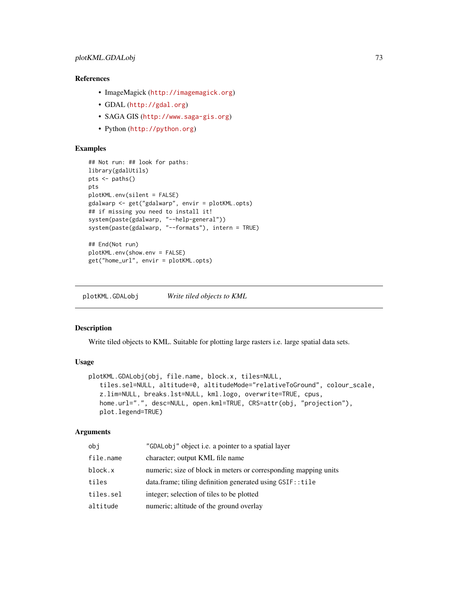# <span id="page-72-0"></span>References

- ImageMagick (<http://imagemagick.org>)
- GDAL (<http://gdal.org>)
- SAGA GIS (<http://www.saga-gis.org>)
- Python (<http://python.org>)

# Examples

```
## Not run: ## look for paths:
library(gdalUtils)
pts <- paths()
pts
plotKML.env(silent = FALSE)
gdalwarp <- get("gdalwarp", envir = plotKML.opts)
## if missing you need to install it!
system(paste(gdalwarp, "--help-general"))
system(paste(gdalwarp, "--formats"), intern = TRUE)
## End(Not run)
plotKML.env(show.env = FALSE)
get("home_url", envir = plotKML.opts)
```
plotKML.GDALobj *Write tiled objects to KML*

#### Description

Write tiled objects to KML. Suitable for plotting large rasters i.e. large spatial data sets.

# Usage

```
plotKML.GDALobj(obj, file.name, block.x, tiles=NULL,
  tiles.sel=NULL, altitude=0, altitudeMode="relativeToGround", colour_scale,
   z.lim=NULL, breaks.lst=NULL, kml.logo, overwrite=TRUE, cpus,
  home.url=".", desc=NULL, open.kml=TRUE, CRS=attr(obj, "projection"),
   plot.legend=TRUE)
```
# Arguments

| obj       | "GDALobj" object i.e. a pointer to a spatial layer              |
|-----------|-----------------------------------------------------------------|
| file.name | character; output KML file name                                 |
| block.x   | numeric; size of block in meters or corresponding mapping units |
| tiles     | data.frame; tiling definition generated using GSIF:: tile       |
| tiles.sel | integer; selection of tiles to be plotted                       |
| altitude  | numeric; altitude of the ground overlay                         |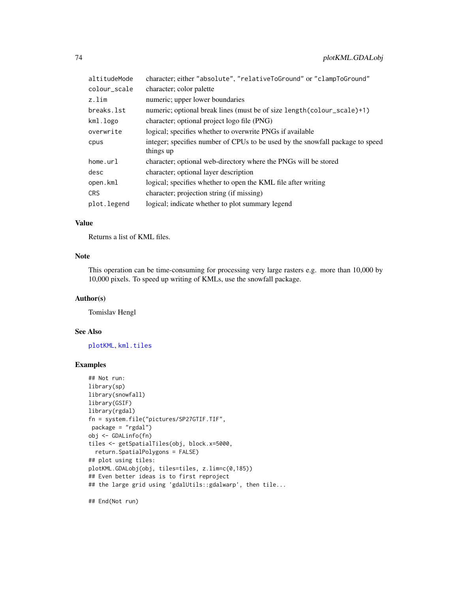<span id="page-73-0"></span>

| altitudeMode | character; either "absolute", "relativeToGround" or "clampToGround"           |
|--------------|-------------------------------------------------------------------------------|
| colour_scale | character; color palette                                                      |
| z.lim        | numeric; upper lower boundaries                                               |
| breaks.lst   | numeric; optional break lines (must be of size length(colour_scale)+1)        |
| kml.logo     | character; optional project logo file (PNG)                                   |
| overwrite    | logical; specifies whether to overwrite PNGs if available                     |
| cpus         | integer; specifies number of CPUs to be used by the snowfall package to speed |
|              | things up                                                                     |
| home.url     | character; optional web-directory where the PNGs will be stored               |
| desc         | character; optional layer description                                         |
| open.kml     | logical; specifies whether to open the KML file after writing                 |
| <b>CRS</b>   | character; projection string (if missing)                                     |
| plot.legend  | logical; indicate whether to plot summary legend                              |

# Value

Returns a list of KML files.

# Note

This operation can be time-consuming for processing very large rasters e.g. more than 10,000 by 10,000 pixels. To speed up writing of KMLs, use the snowfall package.

#### Author(s)

Tomislav Hengl

# See Also

[plotKML](#page-59-0), [kml.tiles](#page-27-0)

#### Examples

```
## Not run:
library(sp)
library(snowfall)
library(GSIF)
library(rgdal)
fn = system.file("pictures/SP27GTIF.TIF",
package = "rgdal")
obj <- GDALinfo(fn)
tiles <- getSpatialTiles(obj, block.x=5000,
  return.SpatialPolygons = FALSE)
## plot using tiles:
plotKML.GDALobj(obj, tiles=tiles, z.lim=c(0,185))
## Even better ideas is to first reproject
## the large grid using 'gdalUtils::gdalwarp', then tile...
```
## End(Not run)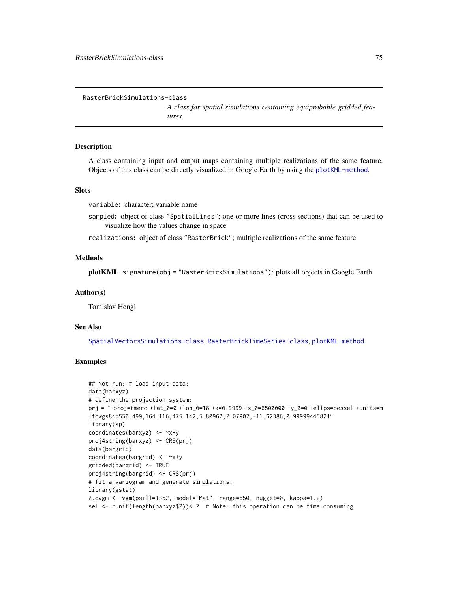<span id="page-74-1"></span><span id="page-74-0"></span>RasterBrickSimulations-class

*A class for spatial simulations containing equiprobable gridded features*

#### **Description**

A class containing input and output maps containing multiple realizations of the same feature. Objects of this class can be directly visualized in Google Earth by using the [plotKML-method](#page-59-1).

# **Slots**

variable: character; variable name

sampled: object of class "SpatialLines"; one or more lines (cross sections) that can be used to visualize how the values change in space

realizations: object of class "RasterBrick"; multiple realizations of the same feature

#### Methods

plotKML signature(obj = "RasterBrickSimulations"): plots all objects in Google Earth

#### Author(s)

Tomislav Hengl

#### See Also

[SpatialVectorsSimulations-class](#page-87-0), [RasterBrickTimeSeries-class](#page-75-0), [plotKML-method](#page-59-1)

# Examples

```
## Not run: # load input data:
data(barxyz)
# define the projection system:
prj = "+proj=tmerc +lat_0=0 +lon_0=18 +k=0.9999 +x_0=6500000 +y_0=0 +ellps=bessel +units=m
+towgs84=550.499,164.116,475.142,5.80967,2.07902,-11.62386,0.99999445824"
library(sp)
coordinates(barxyz) <- ~x+y
proj4string(barxyz) <- CRS(prj)
data(bargrid)
coordinates(bargrid) <- ~x+y
gridded(bargrid) <- TRUE
proj4string(bargrid) <- CRS(prj)
# fit a variogram and generate simulations:
library(gstat)
Z.ovgm <- vgm(psill=1352, model="Mat", range=650, nugget=0, kappa=1.2)
sel <- runif(length(barxyz$Z))<.2 # Note: this operation can be time consuming
```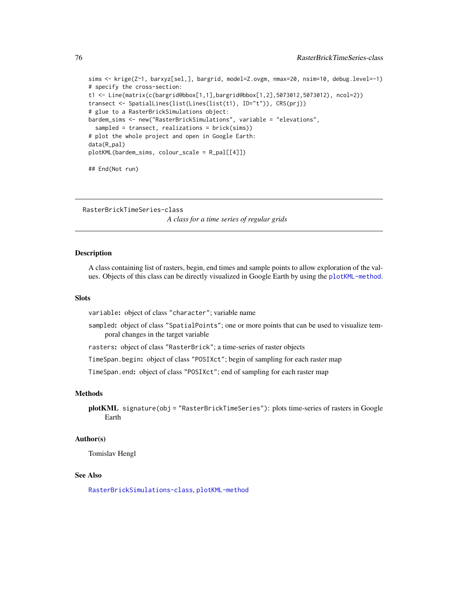```
sims <- krige(Z~1, barxyz[sel,], bargrid, model=Z.ovgm, nmax=20, nsim=10, debug.level=-1)
# specify the cross-section:
t1 <- Line(matrix(c(bargrid@bbox[1,1],bargrid@bbox[1,2],5073012,5073012), ncol=2))
transect <- SpatialLines(list(Lines(list(t1), ID="t")), CRS(prj))
# glue to a RasterBrickSimulations object:
bardem_sims <- new("RasterBrickSimulations", variable = "elevations",
  sampled = transect, realizations = brick(sims))
# plot the whole project and open in Google Earth:
data(R_pal)
plotKML(bardem_sims, colour_scale = R_pal[[4]])
```
## End(Not run)

<span id="page-75-0"></span>RasterBrickTimeSeries-class *A class for a time series of regular grids*

### Description

A class containing list of rasters, begin, end times and sample points to allow exploration of the values. Objects of this class can be directly visualized in Google Earth by using the [plotKML-method](#page-59-1).

#### **Slots**

variable: object of class "character"; variable name

sampled: object of class "SpatialPoints"; one or more points that can be used to visualize temporal changes in the target variable

rasters: object of class "RasterBrick"; a time-series of raster objects

TimeSpan.begin: object of class "POSIXct"; begin of sampling for each raster map

TimeSpan.end: object of class "POSIXct"; end of sampling for each raster map

# Methods

plotKML signature(obj = "RasterBrickTimeSeries"): plots time-series of rasters in Google Earth

# Author(s)

Tomislav Hengl

#### See Also

[RasterBrickSimulations-class](#page-74-0), [plotKML-method](#page-59-1)

<span id="page-75-1"></span>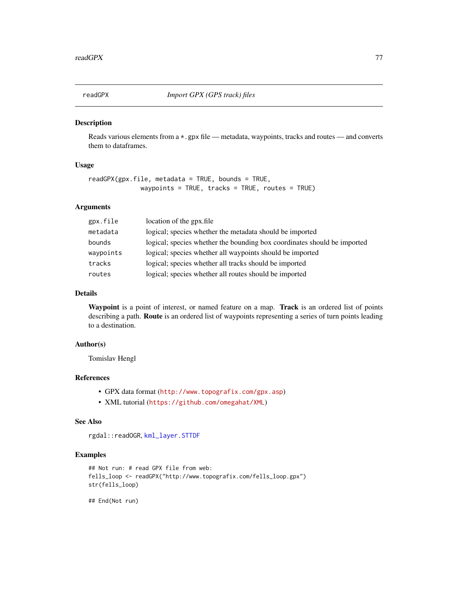<span id="page-76-1"></span><span id="page-76-0"></span>

# Description

Reads various elements from a \*.gpx file — metadata, waypoints, tracks and routes — and converts them to dataframes.

# Usage

```
readGPX(gpx.file, metadata = TRUE, bounds = TRUE,waypoints = TRUE, tracks = TRUE, routes = TRUE)
```
#### Arguments

| gpx.file  | location of the gpx.file                                                 |
|-----------|--------------------------------------------------------------------------|
| metadata  | logical; species whether the metadata should be imported                 |
| bounds    | logical; species whether the bounding box coordinates should be imported |
| waypoints | logical; species whether all waypoints should be imported                |
| tracks    | logical; species whether all tracks should be imported                   |
| routes    | logical; species whether all routes should be imported                   |

#### Details

Waypoint is a point of interest, or named feature on a map. Track is an ordered list of points describing a path. Route is an ordered list of waypoints representing a series of turn points leading to a destination.

# Author(s)

Tomislav Hengl

# References

- GPX data format (<http://www.topografix.com/gpx.asp>)
- XML tutorial (<https://github.com/omegahat/XML>)

#### See Also

rgdal::readOGR, [kml\\_layer.STTDF](#page-46-0)

#### Examples

```
## Not run: # read GPX file from web:
fells_loop <- readGPX("http://www.topografix.com/fells_loop.gpx")
str(fells_loop)
```
## End(Not run)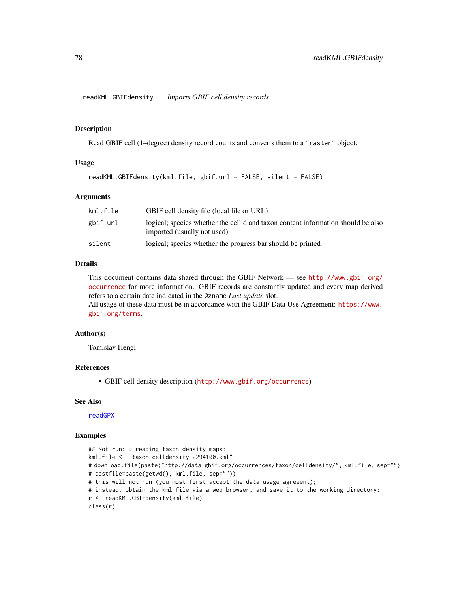<span id="page-77-0"></span>readKML.GBIFdensity *Imports GBIF cell density records*

#### Description

Read GBIF cell (1–degree) density record counts and converts them to a "raster" object.

# Usage

```
readKML.GBIFdensity(kml.file, gbif.url = FALSE, silent = FALSE)
```
# Arguments

| kml.file | GBIF cell density file (local file or URL)                                                                      |
|----------|-----------------------------------------------------------------------------------------------------------------|
| gbif.url | logical; species whether the cellid and taxon content information should be also<br>imported (usually not used) |
| silent   | logical; species whether the progress bar should be printed                                                     |

# Details

This document contains data shared through the GBIF Network — see [http://www.gbif.org/](http://www.gbif.org/occurrence) [occurrence](http://www.gbif.org/occurrence) for more information. GBIF records are constantly updated and every map derived refers to a certain date indicated in the @zname *Last update* slot. All usage of these data must be in accordance with the GBIF Data Use Agreement: [https://www.](https://www.gbif.org/terms)

[gbif.org/terms](https://www.gbif.org/terms).

#### Author(s)

Tomislav Hengl

#### References

• GBIF cell density description (<http://www.gbif.org/occurrence>)

# See Also

[readGPX](#page-76-0)

# Examples

```
## Not run: # reading taxon density maps:
kml.file <- "taxon-celldensity-2294100.kml"
# download.file(paste("http://data.gbif.org/occurrences/taxon/celldensity/", kml.file, sep=""),
# destfile=paste(getwd(), kml.file, sep=""))
# this will not run (you must first accept the data usage agreeent);
# instead, obtain the kml file via a web browser, and save it to the working directory:
r <- readKML.GBIFdensity(kml.file)
class(r)
```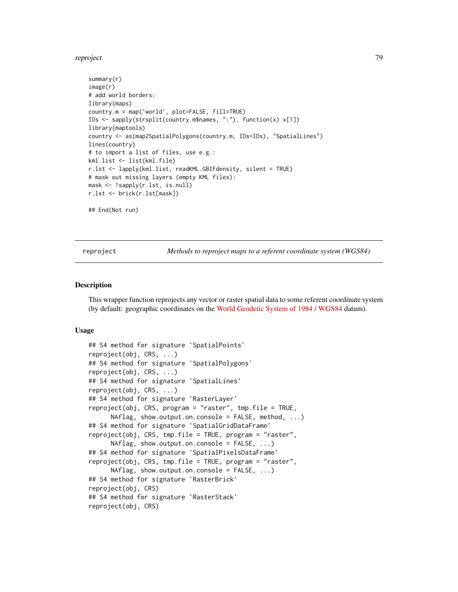#### <span id="page-78-0"></span>reproject the contract of the contract of the contract of the contract of the contract of the contract of the contract of the contract of the contract of the contract of the contract of the contract of the contract of the

```
summary(r)
image(r)
# add world borders:
library(maps)
country.m = map('world', plot=FALSE, fill=TRUE)
IDs <- sapply(strsplit(country.m$names, ":"), function(x) x[1])
library(maptools)
country <- as(map2SpatialPolygons(country.m, IDs=IDs), "SpatialLines")
lines(country)
# to import a list of files, use e.g.:
kml.list <- list(kml.file)
r.lst <- lapply(kml.list, readKML.GBIFdensity, silent = TRUE)
# mask out missing layers (empty KML files):
mask <- !sapply(r.lst, is.null)
r.lst <- brick(r.lst[mask])
## End(Not run)
```
reproject *Methods to reproject maps to a referent coordinate system (WGS84)*

#### Description

This wrapper function reprojects any vector or raster spatial data to some referent coordinate system (by default: geographic coordinates on the [World Geodetic System of 1984 / WGS84](http://spatialreference.org/ref/epsg/4326/) datum).

#### Usage

```
## S4 method for signature 'SpatialPoints'
reproject(obj, CRS, ...)
## S4 method for signature 'SpatialPolygons'
reproject(obj, CRS, ...)
## S4 method for signature 'SpatialLines'
reproject(obj, CRS, ...)
## S4 method for signature 'RasterLayer'
reproject(obj, CRS, program = "raster", tmp.file = TRUE,
      NAflag, show.output.on.console = FALSE, method, ...)
## S4 method for signature 'SpatialGridDataFrame'
reproject(obj, CRS, tmp.file = TRUE, program = "raster",
      NAflag, show.output.on.console = FALSE, ...)
## S4 method for signature 'SpatialPixelsDataFrame'
reproject(obj, CRS, tmp.file = TRUE, program = "raster",
      NAflag, show.output.on.console = FALSE, ...)
## S4 method for signature 'RasterBrick'
reproject(obj, CRS)
## S4 method for signature 'RasterStack'
reproject(obj, CRS)
```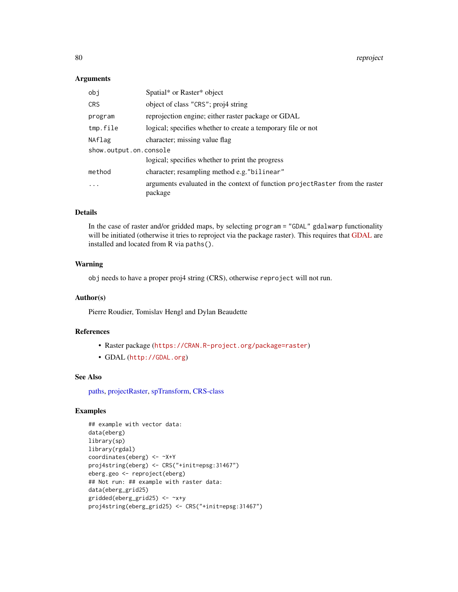80 reproject to the contract of the contract of the contract of the contract of the contract of the contract of the contract of the contract of the contract of the contract of the contract of the contract of the contract o

#### Arguments

| obj                    | Spatial* or Raster* object                                                              |  |
|------------------------|-----------------------------------------------------------------------------------------|--|
| <b>CRS</b>             | object of class "CRS"; proj4 string                                                     |  |
| program                | reprojection engine; either raster package or GDAL                                      |  |
| tmp.file               | logical; specifies whether to create a temporary file or not                            |  |
| NAflag                 | character; missing value flag                                                           |  |
| show.output.on.console |                                                                                         |  |
|                        | logical; specifies whether to print the progress                                        |  |
| method                 | character; resampling method e.g. "bilinear"                                            |  |
| $\cdot$                | arguments evaluated in the context of function projectRaster from the raster<br>package |  |

# Details

In the case of raster and/or gridded maps, by selecting program = "GDAL" gdalwarp functionality will be initiated (otherwise it tries to reproject via the package raster). This requires that [GDAL](http://gdal.org) are installed and located from R via paths().

# Warning

obj needs to have a proper proj4 string (CRS), otherwise reproject will not run.

#### Author(s)

Pierre Roudier, Tomislav Hengl and Dylan Beaudette

#### References

- Raster package (<https://CRAN.R-project.org/package=raster>)
- GDAL (<http://GDAL.org>)

#### See Also

[paths,](#page-70-0) [projectRaster,](#page-0-0) [spTransform,](#page-0-0) [CRS-class](#page-0-0)

# Examples

```
## example with vector data:
data(eberg)
library(sp)
library(rgdal)
coordinates(eberg) <- ~X+Y
proj4string(eberg) <- CRS("+init=epsg:31467")
eberg.geo <- reproject(eberg)
## Not run: ## example with raster data:
data(eberg_grid25)
gridded(eberg_grid25) <- ~x+y
proj4string(eberg_grid25) <- CRS("+init=epsg:31467")
```
<span id="page-79-0"></span>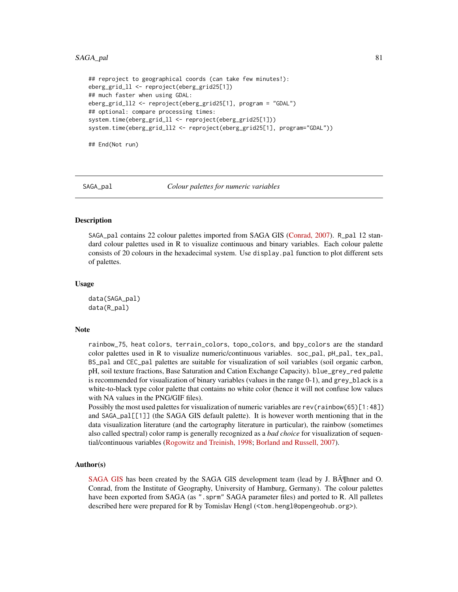#### <span id="page-80-2"></span>SAGA\_pal 81

```
## reproject to geographical coords (can take few minutes!):
eberg_grid_ll <- reproject(eberg_grid25[1])
## much faster when using GDAL:
eberg_grid_ll2 <- reproject(eberg_grid25[1], program = "GDAL")
## optional: compare processing times:
system.time(eberg_grid_ll <- reproject(eberg_grid25[1]))
system.time(eberg_grid_ll2 <- reproject(eberg_grid25[1], program="GDAL"))
```
## End(Not run)

<span id="page-80-0"></span>

SAGA\_pal *Colour palettes for numeric variables*

#### <span id="page-80-1"></span>Description

SAGA\_pal contains 22 colour palettes imported from SAGA GIS [\(Conrad, 2007\)](http://webdoc.sub.gwdg.de/diss/2007/conrad/conrad.pdf). R\_pal 12 standard colour palettes used in R to visualize continuous and binary variables. Each colour palette consists of 20 colours in the hexadecimal system. Use display.pal function to plot different sets of palettes.

#### Usage

data(SAGA\_pal) data(R\_pal)

#### Note

rainbow\_75, heat colors, terrain\_colors, topo\_colors, and bpy\_colors are the standard color palettes used in R to visualize numeric/continuous variables. soc\_pal,  $pH$ \_pal, tex\_pal, BS\_pal and CEC\_pal palettes are suitable for visualization of soil variables (soil organic carbon, pH, soil texture fractions, Base Saturation and Cation Exchange Capacity). blue\_grey\_red palette is recommended for visualization of binary variables (values in the range 0-1), and grey\_black is a white-to-black type color palette that contains no white color (hence it will not confuse low values with NA values in the PNG/GIF files).

Possibly the most used palettes for visualization of numeric variables are rev(rainbow(65)[1:48]) and SAGA\_pal[[1]] (the SAGA GIS default palette). It is however worth mentioning that in the data visualization literature (and the cartography literature in particular), the rainbow (sometimes also called spectral) color ramp is generally recognized as a *bad choice* for visualization of sequential/continuous variables [\(Rogowitz and Treinish, 1998;](http://dx.doi.org/10.1109/6.736450) [Borland and Russell, 2007\)](http://dx.doi.org/10.1109/MCG.2007.323435).

#### Author(s)

[SAGA GIS](http://www.saga-gis.org) has been created by the SAGA GIS development team (lead by J. BA Theorem and O. Conrad, from the Institute of Geography, University of Hamburg, Germany). The colour palettes have been exported from SAGA (as ". sprm" SAGA parameter files) and ported to R. All palletes described here were prepared for R by Tomislav Hengl (<tom.hengl@opengeohub.org>).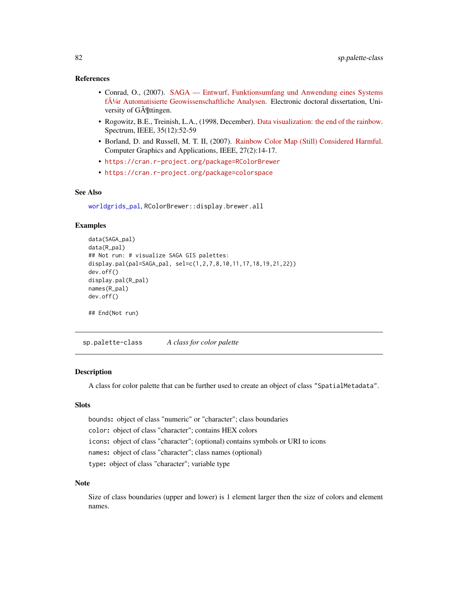#### <span id="page-81-0"></span>References

- Conrad, O., (2007). [SAGA Entwurf, Funktionsumfang und Anwendung eines Systems](http://webdoc.sub.gwdg.de/diss/2007/conrad/conrad.pdf) [für Automatisierte Geowissenschaftliche Analysen.](http://webdoc.sub.gwdg.de/diss/2007/conrad/conrad.pdf) Electronic doctoral dissertation, University of G $\tilde{A}$ <sup>*[ttingen.]*</sup>
- Rogowitz, B.E., Treinish, L.A., (1998, December). [Data visualization: the end of the rainbow.](http://dx.doi.org/10.1109/6.736450) Spectrum, IEEE, 35(12):52-59
- Borland, D. and Russell, M. T. II, (2007). [Rainbow Color Map \(Still\) Considered Harmful.](http://dx.doi.org/10.1109/MCG.2007.323435) Computer Graphics and Applications, IEEE, 27(2):14-17.
- <https://cran.r-project.org/package=RColorBrewer>
- <https://cran.r-project.org/package=colorspace>

#### See Also

[worldgrids\\_pal](#page-98-0), RColorBrewer::display.brewer.all

# Examples

```
data(SAGA_pal)
data(R_pal)
## Not run: # visualize SAGA GIS palettes:
display.pal(pal=SAGA_pal, sel=c(1,2,7,8,10,11,17,18,19,21,22))
dev.off()
display.pal(R_pal)
names(R_pal)
dev.off()
## End(Not run)
```
sp.palette-class *A class for color palette*

#### Description

A class for color palette that can be further used to create an object of class "SpatialMetadata".

# **Slots**

bounds: object of class "numeric" or "character"; class boundaries color: object of class "character"; contains HEX colors icons: object of class "character"; (optional) contains symbols or URI to icons names: object of class "character"; class names (optional) type: object of class "character"; variable type

#### Note

Size of class boundaries (upper and lower) is 1 element larger then the size of colors and element names.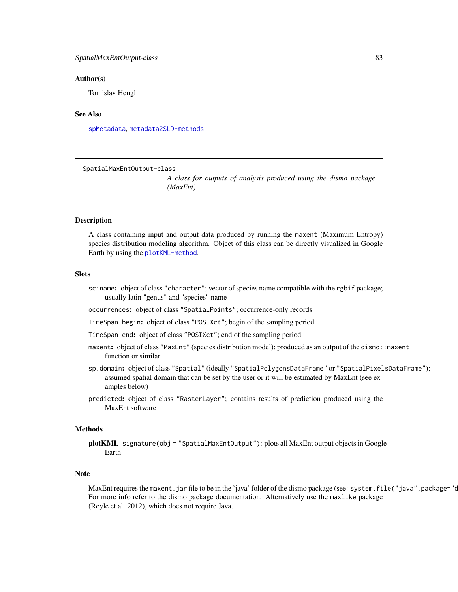#### <span id="page-82-0"></span>SpatialMaxEntOutput-class 83

#### Author(s)

Tomislav Hengl

# See Also

[spMetadata](#page-88-0), [metadata2SLD-methods](#page-56-0)

SpatialMaxEntOutput-class

*A class for outputs of analysis produced using the dismo package (MaxEnt)*

#### Description

A class containing input and output data produced by running the maxent (Maximum Entropy) species distribution modeling algorithm. Object of this class can be directly visualized in Google Earth by using the [plotKML-method](#page-59-1).

#### **Slots**

sciname: object of class "character"; vector of species name compatible with the rgbif package; usually latin "genus" and "species" name

occurrences: object of class "SpatialPoints"; occurrence-only records

TimeSpan.begin: object of class "POSIXct"; begin of the sampling period

TimeSpan.end: object of class "POSIXct"; end of the sampling period

- maxent: object of class "MaxEnt" (species distribution model); produced as an output of the dismo: : maxent function or similar
- sp.domain: object of class "Spatial" (ideally "SpatialPolygonsDataFrame" or "SpatialPixelsDataFrame"); assumed spatial domain that can be set by the user or it will be estimated by MaxEnt (see examples below)
- predicted: object of class "RasterLayer"; contains results of prediction produced using the MaxEnt software

#### Methods

plotKML signature(obj = "SpatialMaxEntOutput"): plots all MaxEnt output objects in Google Earth

#### **Note**

MaxEnt requires the maxent.jar file to be in the 'java' folder of the dismo package (see: system.file("java",package="c For more info refer to the dismo package documentation. Alternatively use the maxlike package (Royle et al. 2012), which does not require Java.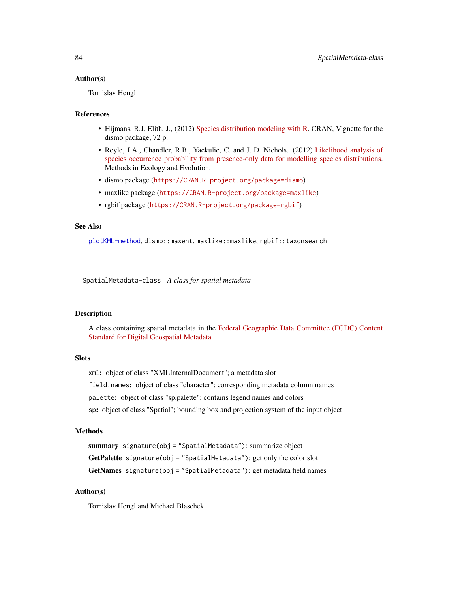#### <span id="page-83-1"></span>Author(s)

Tomislav Hengl

#### References

- Hijmans, R.J, Elith, J., (2012) [Species distribution modeling with R.](https://CRAN.R-project.org/package=dismo) CRAN, Vignette for the dismo package, 72 p.
- Royle, J.A., Chandler, R.B., Yackulic, C. and J. D. Nichols. (2012) [Likelihood analysis of](http://dx.doi.org/10.1111/j.2041-210X.2011.00182.x) [species occurrence probability from presence-only data for modelling species distributions.](http://dx.doi.org/10.1111/j.2041-210X.2011.00182.x) Methods in Ecology and Evolution.
- dismo package (<https://CRAN.R-project.org/package=dismo>)
- maxlike package (<https://CRAN.R-project.org/package=maxlike>)
- rgbif package (<https://CRAN.R-project.org/package=rgbif>)

# See Also

[plotKML-method](#page-59-1), dismo::maxent, maxlike::maxlike, rgbif::taxonsearch

<span id="page-83-0"></span>SpatialMetadata-class *A class for spatial metadata*

#### **Description**

A class containing spatial metadata in the [Federal Geographic Data Committee \(FGDC\) Content](http://www.fgdc.gov/metadata/csdgm/) [Standard for Digital Geospatial Metadata.](http://www.fgdc.gov/metadata/csdgm/)

# Slots

xml: object of class "XMLInternalDocument"; a metadata slot

field.names: object of class "character"; corresponding metadata column names

palette: object of class "sp.palette"; contains legend names and colors

sp: object of class "Spatial"; bounding box and projection system of the input object

# Methods

summary signature(obj = "SpatialMetadata"): summarize object GetPalette signature(obj = "SpatialMetadata"): get only the color slot GetNames signature(obj = "SpatialMetadata"): get metadata field names

# Author(s)

Tomislav Hengl and Michael Blaschek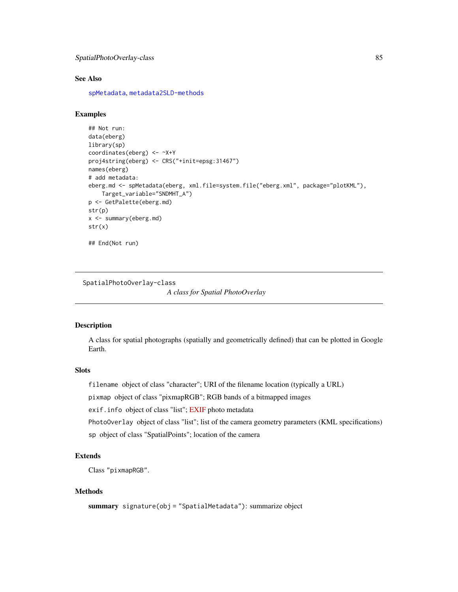```
SpatialPhotoOverlay-class 85
```
# See Also

[spMetadata](#page-88-0), [metadata2SLD-methods](#page-56-0)

# Examples

```
## Not run:
data(eberg)
library(sp)
coordinates(eberg) <- ~X+Y
proj4string(eberg) <- CRS("+init=epsg:31467")
names(eberg)
# add metadata:
eberg.md <- spMetadata(eberg, xml.file=system.file("eberg.xml", package="plotKML"),
    Target_variable="SNDMHT_A")
p <- GetPalette(eberg.md)
str(p)
x <- summary(eberg.md)
str(x)
## End(Not run)
```
SpatialPhotoOverlay-class

*A class for Spatial PhotoOverlay*

#### Description

A class for spatial photographs (spatially and geometrically defined) that can be plotted in Google Earth.

# Slots

filename object of class "character"; URI of the filename location (typically a URL)

pixmap object of class "pixmapRGB"; RGB bands of a bitmapped images

exif.info object of class "list"; [EXIF](http://www.sno.phy.queensu.ca/~phil/exiftool/TagNames/EXIF.html) photo metadata

PhotoOverlay object of class "list"; list of the camera geometry parameters (KML specifications)

sp object of class "SpatialPoints"; location of the camera

# Extends

Class "pixmapRGB".

#### Methods

summary signature(obj = "SpatialMetadata"): summarize object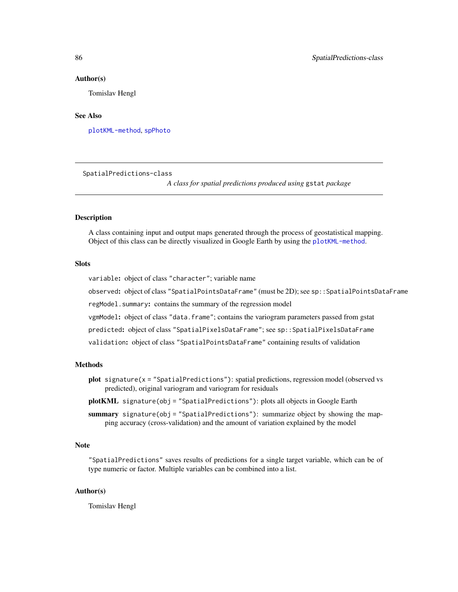#### Author(s)

Tomislav Hengl

# See Also

[plotKML-method](#page-59-1), [spPhoto](#page-91-0)

SpatialPredictions-class

*A class for spatial predictions produced using* gstat *package*

# Description

A class containing input and output maps generated through the process of geostatistical mapping. Object of this class can be directly visualized in Google Earth by using the [plotKML-method](#page-59-1).

# Slots

variable: object of class "character"; variable name

observed: object of class "SpatialPointsDataFrame" (must be 2D); see sp::SpatialPointsDataFrame

regModel.summary: contains the summary of the regression model

vgmModel: object of class "data.frame"; contains the variogram parameters passed from gstat

predicted: object of class "SpatialPixelsDataFrame"; see sp::SpatialPixelsDataFrame

validation: object of class "SpatialPointsDataFrame" containing results of validation

#### Methods

plot signature(x = "SpatialPredictions"): spatial predictions, regression model (observed vs predicted), original variogram and variogram for residuals

plotKML signature(obj = "SpatialPredictions"): plots all objects in Google Earth

summary signature(obj = "SpatialPredictions"): summarize object by showing the mapping accuracy (cross-validation) and the amount of variation explained by the model

#### Note

"SpatialPredictions" saves results of predictions for a single target variable, which can be of type numeric or factor. Multiple variables can be combined into a list.

#### Author(s)

Tomislav Hengl

<span id="page-85-0"></span>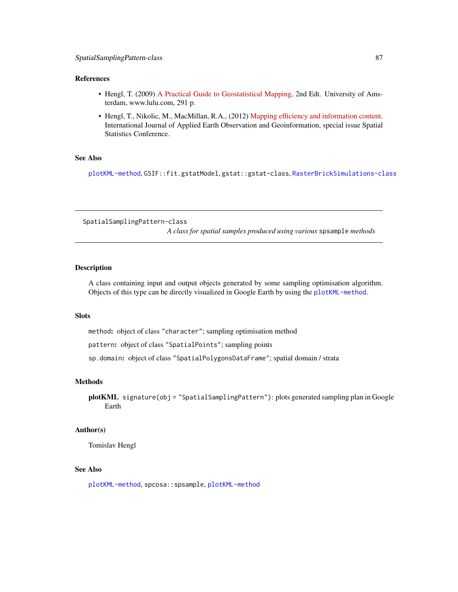# <span id="page-86-0"></span>References

- Hengl, T. (2009) [A Practical Guide to Geostatistical Mapping,](http://spatial-analyst.net/book/) 2nd Edt. University of Amsterdam, www.lulu.com, 291 p.
- Hengl, T., Nikolic, M., MacMillan, R.A., (2012) [Mapping efficiency and information content.](http://dx.doi.org/10.1016/j.jag.2012.02.005) International Journal of Applied Earth Observation and Geoinformation, special issue Spatial Statistics Conference.

#### See Also

[plotKML-method](#page-59-1), GSIF::fit.gstatModel,gstat::gstat-class, [RasterBrickSimulations-class](#page-74-0)

SpatialSamplingPattern-class

*A class for spatial samples produced using various* spsample *methods*

#### Description

A class containing input and output objects generated by some sampling optimisation algorithm. Objects of this type can be directly visualized in Google Earth by using the [plotKML-method](#page-59-1).

# **Slots**

method: object of class "character"; sampling optimisation method

pattern: object of class "SpatialPoints"; sampling points

sp.domain: object of class "SpatialPolygonsDataFrame"; spatial domain / strata

# Methods

plotKML signature(obj = "SpatialSamplingPattern"): plots generated sampling plan in Google Earth

#### Author(s)

Tomislav Hengl

# See Also

[plotKML-method](#page-59-1), spcosa::spsample, [plotKML-method](#page-59-1)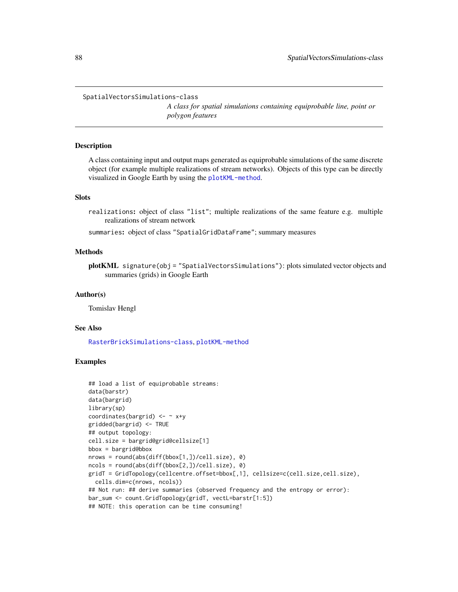```
SpatialVectorsSimulations-class
```
*A class for spatial simulations containing equiprobable line, point or polygon features*

#### Description

A class containing input and output maps generated as equiprobable simulations of the same discrete object (for example multiple realizations of stream networks). Objects of this type can be directly visualized in Google Earth by using the [plotKML-method](#page-59-1).

# **Slots**

realizations: object of class "list"; multiple realizations of the same feature e.g. multiple realizations of stream network

summaries: object of class "SpatialGridDataFrame"; summary measures

#### Methods

plotKML signature(obj = "SpatialVectorsSimulations"): plots simulated vector objects and summaries (grids) in Google Earth

### Author(s)

Tomislav Hengl

# See Also

[RasterBrickSimulations-class](#page-74-0), [plotKML-method](#page-59-1)

# Examples

```
## load a list of equiprobable streams:
data(barstr)
data(bargrid)
library(sp)
coordinates(bargrid) \leq - \times x+ygridded(bargrid) <- TRUE
## output topology:
cell.size = bargrid@grid@cellsize[1]
bbox = bargrid@bbox
nrows = round(abs(diff(bbox[1,])/cell.size), 0)
ncols = round(abs(diff(bbox[2,])/cell.size), 0)
gridT = GridTopology(cellcentre.offset=bbox[,1], cellsize=c(cell.size,cell.size),
  cells.dim=c(nrows, ncols))
## Not run: ## derive summaries (observed frequency and the entropy or error):
bar_sum <- count.GridTopology(gridT, vectL=barstr[1:5])
## NOTE: this operation can be time consuming!
```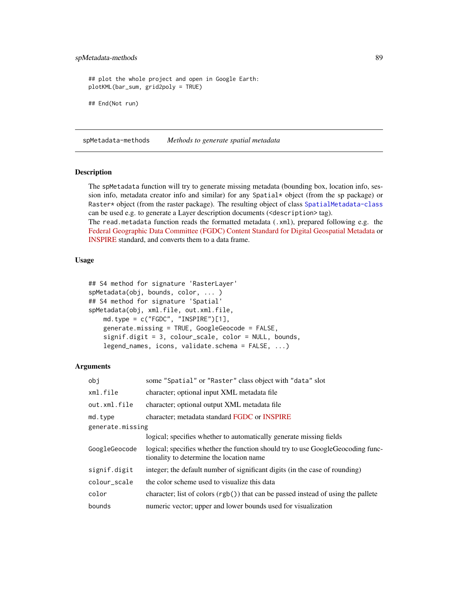# <span id="page-88-1"></span>spMetadata-methods 89

```
## plot the whole project and open in Google Earth:
plotKML(bar_sum, grid2poly = TRUE)
## End(Not run)
```
spMetadata-methods *Methods to generate spatial metadata*

# <span id="page-88-0"></span>Description

The spMetadata function will try to generate missing metadata (bounding box, location info, session info, metadata creator info and similar) for any Spatial\* object (from the sp package) or Raster\* object (from the raster package). The resulting object of class [SpatialMetadata-class](#page-83-0) can be used e.g. to generate a Layer description documents (<description> tag).

The read.metadata function reads the formatted metadata (.xml), prepared following e.g. the [Federal Geographic Data Committee \(FGDC\) Content Standard for Digital Geospatial Metadata](http://www.fgdc.gov/metadata/csdgm/) or [INSPIRE](http://inspire.ec.europa.eu/) standard, and converts them to a data frame.

# Usage

```
## S4 method for signature 'RasterLayer'
spMetadata(obj, bounds, color, ... )
## S4 method for signature 'Spatial'
spMetadata(obj, xml.file, out.xml.file,
   md.type = c("FGDC", "INSPIRE")[1],
   generate.missing = TRUE, GoogleGeocode = FALSE,
    signif.digit = 3, colour_scale, color = NULL, bounds,
   legend_names, icons, validate.schema = FALSE, ...)
```
#### Arguments

| obj              | some "Spatial" or "Raster" class object with "data" slot                                                                     |  |
|------------------|------------------------------------------------------------------------------------------------------------------------------|--|
| xml.file         | character; optional input XML metadata file                                                                                  |  |
| out.xml.file     | character; optional output XML metadata file                                                                                 |  |
| md.type          | character; metadata standard FGDC or INSPIRE                                                                                 |  |
| generate.missing |                                                                                                                              |  |
|                  | logical; specifies whether to automatically generate missing fields                                                          |  |
| GoogleGeocode    | logical; specifies whether the function should try to use Google Geocoding func-<br>tionality to determine the location name |  |
| signif.digit     | integer; the default number of significant digits (in the case of rounding)                                                  |  |
| colour_scale     | the color scheme used to visualize this data                                                                                 |  |
| color            | character; list of colors $(rgb() )$ that can be passed instead of using the pallete                                         |  |
| bounds           | numeric vector; upper and lower bounds used for visualization                                                                |  |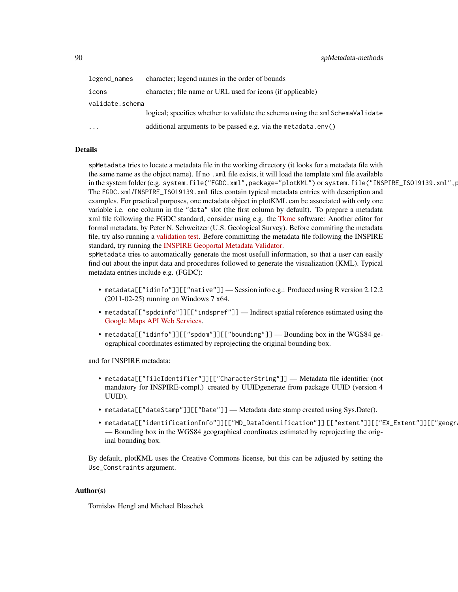| legend_names            | character; legend names in the order of bounds                                |
|-------------------------|-------------------------------------------------------------------------------|
| icons                   | character; file name or URL used for icons (if applicable)                    |
| validate.schema         |                                                                               |
|                         | logical; specifies whether to validate the schema using the xmlSchemaValidate |
| $\cdot$ $\cdot$ $\cdot$ | additional arguments to be passed e.g. via the metadata.env()                 |

#### Details

spMetadata tries to locate a metadata file in the working directory (it looks for a metadata file with the same name as the object name). If no .xml file exists, it will load the template xml file available in the system folder (e.g. system.file("FGDC.xml",package="plotKML") or system.file("INSPIRE\_ISO19139.xml",p The FGDC.xml/INSPIRE\_ISO19139.xml files contain typical metadata entries with description and examples. For practical purposes, one metadata object in plotKML can be associated with only one variable i.e. one column in the "data" slot (the first column by default). To prepare a metadata xml file following the FGDC standard, consider using e.g. the [Tkme](http://geology.usgs.gov/tools/metadata/tools/doc/tkme.html) software: Another editor for formal metadata, by Peter N. Schweitzer (U.S. Geological Survey). Before commiting the metadata file, try also running a [validation test.](https://mrdata.usgs.gov/validation/) Before committing the metadata file following the INSPIRE standard, try running the [INSPIRE Geoportal Metadata Validator.](http://inspire.ec.europa.eu/validator/about/)

spMetadata tries to automatically generate the most usefull information, so that a user can easily find out about the input data and procedures followed to generate the visualization (KML). Typical metadata entries include e.g. (FGDC):

- metadata[["idinfo"]][["native"]] Session info e.g.: Produced using R version 2.12.2 (2011-02-25) running on Windows 7 x64.
- metadata[["spdoinfo"]][["indspref"]] Indirect spatial reference estimated using the [Google Maps API Web Services.](https://developers.google.com/maps/web-services/)
- metadata[["idinfo"]][["spdom"]][["bounding"]] Bounding box in the WGS84 geographical coordinates estimated by reprojecting the original bounding box.

and for INSPIRE metadata:

- metadata[["fileIdentifier"]][["CharacterString"]] Metadata file identifier (not mandatory for INSPIRE-compl.) created by UUIDgenerate from package UUID (version 4 UUID).
- metadata[["dateStamp"]][["Date"]] Metadata date stamp created using Sys.Date().
- metadata[["identificationInfo"]][["MD\_DataIdentification"]][["extent"]][["EX\_Extent"]][["geogr — Bounding box in the WGS84 geographical coordinates estimated by reprojecting the original bounding box.

By default, plotKML uses the Creative Commons license, but this can be adjusted by setting the Use\_Constraints argument.

#### Author(s)

Tomislav Hengl and Michael Blaschek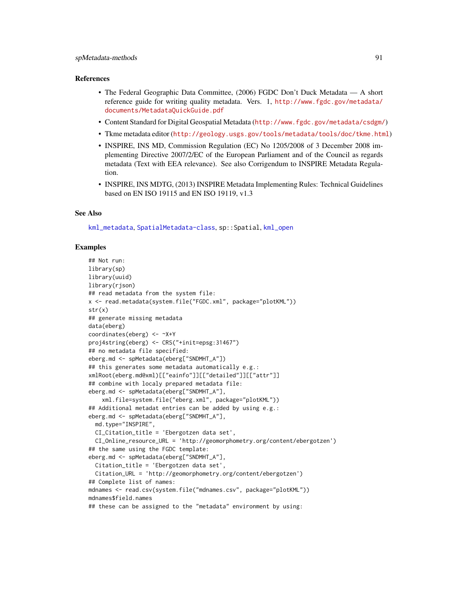# <span id="page-90-0"></span>spMetadata-methods 91

#### References

- The Federal Geographic Data Committee, (2006) FGDC Don't Duck Metadata A short reference guide for writing quality metadata. Vers. 1, [http://www.fgdc.gov/metadata/](http://www.fgdc.gov/metadata/documents/MetadataQuickGuide.pdf) [documents/MetadataQuickGuide.pdf](http://www.fgdc.gov/metadata/documents/MetadataQuickGuide.pdf)
- Content Standard for Digital Geospatial Metadata (<http://www.fgdc.gov/metadata/csdgm/>)
- Tkme metadata editor (<http://geology.usgs.gov/tools/metadata/tools/doc/tkme.html>)
- INSPIRE, INS MD, Commission Regulation (EC) No 1205/2008 of 3 December 2008 implementing Directive 2007/2/EC of the European Parliament and of the Council as regards metadata (Text with EEA relevance). See also Corrigendum to INSPIRE Metadata Regulation.
- INSPIRE, INS MDTG, (2013) INSPIRE Metadata Implementing Rules: Technical Guidelines based on EN ISO 19115 and EN ISO 19119, v1.3

#### See Also

[kml\\_metadata](#page-50-0), [SpatialMetadata-class](#page-83-0), sp::Spatial, [kml\\_open](#page-51-0)

#### Examples

```
## Not run:
library(sp)
library(uuid)
library(rjson)
## read metadata from the system file:
x <- read.metadata(system.file("FGDC.xml", package="plotKML"))
str(x)
## generate missing metadata
data(eberg)
coordinates(eberg) <- ~X+Y
proj4string(eberg) <- CRS("+init=epsg:31467")
## no metadata file specified:
eberg.md <- spMetadata(eberg["SNDMHT_A"])
## this generates some metadata automatically e.g.:
xmlRoot(eberg.md@xml)[["eainfo"]][["detailed"]][["attr"]]
## combine with localy prepared metadata file:
eberg.md <- spMetadata(eberg["SNDMHT_A"],
    xml.file=system.file("eberg.xml", package="plotKML"))
## Additional metadat entries can be added by using e.g.:
eberg.md <- spMetadata(eberg["SNDMHT_A"],
  md.type="INSPIRE",
  CI_Citation_title = 'Ebergotzen data set',
  CI_Online_resource_URL = 'http://geomorphometry.org/content/ebergotzen')
## the same using the FGDC template:
eberg.md <- spMetadata(eberg["SNDMHT_A"],
  Citation_title = 'Ebergotzen data set',
  Citation_URL = 'http://geomorphometry.org/content/ebergotzen')
## Complete list of names:
mdnames <- read.csv(system.file("mdnames.csv", package="plotKML"))
mdnames$field.names
## these can be assigned to the "metadata" environment by using:
```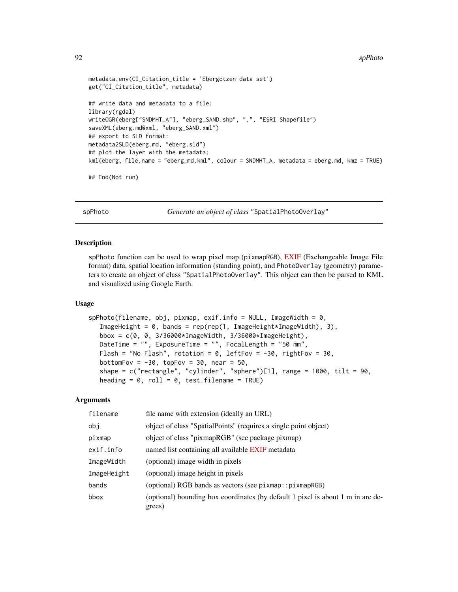```
metadata.env(CI_Citation_title = 'Ebergotzen data set')
get("CI_Citation_title", metadata)
## write data and metadata to a file:
library(rgdal)
writeOGR(eberg["SNDMHT_A"], "eberg_SAND.shp", ".", "ESRI Shapefile")
saveXML(eberg.md@xml, "eberg_SAND.xml")
## export to SLD format:
metadata2SLD(eberg.md, "eberg.sld")
## plot the layer with the metadata:
kml(eberg, file.name = "eberg_md.kml", colour = SNDMHT_A, metadata = eberg.md, kmz = TRUE)
## End(Not run)
```
spPhoto *Generate an object of class* "SpatialPhotoOverlay"

#### Description

spPhoto function can be used to wrap pixel map (pixmapRGB), [EXIF](http://en.wikipedia.org/wiki/Exchangeable_image_file_format) (Exchangeable Image File format) data, spatial location information (standing point), and PhotoOverlay (geometry) parameters to create an object of class "SpatialPhotoOverlay". This object can then be parsed to KML and visualized using Google Earth.

#### Usage

```
spPhoto(filename, obj, pixmap, exif.info = NULL, ImageWidth = 0,
   ImageHeight = 0, bands = rep(rep(1, ImageHeight*ImageWidth), 3),
   bbox = c(0, 0, 3/36000*ImageWidth, 3/36000*ImageHeight),
   DateTime = "", ExposureTime = "", FocalLength = "50 mm",
   Flash = "No Flash", rotation = 0, leftFov = -30, rightFov = 30,
   bottomFov = -30, topFov = 30, near = 50,
   shape = c("rectangle", "cylinder", "sphere")[1], range = 1000, tilt = 90,heading = 0, roll = 0, test.filename = TRUE)
```
#### Arguments

| filename    | file name with extension (ideally an URL)                                                 |
|-------------|-------------------------------------------------------------------------------------------|
| obj         | object of class "SpatialPoints" (requires a single point object)                          |
| pixmap      | object of class "pixmapRGB" (see package pixmap)                                          |
| exif.info   | named list containing all available EXIF metadata                                         |
| ImageWidth  | (optional) image width in pixels                                                          |
| ImageHeight | (optional) image height in pixels                                                         |
| bands       | (optional) RGB bands as vectors (see pixmap:: pixmapRGB)                                  |
| bbox        | (optional) bounding box coordinates (by default 1 pixel is about 1 m in arc de-<br>grees) |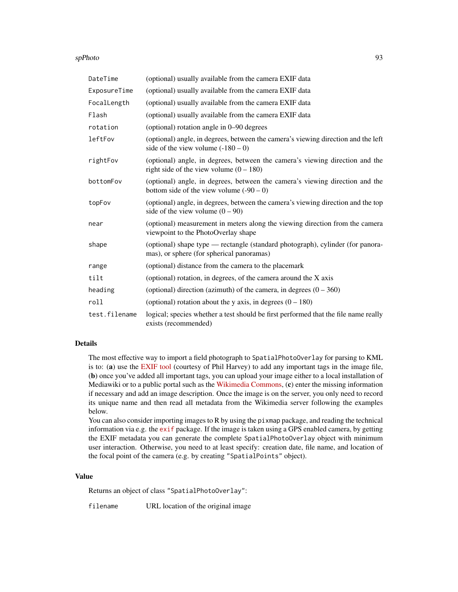#### spPhoto 93

| DateTime      | (optional) usually available from the camera EXIF data                                                                      |
|---------------|-----------------------------------------------------------------------------------------------------------------------------|
| ExposureTime  | (optional) usually available from the camera EXIF data                                                                      |
| FocalLength   | (optional) usually available from the camera EXIF data                                                                      |
| Flash         | (optional) usually available from the camera EXIF data                                                                      |
| rotation      | (optional) rotation angle in 0–90 degrees                                                                                   |
| leftFov       | (optional) angle, in degrees, between the camera's viewing direction and the left<br>side of the view volume $(-180 - 0)$   |
| rightFov      | (optional) angle, in degrees, between the camera's viewing direction and the<br>right side of the view volume $(0 - 180)$   |
| bottomFov     | (optional) angle, in degrees, between the camera's viewing direction and the<br>bottom side of the view volume $(-90 - 0)$  |
| topFov        | (optional) angle, in degrees, between the camera's viewing direction and the top<br>side of the view volume $(0 - 90)$      |
| near          | (optional) measurement in meters along the viewing direction from the camera<br>viewpoint to the PhotoOverlay shape         |
| shape         | (optional) shape type — rectangle (standard photograph), cylinder (for panora-<br>mas), or sphere (for spherical panoramas) |
| range         | (optional) distance from the camera to the placemark                                                                        |
| tilt          | (optional) rotation, in degrees, of the camera around the X axis                                                            |
| heading       | (optional) direction (azimuth) of the camera, in degrees $(0 - 360)$                                                        |
| roll          | (optional) rotation about the y axis, in degrees $(0 - 180)$                                                                |
| test.filename | logical; species whether a test should be first performed that the file name really<br>exists (recommended)                 |

#### Details

The most effective way to import a field photograph to SpatialPhotoOverlay for parsing to KML is to: (a) use the [EXIF tool](http://www.sno.phy.queensu.ca/~phil/exiftool/) (courtesy of Phil Harvey) to add any important tags in the image file, (b) once you've added all important tags, you can upload your image either to a local installation of Mediawiki or to a public portal such as the [Wikimedia Commons,](http://commons.wikimedia.org/wiki/Special:UploadWizard)  $(c)$  enter the missing information if necessary and add an image description. Once the image is on the server, you only need to record its unique name and then read all metadata from the Wikimedia server following the examples below.

You can also consider importing images to R by using the pixmap package, and reading the technical information via e.g. the [exif](https://cran.r-project.org/package=exif) package. If the image is taken using a GPS enabled camera, by getting the EXIF metadata you can generate the complete SpatialPhotoOverlay object with minimum user interaction. Otherwise, you need to at least specify: creation date, file name, and location of the focal point of the camera (e.g. by creating "SpatialPoints" object).

# Value

Returns an object of class "SpatialPhotoOverlay":

filename URL location of the original image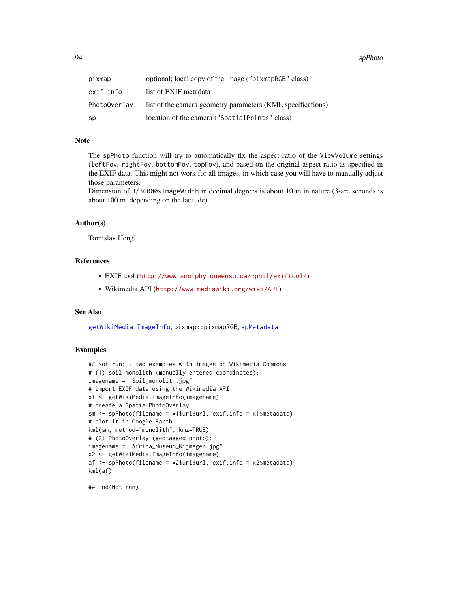<span id="page-93-0"></span>94 spPhoto

| pixmap       | optional; local copy of the image ("pixmapRGB" class)       |
|--------------|-------------------------------------------------------------|
| exif.info    | list of EXIF metadata                                       |
| PhotoOverlav | list of the camera geometry parameters (KML specifications) |
| sp           | location of the camera ("SpatialPoints" class)              |

# Note

The spPhoto function will try to automatically fix the aspect ratio of the ViewVolume settings (leftFov, rightFov, bottomFov, topFov), and based on the original aspect ratio as specified in the EXIF data. This might not work for all images, in which case you will have to manually adjust those parameters.

Dimension of 3/36000 $\star$ ImageWidth in decimal degrees is about 10 m in nature (3-arc seconds is about 100 m, depending on the latitude).

#### Author(s)

Tomislav Hengl

# References

- EXIF tool (<http://www.sno.phy.queensu.ca/~phil/exiftool/>)
- Wikimedia API (<http://www.mediawiki.org/wiki/API>)

# See Also

[getWikiMedia.ImageInfo](#page-17-0), pixmap::pixmapRGB, [spMetadata](#page-88-0)

# Examples

```
## Not run: # two examples with images on Wikimedia Commons
# (1) soil monolith (manually entered coordinates):
imagename = "Soil_monolith.jpg"
# import EXIF data using the Wikimedia API:
x1 <- getWikiMedia.ImageInfo(imagename)
# create a SpatialPhotoOverlay:
sm <- spPhoto(filename = x1$url$url, exif.info = x1$metadata)
# plot it in Google Earth
kml(sm, method="monolith", kmz=TRUE)
# (2) PhotoOverlay (geotagged photo):
imagename = "Africa_Museum_Nijmegen.jpg"
x2 <- getWikiMedia.ImageInfo(imagename)
af <- spPhoto(filename = x2$url$url, exif.info = x2$metadata)
kml(af)
```
## End(Not run)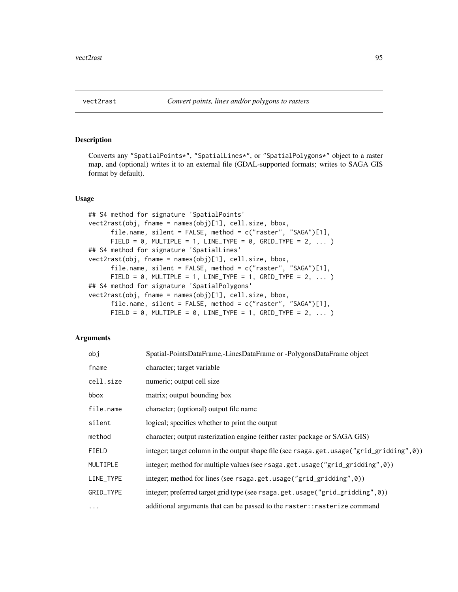<span id="page-94-2"></span><span id="page-94-1"></span>

# <span id="page-94-0"></span>Description

Converts any "SpatialPoints\*", "SpatialLines\*", or "SpatialPolygons\*" object to a raster map, and (optional) writes it to an external file (GDAL-supported formats; writes to SAGA GIS format by default).

#### Usage

```
## S4 method for signature 'SpatialPoints'
vect2rast(obj, fname = names(obj)[1], cell.size, bbox,
      file.name, silent = FALSE, method = c("raster", "SAGA")[1],
      FIELD = 0, MULTIPLE = 1, LINE_TYPE = 0, GRID_TYPE = 2, \dots )
## S4 method for signature 'SpatialLines'
vect2rast(obj, fname = names(obj)[1], cell.size, bbox,
      file.name, silent = FALSE, method = c("raster", "SAGA")[1],
      FIELD = 0, MULTIPLE = 1, LINE_TYPE = 1, GRID_TYPE = 2, ... )
## S4 method for signature 'SpatialPolygons'
vect2rast(obj, fname = names(obj)[1], cell.size, bbox,
      file.name, silent = FALSE, method = c("raster", "SAGA")[1],
      FIELD = 0, MULTIPLE = 0, LINE_TYPE = 1, GRID_TYPE = 2, ... )
```
# Arguments

| obj       | Spatial-PointsDataFrame,-LinesDataFrame or -PolygonsDataFrame object                     |
|-----------|------------------------------------------------------------------------------------------|
| fname     | character; target variable                                                               |
| cell.size | numeric; output cell size                                                                |
| bbox      | matrix; output bounding box                                                              |
| file.name | character; (optional) output file name                                                   |
| silent    | logical; specifies whether to print the output                                           |
| method    | character; output rasterization engine (either raster package or SAGA GIS)               |
| FIELD     | integer; target column in the output shape file (see rsaga.get.usage("grid_gridding",0)) |
| MULTIPLE  | integer; method for multiple values (see rsaga.get.usage("grid_gridding",0))             |
| LINE_TYPE | integer; method for lines (see rsaga.get.usage("grid_gridding",0))                       |
| GRID_TYPE | integer; preferred target grid type (see rsaga.get.usage("grid_gridding",0))             |
| $\cdots$  | additional arguments that can be passed to the raster:: rasterize command                |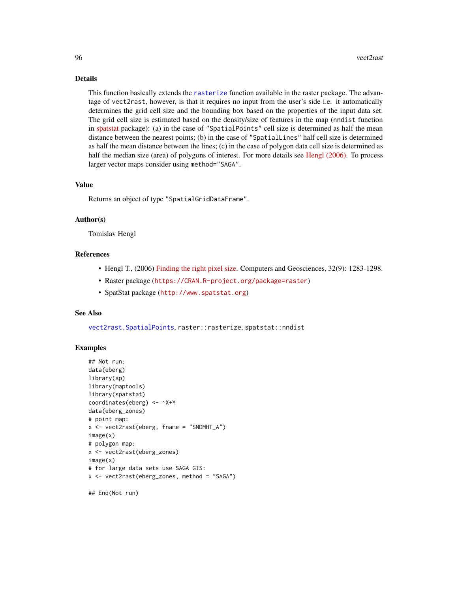# Details

This function basically extends the [rasterize](#page-94-0) function available in the raster package. The advantage of vect2rast, however, is that it requires no input from the user's side i.e. it automatically determines the grid cell size and the bounding box based on the properties of the input data set. The grid cell size is estimated based on the density/size of features in the map (nndist function in [spatstat](http://www.spatstat.org) package): (a) in the case of "SpatialPoints" cell size is determined as half the mean distance between the nearest points; (b) in the case of "SpatialLines" half cell size is determined as half the mean distance between the lines; (c) in the case of polygon data cell size is determined as half the median size (area) of polygons of interest. For more details see [Hengl \(2006\).](http://dx.doi.org/10.1016/j.cageo.2005.11.008) To process larger vector maps consider using method="SAGA".

# Value

Returns an object of type "SpatialGridDataFrame".

# Author(s)

Tomislav Hengl

## References

- Hengl T., (2006) [Finding the right pixel size.](http://dx.doi.org/10.1016/j.cageo.2005.11.008) Computers and Geosciences, 32(9): 1283-1298.
- Raster package (<https://CRAN.R-project.org/package=raster>)
- SpatStat package (<http://www.spatstat.org>)

# See Also

[vect2rast.SpatialPoints](#page-96-0), raster::rasterize, spatstat::nndist

#### Examples

```
## Not run:
data(eberg)
library(sp)
library(maptools)
library(spatstat)
coordinates(eberg) <- ~X+Y
data(eberg_zones)
# point map:
x <- vect2rast(eberg, fname = "SNDMHT_A")
image(x)
# polygon map:
x <- vect2rast(eberg_zones)
image(x)
# for large data sets use SAGA GIS:
x <- vect2rast(eberg_zones, method = "SAGA")
```
## End(Not run)

<span id="page-95-0"></span>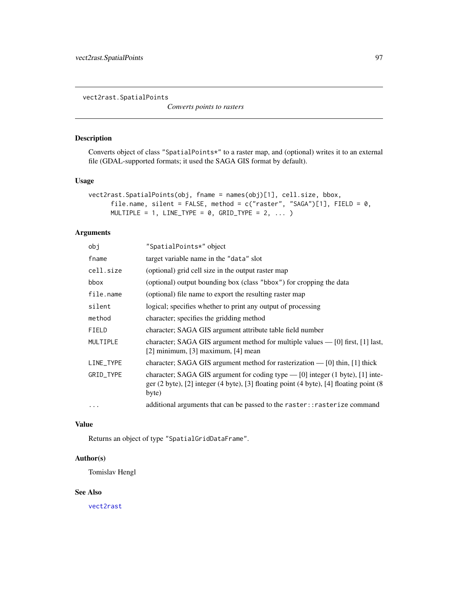<span id="page-96-1"></span><span id="page-96-0"></span>vect2rast.SpatialPoints

*Converts points to rasters*

# Description

Converts object of class "SpatialPoints\*" to a raster map, and (optional) writes it to an external file (GDAL-supported formats; it used the SAGA GIS format by default).

# Usage

```
vect2rast.SpatialPoints(obj, fname = names(obj)[1], cell.size, bbox,
      file.name, silent = FALSE, method = c("raster", "SAGA")[1], FIELD = 0,MULTIPLE = 1, LINE_TYPE = 0, GRID_TYPE = 2, ... )
```
#### Arguments

| obj       | "SpatialPoints*" object                                                                                                                                                                                                                    |
|-----------|--------------------------------------------------------------------------------------------------------------------------------------------------------------------------------------------------------------------------------------------|
| fname     | target variable name in the "data" slot                                                                                                                                                                                                    |
| cell.size | (optional) grid cell size in the output raster map                                                                                                                                                                                         |
| bbox      | (optional) output bounding box (class "bbox") for cropping the data                                                                                                                                                                        |
| file.name | (optional) file name to export the resulting raster map                                                                                                                                                                                    |
| silent    | logical; specifies whether to print any output of processing                                                                                                                                                                               |
| method    | character; specifies the gridding method                                                                                                                                                                                                   |
| FIELD     | character; SAGA GIS argument attribute table field number                                                                                                                                                                                  |
| MULTIPLE  | character; SAGA GIS argument method for multiple values $-$ [0] first, [1] last,<br>$[2]$ minimum, $[3]$ maximum, $[4]$ mean                                                                                                               |
| LINE_TYPE | character; SAGA GIS argument method for rasterization $-$ [0] thin, [1] thick                                                                                                                                                              |
| GRID_TYPE | character; SAGA GIS argument for coding type $-$ [0] integer (1 byte), [1] inte-<br>ger $(2 \text{ byte})$ , $[2]$ integer $(4 \text{ byte})$ , $[3]$ floating point $(4 \text{ byte})$ , $[4]$ floating point $(8 \text{ byte})$<br>byte) |
| $\ddotsc$ | additional arguments that can be passed to the raster:: rasterize command                                                                                                                                                                  |

# Value

Returns an object of type "SpatialGridDataFrame".

# Author(s)

Tomislav Hengl

# See Also

[vect2rast](#page-94-1)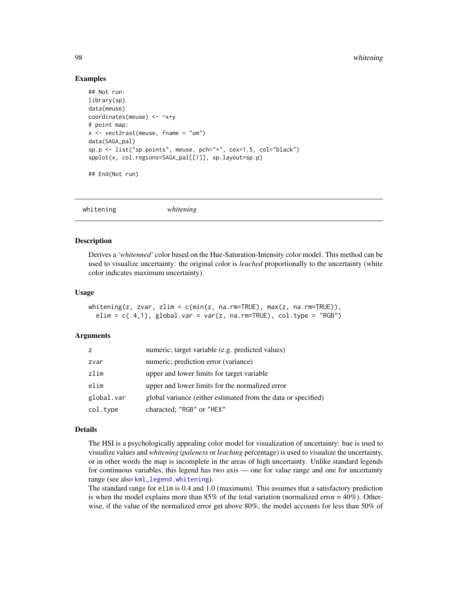#### Examples

```
## Not run:
library(sp)
data(meuse)
coordinates(meuse) <- ~x+y
# point map:
x <- vect2rast(meuse, fname = "om")
data(SAGA_pal)
sp.p <- list("sp.points", meuse, pch="+", cex=1.5, col="black")
spplot(x, col.regions=SAGA_pal[[1]], sp.layout=sp.p)
```
## End(Not run)

whitening *whitening*

# Description

Derives a *'whitenned'* color based on the Hue-Saturation-Intensity color model. This method can be used to visualize uncertainty: the original color is *leached* proportionally to the uncertainty (white color indicates maximum uncertainty).

#### Usage

```
whitening(z, zvar, zlim = c(min(z, na.rm=TRUE), max(z, na.rm=TRUE)),elim = c(.4,1), global.var = var(z, na.rm=TRUE), col.type = "RGB")
```
#### Arguments

| Z.         | numeric; target variable (e.g. predicted values)              |
|------------|---------------------------------------------------------------|
| zvar       | numeric; prediction error (variance)                          |
| zlim       | upper and lower limits for target variable                    |
| elim       | upper and lower limits for the normalized error               |
| global.var | global variance (either estimated from the data or specified) |
| col.type   | characted; "RGB" or "HEX"                                     |

#### Details

The HSI is a psychologically appealing color model for visualization of uncertainty: hue is used to visualize values and *whitening* (*paleness* or *leaching* percentage) is used to visualize the uncertainty, or in other words the map is incomplete in the areas of high uncertainty. Unlike standard legends for continuous variables, this legend has two axis — one for value range and one for uncertainty range (see also [kml\\_legend.whitening](#page-49-0)).

The standard range for elim is 0.4 and 1.0 (maximum). This assumes that a satisfactory prediction is when the model explains more than 85% of the total variation (normalized error =  $40\%$ ). Otherwise, if the value of the normalized error get above 80%, the model accounts for less than 50% of

<span id="page-97-0"></span>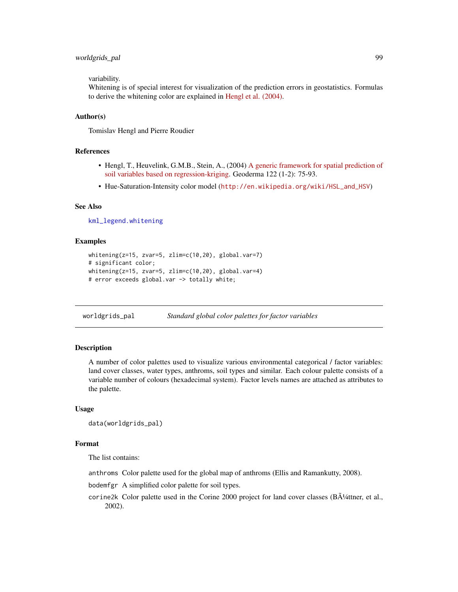# <span id="page-98-1"></span>worldgrids\_pal 99

variability.

Whitening is of special interest for visualization of the prediction errors in geostatistics. Formulas to derive the whitening color are explained in [Hengl et al. \(2004\).](http://dx.doi.org/10.1016/j.geoderma.2003.08.018)

#### Author(s)

Tomislav Hengl and Pierre Roudier

#### References

- Hengl, T., Heuvelink, G.M.B., Stein, A., (2004) [A generic framework for spatial prediction of](http://dx.doi.org/10.1016/j.geoderma.2003.08.018) [soil variables based on regression-kriging.](http://dx.doi.org/10.1016/j.geoderma.2003.08.018) Geoderma 122 (1-2): 75-93.
- Hue-Saturation-Intensity color model ([http://en.wikipedia.org/wiki/HSL\\_and\\_HSV](http://en.wikipedia.org/wiki/HSL_and_HSV))

#### See Also

[kml\\_legend.whitening](#page-49-0)

#### Examples

```
whitening(z=15, zvar=5, zlim=c(10,20), global.var=7)
# significant color;
whitening(z=15, zvar=5, zlim=c(10,20), global.var=4)
# error exceeds global.var -> totally white;
```
<span id="page-98-0"></span>worldgrids\_pal *Standard global color palettes for factor variables*

#### **Description**

A number of color palettes used to visualize various environmental categorical / factor variables: land cover classes, water types, anthroms, soil types and similar. Each colour palette consists of a variable number of colours (hexadecimal system). Factor levels names are attached as attributes to the palette.

#### Usage

```
data(worldgrids_pal)
```
#### Format

The list contains:

anthroms Color palette used for the global map of anthroms (Ellis and Ramankutty, 2008).

bodemfgr A simplified color palette for soil types.

corine2k Color palette used in the Corine 2000 project for land cover classes ( $B\tilde{A}$ <sup>1</sup>/4ttner, et al., 2002).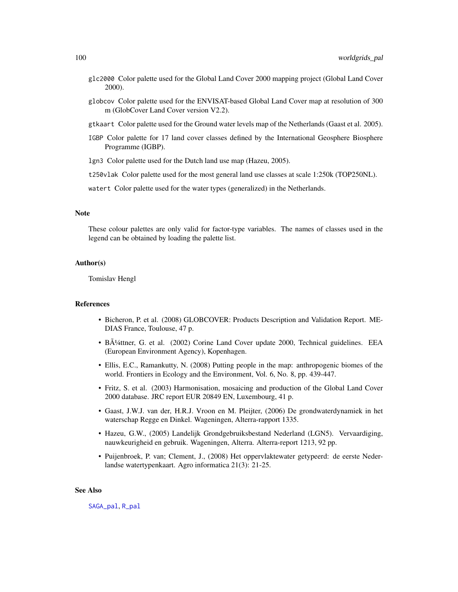- <span id="page-99-0"></span>glc2000 Color palette used for the Global Land Cover 2000 mapping project (Global Land Cover 2000).
- globcov Color palette used for the ENVISAT-based Global Land Cover map at resolution of 300 m (GlobCover Land Cover version V2.2).
- gtkaart Color palette used for the Ground water levels map of the Netherlands (Gaast et al. 2005).
- IGBP Color palette for 17 land cover classes defined by the International Geosphere Biosphere Programme (IGBP).
- lgn3 Color palette used for the Dutch land use map (Hazeu, 2005).
- t250vlak Color palette used for the most general land use classes at scale 1:250k (TOP250NL).

watert Color palette used for the water types (generalized) in the Netherlands.

#### **Note**

These colour palettes are only valid for factor-type variables. The names of classes used in the legend can be obtained by loading the palette list.

#### Author(s)

Tomislav Hengl

# References

- Bicheron, P. et al. (2008) GLOBCOVER: Products Description and Validation Report. ME-DIAS France, Toulouse, 47 p.
- B $\tilde{\mathrm{A}}$ <sup>1</sup>/4ttner, G. et al. (2002) Corine Land Cover update 2000, Technical guidelines. EEA (European Environment Agency), Kopenhagen.
- Ellis, E.C., Ramankutty, N. (2008) Putting people in the map: anthropogenic biomes of the world. Frontiers in Ecology and the Environment, Vol. 6, No. 8, pp. 439-447.
- Fritz, S. et al. (2003) Harmonisation, mosaicing and production of the Global Land Cover 2000 database. JRC report EUR 20849 EN, Luxembourg, 41 p.
- Gaast, J.W.J. van der, H.R.J. Vroon en M. Pleijter, (2006) De grondwaterdynamiek in het waterschap Regge en Dinkel. Wageningen, Alterra-rapport 1335.
- Hazeu, G.W., (2005) Landelijk Grondgebruiksbestand Nederland (LGN5). Vervaardiging, nauwkeurigheid en gebruik. Wageningen, Alterra. Alterra-report 1213, 92 pp.
- Puijenbroek, P. van; Clement, J., (2008) Het oppervlaktewater getypeerd: de eerste Nederlandse watertypenkaart. Agro informatica 21(3): 21-25.

#### See Also

[SAGA\\_pal](#page-80-0), [R\\_pal](#page-80-1)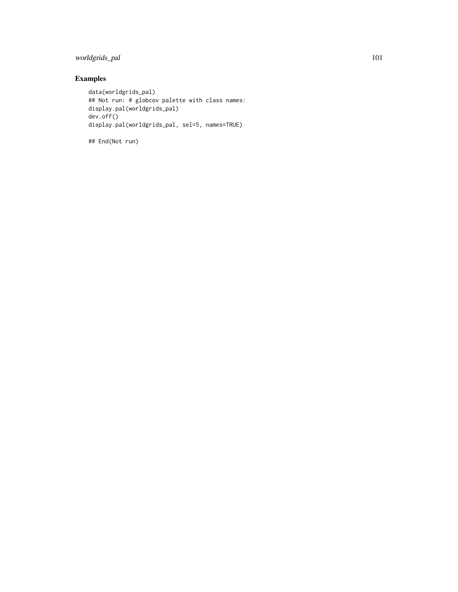# worldgrids\_pal 101

# Examples

```
data(worldgrids_pal)
## Not run: # globcov palette with class names:
display.pal(worldgrids_pal)
dev.off()
display.pal(worldgrids_pal, sel=5, names=TRUE)
```
## End(Not run)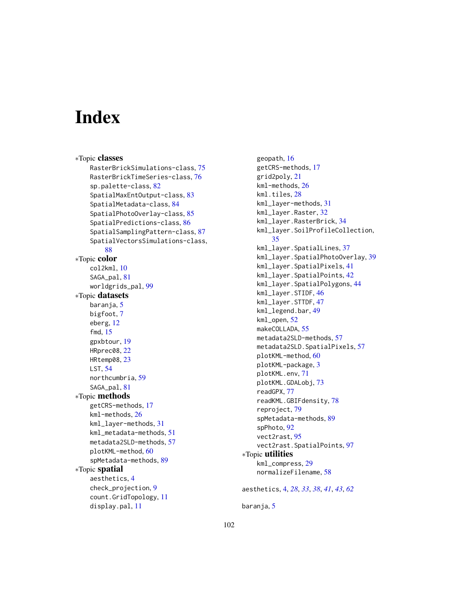# **Index**

∗Topic classes RasterBrickSimulations-class, [75](#page-74-1) RasterBrickTimeSeries-class, [76](#page-75-1) sp.palette-class, [82](#page-81-0) SpatialMaxEntOutput-class, [83](#page-82-0) SpatialMetadata-class, [84](#page-83-1) SpatialPhotoOverlay-class, [85](#page-84-0) SpatialPredictions-class, [86](#page-85-0) SpatialSamplingPattern-class, [87](#page-86-0) SpatialVectorsSimulations-class, [88](#page-87-1) ∗Topic color col2kml, [10](#page-9-0) SAGA\_pal, [81](#page-80-2) worldgrids\_pal, [99](#page-98-1) ∗Topic datasets baranja, [5](#page-4-0) bigfoot, [7](#page-6-0) eberg, [12](#page-11-0) fmd, [15](#page-14-0) gpxbtour, [19](#page-18-0) HRprec08, [22](#page-21-0) HRtemp08, [23](#page-22-0) LST, [54](#page-53-0) northcumbria, [59](#page-58-0) SAGA\_pal, [81](#page-80-2) ∗Topic methods getCRS-methods, [17](#page-16-0) kml-methods, [26](#page-25-0) kml\_layer-methods, [31](#page-30-0) kml\_metadata-methods, [51](#page-50-1) metadata2SLD-methods, [57](#page-56-1) plotKML-method, [60](#page-59-2) spMetadata-methods, [89](#page-88-1) ∗Topic spatial aesthetics, [4](#page-3-0) check\_projection, [9](#page-8-0) count.GridTopology, [11](#page-10-0) display.pal, [11](#page-10-0)

geopath, [16](#page-15-0) getCRS-methods, [17](#page-16-0) grid2poly, [21](#page-20-0) kml-methods, [26](#page-25-0) kml.tiles, [28](#page-27-1) kml\_layer-methods, [31](#page-30-0) kml\_layer.Raster, [32](#page-31-0) kml\_layer.RasterBrick, [34](#page-33-0) kml\_layer.SoilProfileCollection, [35](#page-34-0) kml\_layer.SpatialLines, [37](#page-36-0) kml\_layer.SpatialPhotoOverlay, [39](#page-38-0) kml\_layer.SpatialPixels, [41](#page-40-0) kml\_layer.SpatialPoints, [42](#page-41-0) kml\_layer.SpatialPolygons, [44](#page-43-0) kml\_layer.STIDF, [46](#page-45-0) kml\_layer.STTDF, [47](#page-46-1) kml\_legend.bar, [49](#page-48-0) kml\_open, [52](#page-51-1) makeCOLLADA, [55](#page-54-0) metadata2SLD-methods, [57](#page-56-1) metadata2SLD.SpatialPixels, [57](#page-56-1) plotKML-method, [60](#page-59-2) plotKML-package, [3](#page-2-0) plotKML.env, [71](#page-70-1) plotKML.GDALobj, [73](#page-72-0) readGPX, [77](#page-76-1) readKML.GBIFdensity, [78](#page-77-0) reproject, [79](#page-78-0) spMetadata-methods, [89](#page-88-1) spPhoto, [92](#page-91-1) vect2rast, [95](#page-94-2) vect2rast.SpatialPoints, [97](#page-96-1) ∗Topic utilities kml\_compress, [29](#page-28-0) normalizeFilename, [58](#page-57-0)

aesthetics, [4,](#page-3-0) *[28](#page-27-1)*, *[33](#page-32-0)*, *[38](#page-37-0)*, *[41](#page-40-0)*, *[43](#page-42-0)*, *[62](#page-61-0)*

baranja, [5](#page-4-0)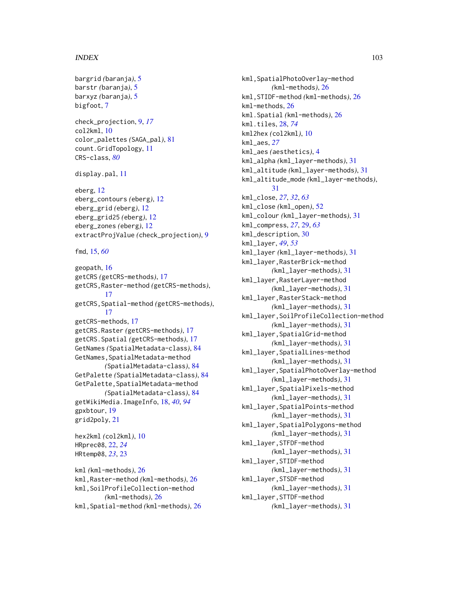#### INDEX  $103$

```
bargrid (baranja), 5
barstr (baranja), 5
barxyz (baranja), 5
bigfoot, 7
```

```
check_projection, 9, 17
col2kml, 10
color_palettes (SAGA_pal), 81
count.GridTopology, 11
CRS-class, 80
```
display.pal, [11](#page-10-0)

eberg, [12](#page-11-0) eberg\_contours *(*eberg*)*, [12](#page-11-0) eberg\_grid *(*eberg*)*, [12](#page-11-0) eberg\_grid25 *(*eberg*)*, [12](#page-11-0) eberg\_zones *(*eberg*)*, [12](#page-11-0) extractProjValue *(*check\_projection*)*, [9](#page-8-0)

fmd, [15,](#page-14-0) *[60](#page-59-2)*

geopath, [16](#page-15-0) getCRS *(*getCRS-methods*)*, [17](#page-16-0) getCRS,Raster-method *(*getCRS-methods*)*, [17](#page-16-0) getCRS,Spatial-method *(*getCRS-methods*)*, [17](#page-16-0) getCRS-methods, [17](#page-16-0) getCRS.Raster *(*getCRS-methods*)*, [17](#page-16-0) getCRS.Spatial *(*getCRS-methods*)*, [17](#page-16-0) GetNames *(*SpatialMetadata-class*)*, [84](#page-83-1) GetNames,SpatialMetadata-method *(*SpatialMetadata-class*)*, [84](#page-83-1) GetPalette *(*SpatialMetadata-class*)*, [84](#page-83-1) GetPalette,SpatialMetadata-method *(*SpatialMetadata-class*)*, [84](#page-83-1) getWikiMedia.ImageInfo, [18,](#page-17-1) *[40](#page-39-0)*, *[94](#page-93-0)* gpxbtour, [19](#page-18-0) grid2poly, [21](#page-20-0) hex2kml *(*col2kml*)*, [10](#page-9-0) HRprec08, [22,](#page-21-0) *[24](#page-23-0)* HRtemp08, *[23](#page-22-0)*, [23](#page-22-0) kml *(*kml-methods*)*, [26](#page-25-0)

kml,Raster-method *(*kml-methods*)*, [26](#page-25-0) kml,SoilProfileCollection-method *(*kml-methods*)*, [26](#page-25-0) kml,Spatial-method *(*kml-methods*)*, [26](#page-25-0)

kml, SpatialPhotoOverlay-method *(*kml-methods*)*, [26](#page-25-0) kml,STIDF-method *(*kml-methods*)*, [26](#page-25-0) kml-methods, [26](#page-25-0) kml.Spatial *(*kml-methods*)*, [26](#page-25-0) kml.tiles, [28,](#page-27-1) *[74](#page-73-0)* kml2hex *(*col2kml*)*, [10](#page-9-0) kml\_aes, *[27](#page-26-0)* kml\_aes *(*aesthetics*)*, [4](#page-3-0) kml\_alpha *(*kml\_layer-methods*)*, [31](#page-30-0) kml\_altitude *(*kml\_layer-methods*)*, [31](#page-30-0) kml\_altitude\_mode *(*kml\_layer-methods*)*, [31](#page-30-0) kml\_close, *[27](#page-26-0)*, *[32](#page-31-0)*, *[63](#page-62-0)* kml\_close *(*kml\_open*)*, [52](#page-51-1) kml\_colour *(*kml\_layer-methods*)*, [31](#page-30-0) kml\_compress, *[27](#page-26-0)*, [29,](#page-28-0) *[63](#page-62-0)* kml\_description, [30](#page-29-0) kml\_layer, *[49](#page-48-0)*, *[53](#page-52-0)* kml\_layer *(*kml\_layer-methods*)*, [31](#page-30-0) kml\_layer,RasterBrick-method *(*kml\_layer-methods*)*, [31](#page-30-0) kml\_layer,RasterLayer-method *(*kml\_layer-methods*)*, [31](#page-30-0) kml\_layer,RasterStack-method *(*kml\_layer-methods*)*, [31](#page-30-0) kml\_layer,SoilProfileCollection-method *(*kml\_layer-methods*)*, [31](#page-30-0) kml\_layer,SpatialGrid-method *(*kml\_layer-methods*)*, [31](#page-30-0) kml\_layer,SpatialLines-method *(*kml\_layer-methods*)*, [31](#page-30-0) kml\_layer,SpatialPhotoOverlay-method *(*kml\_layer-methods*)*, [31](#page-30-0) kml\_layer,SpatialPixels-method *(*kml\_layer-methods*)*, [31](#page-30-0) kml\_layer,SpatialPoints-method *(*kml\_layer-methods*)*, [31](#page-30-0) kml\_layer,SpatialPolygons-method *(*kml\_layer-methods*)*, [31](#page-30-0) kml\_layer,STFDF-method *(*kml\_layer-methods*)*, [31](#page-30-0) kml\_layer,STIDF-method *(*kml\_layer-methods*)*, [31](#page-30-0) kml\_layer,STSDF-method *(*kml\_layer-methods*)*, [31](#page-30-0) kml\_layer,STTDF-method *(*kml\_layer-methods*)*, [31](#page-30-0)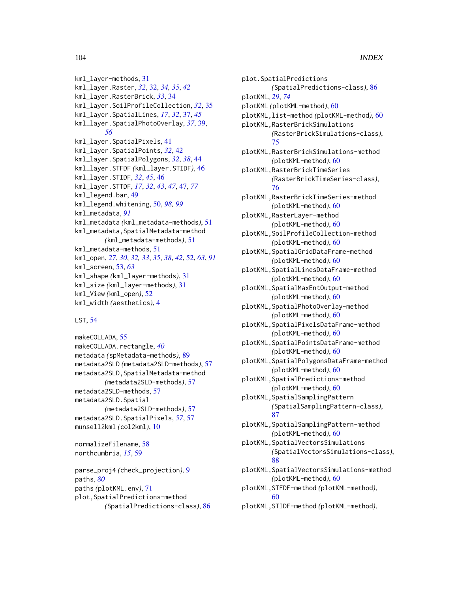```
kml_layer-methods, 31
kml_layer.Raster, 32, 32, 34, 35, 42
kml_layer.RasterBrick, 33, 34
kml_layer.SoilProfileCollection, 32, 35
kml_layer.SpatialLines, 17, 32, 37, 45
kml_layer.SpatialPhotoOverlay, 37, 39,
        56
kml_layer.SpatialPixels, 41
kml_layer.SpatialPoints, 32, 42
kml_layer.SpatialPolygons, 32, 38, 44
kml_layer.STFDF (kml_layer.STIDF), 46
kml_layer.STIDF, 32, 45, 46
kml_layer.STTDF, 17, 32, 43, 47, 47, 77
kml_legend.bar, 49
kml_legend.whitening, 50, 98, 99
kml_metadata, 91
kml_metadata (kml_metadata-methods), 51
kml_metadata,SpatialMetadata-method
        (kml_metadata-methods), 51
kml_metadata-methods, 51
kml_open, 27, 30, 32, 33, 35, 38, 42, 52, 63, 91
kml_screen, 53, 63
kml_shape (kml_layer-methods), 31
kml_size (kml_layer-methods), 31
kml_View (kml_open), 52
kml_width (aesthetics), 4
```
#### LST, [54](#page-53-0)

```
makeCOLLADA, 55
makeCOLLADA.rectangle, 40
metadata (spMetadata-methods), 89
metadata2SLD (metadata2SLD-methods), 57
metadata2SLD,SpatialMetadata-method
        (metadata2SLD-methods), 57
metadata2SLD-methods, 57
metadata2SLD.Spatial
        (metadata2SLD-methods), 57
metadata2SLD.SpatialPixels, 57, 57
munsell2kml (col2kml), 10
```
normalizeFilename, [58](#page-57-0) northcumbria, *[15](#page-14-0)*, [59](#page-58-0)

```
parse_proj4 (check_projection), 9
paths, 80
paths (plotKML.env), 71
plot,SpatialPredictions-method
        (SpatialPredictions-class), 86
```
plot.SpatialPredictions *(*SpatialPredictions-class*)*, [86](#page-85-0) plotKML, *[29](#page-28-0)*, *[74](#page-73-0)* plotKML *(*plotKML-method*)*, [60](#page-59-2) plotKML,list-method *(*plotKML-method*)*, [60](#page-59-2) plotKML,RasterBrickSimulations *(*RasterBrickSimulations-class*)*, [75](#page-74-1) plotKML,RasterBrickSimulations-method *(*plotKML-method*)*, [60](#page-59-2) plotKML,RasterBrickTimeSeries *(*RasterBrickTimeSeries-class*)*, [76](#page-75-1) plotKML,RasterBrickTimeSeries-method *(*plotKML-method*)*, [60](#page-59-2) plotKML,RasterLayer-method *(*plotKML-method*)*, [60](#page-59-2) plotKML,SoilProfileCollection-method *(*plotKML-method*)*, [60](#page-59-2) plotKML,SpatialGridDataFrame-method *(*plotKML-method*)*, [60](#page-59-2) plotKML,SpatialLinesDataFrame-method *(*plotKML-method*)*, [60](#page-59-2) plotKML,SpatialMaxEntOutput-method *(*plotKML-method*)*, [60](#page-59-2) plotKML,SpatialPhotoOverlay-method *(*plotKML-method*)*, [60](#page-59-2) plotKML,SpatialPixelsDataFrame-method *(*plotKML-method*)*, [60](#page-59-2) plotKML,SpatialPointsDataFrame-method *(*plotKML-method*)*, [60](#page-59-2) plotKML,SpatialPolygonsDataFrame-method *(*plotKML-method*)*, [60](#page-59-2) plotKML,SpatialPredictions-method *(*plotKML-method*)*, [60](#page-59-2) plotKML,SpatialSamplingPattern *(*SpatialSamplingPattern-class*)*, [87](#page-86-0) plotKML,SpatialSamplingPattern-method *(*plotKML-method*)*, [60](#page-59-2) plotKML,SpatialVectorsSimulations *(*SpatialVectorsSimulations-class*)*, [88](#page-87-1) plotKML,SpatialVectorsSimulations-method *(*plotKML-method*)*, [60](#page-59-2) plotKML,STFDF-method *(*plotKML-method*)*, [60](#page-59-2) plotKML,STIDF-method *(*plotKML-method*)*,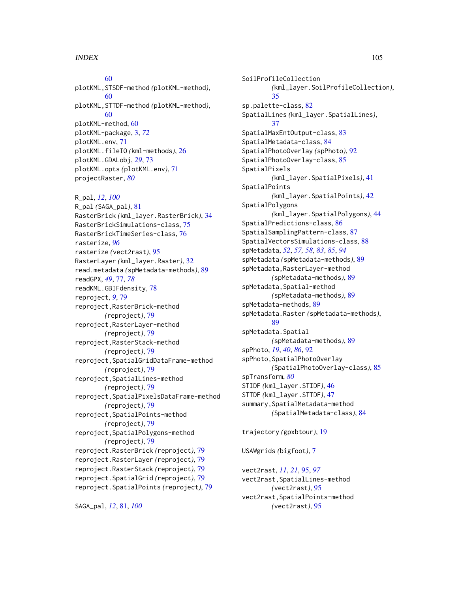[60](#page-59-2) plotKML,STSDF-method *(*plotKML-method*)*, [60](#page-59-2) plotKML,STTDF-method *(*plotKML-method*)*, [60](#page-59-2) plotKML-method, [60](#page-59-2) plotKML-package, [3,](#page-2-0) *[72](#page-71-0)* plotKML.env, [71](#page-70-1) plotKML.fileIO *(*kml-methods*)*, [26](#page-25-0) plotKML.GDALobj, *[29](#page-28-0)*, [73](#page-72-0) plotKML.opts *(*plotKML.env*)*, [71](#page-70-1) projectRaster, *[80](#page-79-0)*

R\_pal, *[12](#page-11-0)*, *[100](#page-99-0)* R\_pal *(*SAGA\_pal*)*, [81](#page-80-2) RasterBrick *(*kml\_layer.RasterBrick*)*, [34](#page-33-0) RasterBrickSimulations-class, [75](#page-74-1) RasterBrickTimeSeries-class, [76](#page-75-1) rasterize, *[96](#page-95-0)* rasterize *(*vect2rast*)*, [95](#page-94-2) RasterLayer *(*kml\_layer.Raster*)*, [32](#page-31-0) read.metadata *(*spMetadata-methods*)*, [89](#page-88-1) readGPX, *[49](#page-48-0)*, [77,](#page-76-1) *[78](#page-77-0)* readKML.GBIFdensity, [78](#page-77-0) reproject, *[9](#page-8-0)*, [79](#page-78-0) reproject,RasterBrick-method *(*reproject*)*, [79](#page-78-0) reproject,RasterLayer-method *(*reproject*)*, [79](#page-78-0) reproject,RasterStack-method *(*reproject*)*, [79](#page-78-0) reproject,SpatialGridDataFrame-method *(*reproject*)*, [79](#page-78-0) reproject,SpatialLines-method *(*reproject*)*, [79](#page-78-0) reproject,SpatialPixelsDataFrame-method *(*reproject*)*, [79](#page-78-0) reproject,SpatialPoints-method *(*reproject*)*, [79](#page-78-0) reproject,SpatialPolygons-method *(*reproject*)*, [79](#page-78-0) reproject.RasterBrick *(*reproject*)*, [79](#page-78-0) reproject.RasterLayer *(*reproject*)*, [79](#page-78-0) reproject.RasterStack *(*reproject*)*, [79](#page-78-0) reproject.SpatialGrid *(*reproject*)*, [79](#page-78-0) reproject.SpatialPoints *(*reproject*)*, [79](#page-78-0)

SAGA\_pal, *[12](#page-11-0)*, [81,](#page-80-2) *[100](#page-99-0)*

SoilProfileCollection *(*kml\_layer.SoilProfileCollection*)*, [35](#page-34-0) sp.palette-class, [82](#page-81-0) SpatialLines *(*kml\_layer.SpatialLines*)*, [37](#page-36-0) SpatialMaxEntOutput-class, [83](#page-82-0) SpatialMetadata-class, [84](#page-83-1) SpatialPhotoOverlay *(*spPhoto*)*, [92](#page-91-1) SpatialPhotoOverlay-class, [85](#page-84-0) SpatialPixels *(*kml\_layer.SpatialPixels*)*, [41](#page-40-0) SpatialPoints *(*kml\_layer.SpatialPoints*)*, [42](#page-41-0) SpatialPolygons *(*kml\_layer.SpatialPolygons*)*, [44](#page-43-0) SpatialPredictions-class, [86](#page-85-0) SpatialSamplingPattern-class, [87](#page-86-0) SpatialVectorsSimulations-class, [88](#page-87-1) spMetadata, *[52](#page-51-1)*, *[57,](#page-56-1) [58](#page-57-0)*, *[83](#page-82-0)*, *[85](#page-84-0)*, *[94](#page-93-0)* spMetadata *(*spMetadata-methods*)*, [89](#page-88-1) spMetadata,RasterLayer-method *(*spMetadata-methods*)*, [89](#page-88-1) spMetadata,Spatial-method *(*spMetadata-methods*)*, [89](#page-88-1) spMetadata-methods, [89](#page-88-1) spMetadata.Raster *(*spMetadata-methods*)*, [89](#page-88-1) spMetadata.Spatial *(*spMetadata-methods*)*, [89](#page-88-1) spPhoto, *[19](#page-18-0)*, *[40](#page-39-0)*, *[86](#page-85-0)*, [92](#page-91-1) spPhoto,SpatialPhotoOverlay *(*SpatialPhotoOverlay-class*)*, [85](#page-84-0) spTransform, *[80](#page-79-0)* STIDF *(*kml\_layer.STIDF*)*, [46](#page-45-0) STTDF *(*kml\_layer.STTDF*)*, [47](#page-46-1) summary,SpatialMetadata-method *(*SpatialMetadata-class*)*, [84](#page-83-1) trajectory *(*gpxbtour*)*, [19](#page-18-0) USAWgrids *(*bigfoot*)*, [7](#page-6-0)

vect2rast, *[11](#page-10-0)*, *[21](#page-20-0)*, [95,](#page-94-2) *[97](#page-96-1)* vect2rast,SpatialLines-method *(*vect2rast*)*, [95](#page-94-2) vect2rast,SpatialPoints-method *(*vect2rast*)*, [95](#page-94-2)